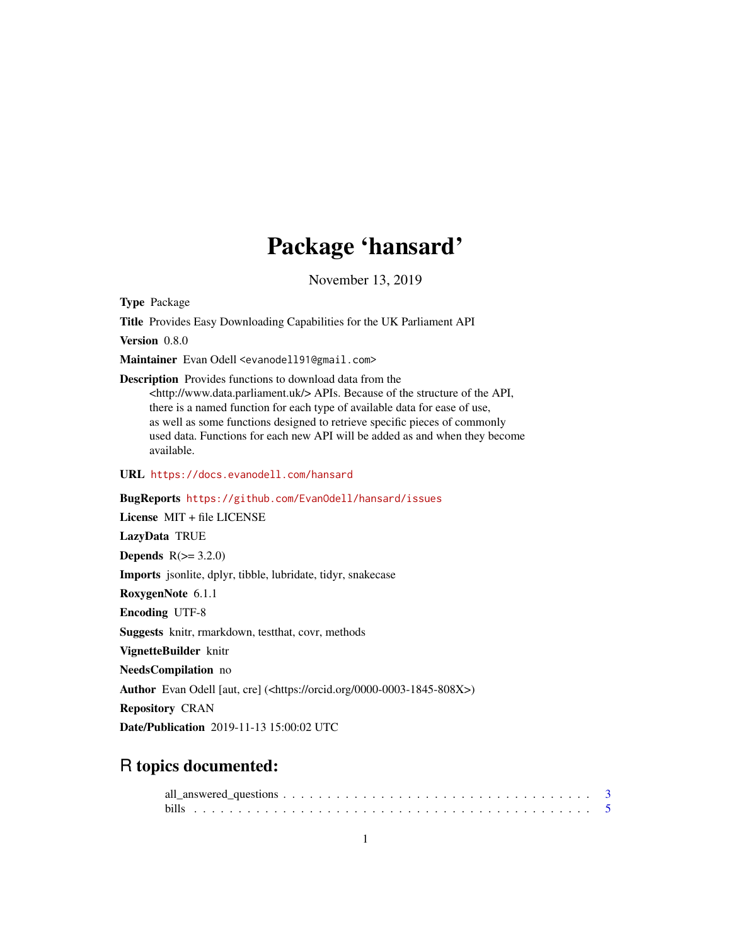# Package 'hansard'

November 13, 2019

<span id="page-0-0"></span>Type Package

Title Provides Easy Downloading Capabilities for the UK Parliament API

Version 0.8.0

Maintainer Evan Odell <evanodell91@gmail.com>

Description Provides functions to download data from the <http://www.data.parliament.uk/> APIs. Because of the structure of the API, there is a named function for each type of available data for ease of use, as well as some functions designed to retrieve specific pieces of commonly used data. Functions for each new API will be added as and when they become available.

URL <https://docs.evanodell.com/hansard>

BugReports <https://github.com/EvanOdell/hansard/issues>

License MIT + file LICENSE LazyData TRUE Depends  $R(>= 3.2.0)$ Imports jsonlite, dplyr, tibble, lubridate, tidyr, snakecase RoxygenNote 6.1.1 Encoding UTF-8 Suggests knitr, rmarkdown, testthat, covr, methods VignetteBuilder knitr NeedsCompilation no Author Evan Odell [aut, cre] (<https://orcid.org/0000-0003-1845-808X>) Repository CRAN Date/Publication 2019-11-13 15:00:02 UTC

# R topics documented: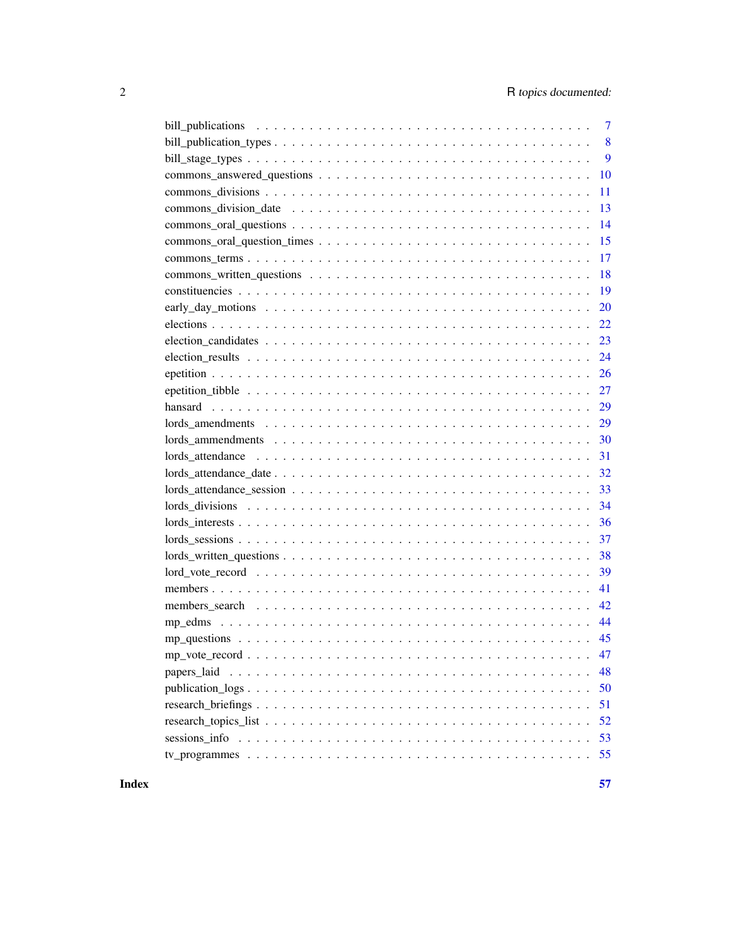| $\overline{7}$                                                                                                                          |
|-----------------------------------------------------------------------------------------------------------------------------------------|
| 8                                                                                                                                       |
| 9                                                                                                                                       |
| 10                                                                                                                                      |
| 11                                                                                                                                      |
| 13                                                                                                                                      |
| 14                                                                                                                                      |
| 15                                                                                                                                      |
| 17                                                                                                                                      |
| 18                                                                                                                                      |
| 19                                                                                                                                      |
| 20                                                                                                                                      |
| 22                                                                                                                                      |
| 23                                                                                                                                      |
| 24                                                                                                                                      |
| 26                                                                                                                                      |
| 27                                                                                                                                      |
| 29                                                                                                                                      |
| 29                                                                                                                                      |
| 30                                                                                                                                      |
| $\text{Iords}_{\text{u}}$ attendance $\ldots \ldots \ldots \ldots \ldots \ldots \ldots \ldots \ldots \ldots \ldots \ldots \ldots$<br>31 |
| 32                                                                                                                                      |
| 33                                                                                                                                      |
| 34                                                                                                                                      |
| 36                                                                                                                                      |
| 37                                                                                                                                      |
| 38                                                                                                                                      |
| 39                                                                                                                                      |
| 41                                                                                                                                      |
| 42                                                                                                                                      |
| 44                                                                                                                                      |
|                                                                                                                                         |
|                                                                                                                                         |
| 48<br>papers laid                                                                                                                       |
| 50                                                                                                                                      |
| 51                                                                                                                                      |
| 52                                                                                                                                      |
| 53                                                                                                                                      |
| 55                                                                                                                                      |
|                                                                                                                                         |

**Index** [57](#page-56-0)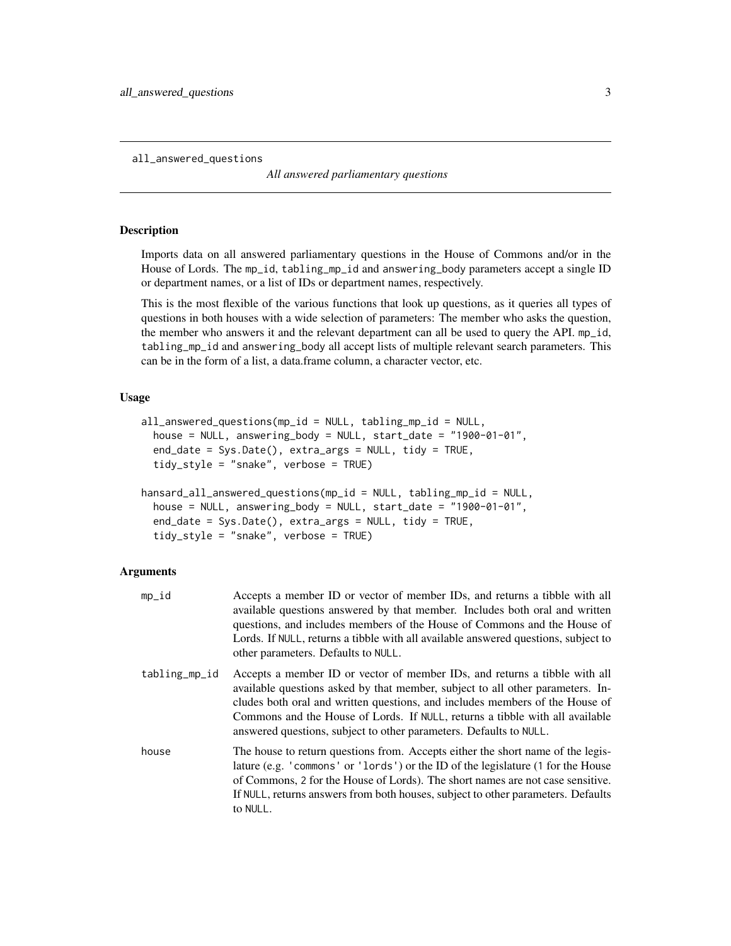<span id="page-2-1"></span><span id="page-2-0"></span>all\_answered\_questions

*All answered parliamentary questions*

# Description

Imports data on all answered parliamentary questions in the House of Commons and/or in the House of Lords. The mp\_id, tabling\_mp\_id and answering\_body parameters accept a single ID or department names, or a list of IDs or department names, respectively.

This is the most flexible of the various functions that look up questions, as it queries all types of questions in both houses with a wide selection of parameters: The member who asks the question, the member who answers it and the relevant department can all be used to query the API. mp\_id, tabling\_mp\_id and answering\_body all accept lists of multiple relevant search parameters. This can be in the form of a list, a data.frame column, a character vector, etc.

#### Usage

```
all_answered_questions(mp_id = NULL, tabling_mp_id = NULL,
  house = NULL, answering_body = NULL, start_date = "1900-01-01",
  end_date = Sys.Date(), extra_args = NULL, tidy = TRUE,
  tidy_style = "snake", verbose = TRUE)
hansard_all_answered_questions(mp_id = NULL, tabling_mp_id = NULL,
 house = NULL, answering_body = NULL, start_date = "1900-01-01",
 end_date = Sys.Date(), extra_args = NULL, tidy = TRUE,
```

```
tidy_style = "snake", verbose = TRUE)
```

| mp_id         | Accepts a member ID or vector of member IDs, and returns a tibble with all<br>available questions answered by that member. Includes both oral and written<br>questions, and includes members of the House of Commons and the House of<br>Lords. If NULL, returns a tibble with all available answered questions, subject to<br>other parameters. Defaults to NULL.                                 |
|---------------|----------------------------------------------------------------------------------------------------------------------------------------------------------------------------------------------------------------------------------------------------------------------------------------------------------------------------------------------------------------------------------------------------|
| tabling_mp_id | Accepts a member ID or vector of member IDs, and returns a tibble with all<br>available questions asked by that member, subject to all other parameters. In-<br>cludes both oral and written questions, and includes members of the House of<br>Commons and the House of Lords. If NULL, returns a tibble with all available<br>answered questions, subject to other parameters. Defaults to NULL. |
| house         | The house to return questions from. Accepts either the short name of the legis-<br>lature (e.g. 'commons' or 'lords') or the ID of the legislature (1 for the House<br>of Commons, 2 for the House of Lords). The short names are not case sensitive.<br>If NULL, returns answers from both houses, subject to other parameters. Defaults<br>to NULL.                                              |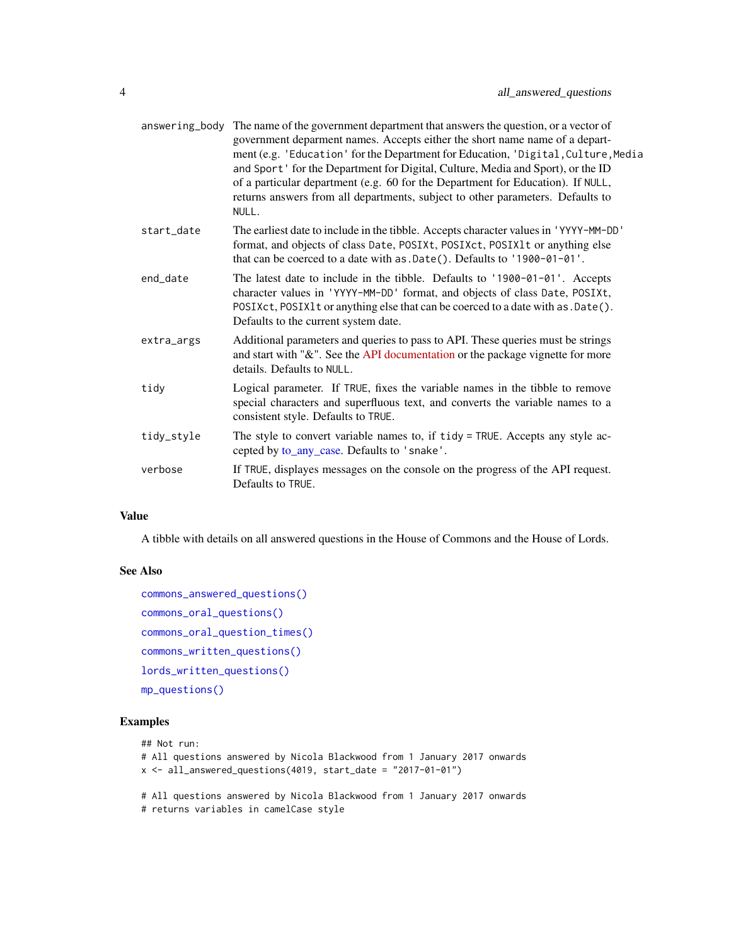<span id="page-3-0"></span>

|            | answering_body The name of the government department that answers the question, or a vector of<br>government deparment names. Accepts either the short name name of a depart-<br>ment (e.g. 'Education' for the Department for Education, 'Digital, Culture, Media<br>and Sport' for the Department for Digital, Culture, Media and Sport), or the ID<br>of a particular department (e.g. 60 for the Department for Education). If NULL,<br>returns answers from all departments, subject to other parameters. Defaults to<br>NULL. |
|------------|-------------------------------------------------------------------------------------------------------------------------------------------------------------------------------------------------------------------------------------------------------------------------------------------------------------------------------------------------------------------------------------------------------------------------------------------------------------------------------------------------------------------------------------|
| start date | The earliest date to include in the tibble. Accepts character values in 'YYYY-MM-DD'<br>format, and objects of class Date, POSIXt, POSIXct, POSIX1t or anything else<br>that can be coerced to a date with as .Date(). Defaults to '1900-01-01'.                                                                                                                                                                                                                                                                                    |
| end_date   | The latest date to include in the tibble. Defaults to '1900-01-01'. Accepts<br>character values in 'YYYY-MM-DD' format, and objects of class Date, POSIXt,<br>POSIXct, POSIX1t or anything else that can be coerced to a date with as . Date().<br>Defaults to the current system date.                                                                                                                                                                                                                                             |
| extra_args | Additional parameters and queries to pass to API. These queries must be strings<br>and start with "&". See the API documentation or the package vignette for more<br>details. Defaults to NULL.                                                                                                                                                                                                                                                                                                                                     |
| tidy       | Logical parameter. If TRUE, fixes the variable names in the tibble to remove<br>special characters and superfluous text, and converts the variable names to a<br>consistent style. Defaults to TRUE.                                                                                                                                                                                                                                                                                                                                |
| tidy_style | The style to convert variable names to, if tidy = TRUE. Accepts any style ac-<br>cepted by to_any_case. Defaults to 'snake'.                                                                                                                                                                                                                                                                                                                                                                                                        |
| verbose    | If TRUE, displayes messages on the console on the progress of the API request.<br>Defaults to TRUE.                                                                                                                                                                                                                                                                                                                                                                                                                                 |
|            |                                                                                                                                                                                                                                                                                                                                                                                                                                                                                                                                     |

A tibble with details on all answered questions in the House of Commons and the House of Lords.

#### See Also

```
commons_answered_questions()
commons_oral_questions()
commons_oral_question_times()
commons_written_questions()
lords_written_questions()
mp_questions()
```
# Examples

```
## Not run:
# All questions answered by Nicola Blackwood from 1 January 2017 onwards
x \le all_answered_questions(4019, start_date = "2017-01-01")
# All questions answered by Nicola Blackwood from 1 January 2017 onwards
# returns variables in camelCase style
```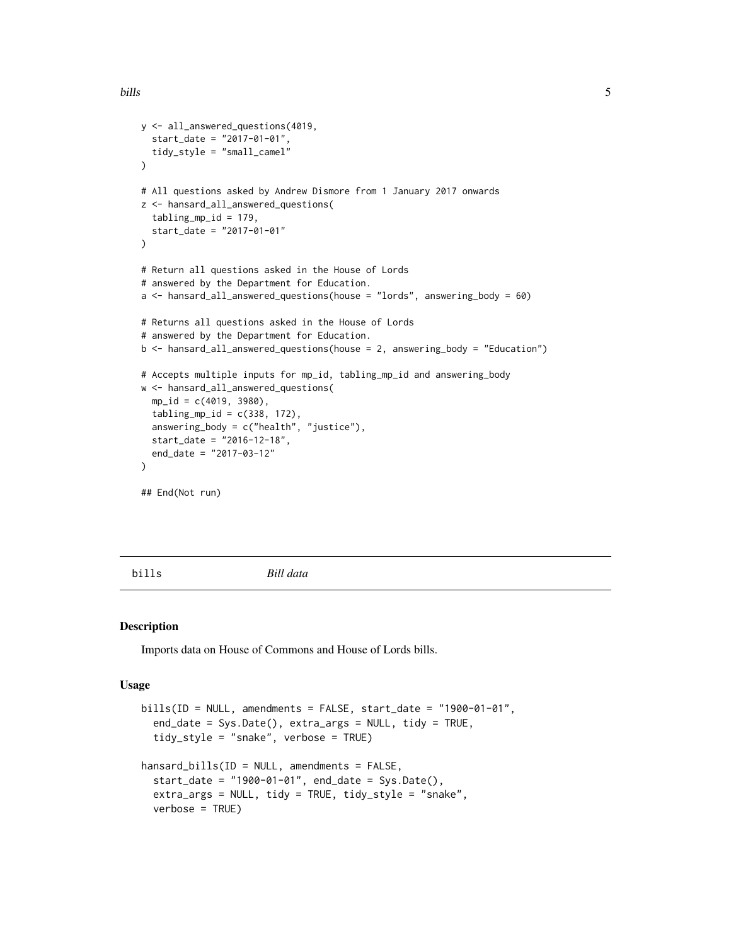```
y <- all_answered_questions(4019,
  start_date = "2017-01-01",
  tidy_style = "small_camel"
)
# All questions asked by Andrew Dismore from 1 January 2017 onwards
z <- hansard_all_answered_questions(
  tabling_mpl = 179,
  start_date = "2017-01-01"
\mathcal{L}# Return all questions asked in the House of Lords
# answered by the Department for Education.
a <- hansard_all_answered_questions(house = "lords", answering_body = 60)
# Returns all questions asked in the House of Lords
# answered by the Department for Education.
b <- hansard_all_answered_questions(house = 2, answering_body = "Education")
# Accepts multiple inputs for mp_id, tabling_mp_id and answering_body
w <- hansard_all_answered_questions(
  mp_id = c(4019, 3980),
  tabling_mp_id = c(338, 172),
  answering_body = c("health", "justice"),
  start_date = "2016-12-18",
  end_date = "2017-03-12"
\lambda## End(Not run)
```
<span id="page-4-1"></span>

bills *Bill data*

#### Description

Imports data on House of Commons and House of Lords bills.

#### Usage

```
bills(ID = NULL, amendments = FALSE, start_data = "1900-01-01",end_date = Sys.Date(), extra_args = NULL, tidy = TRUE,
  tidy_style = "snake", verbose = TRUE)
hansard_bills(ID = NULL, amendments = FALSE,start_date = "1900-01-01", end_date = Sys.Date(),
  extra_args = NULL, tidy = TRUE, tidy_style = "snake",
 verbose = TRUE)
```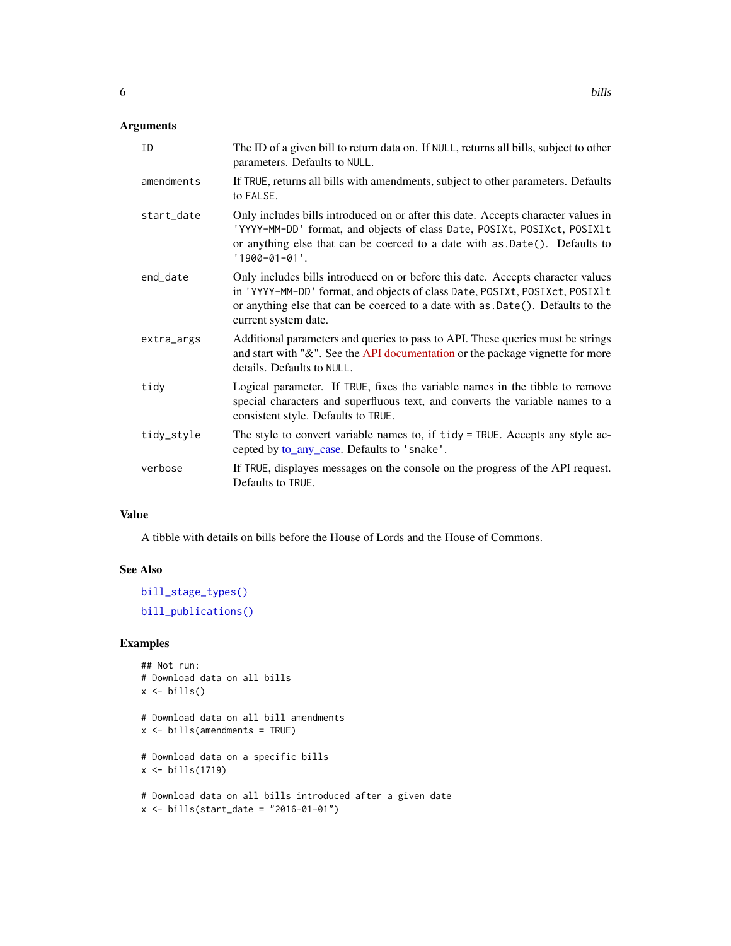<span id="page-5-0"></span>

| ID         | The ID of a given bill to return data on. If NULL, returns all bills, subject to other<br>parameters. Defaults to NULL.                                                                                                                                                   |
|------------|---------------------------------------------------------------------------------------------------------------------------------------------------------------------------------------------------------------------------------------------------------------------------|
| amendments | If TRUE, returns all bills with amendments, subject to other parameters. Defaults<br>to FALSE.                                                                                                                                                                            |
| start date | Only includes bills introduced on or after this date. Accepts character values in<br>'YYYY-MM-DD' format, and objects of class Date, POSIXt, POSIXct, POSIX1t<br>or anything else that can be coerced to a date with as .Date(). Defaults to<br>$'1900 - 01 - 01'.$       |
| end_date   | Only includes bills introduced on or before this date. Accepts character values<br>in 'YYYY-MM-DD' format, and objects of class Date, POSIXt, POSIXct, POSIX1t<br>or anything else that can be coerced to a date with as .Date(). Defaults to the<br>current system date. |
| extra_args | Additional parameters and queries to pass to API. These queries must be strings<br>and start with "&". See the API documentation or the package vignette for more<br>details. Defaults to NULL.                                                                           |
| tidy       | Logical parameter. If TRUE, fixes the variable names in the tibble to remove<br>special characters and superfluous text, and converts the variable names to a<br>consistent style. Defaults to TRUE.                                                                      |
| tidy_style | The style to convert variable names to, if tidy = TRUE. Accepts any style ac-<br>cepted by to_any_case. Defaults to 'snake'.                                                                                                                                              |
| verbose    | If TRUE, displayes messages on the console on the progress of the API request.<br>Defaults to TRUE.                                                                                                                                                                       |

A tibble with details on bills before the House of Lords and the House of Commons.

# See Also

[bill\\_stage\\_types\(\)](#page-8-1) [bill\\_publications\(\)](#page-6-1)

# Examples

```
## Not run:
# Download data on all bills
x \leftarrow \text{bills}()# Download data on all bill amendments
x \leftarrow \text{bills}(\text{amendments} = \text{TRUE})# Download data on a specific bills
x \leftarrow \text{bills}(1719)# Download data on all bills introduced after a given date
x <- bills(start_date = "2016-01-01")
```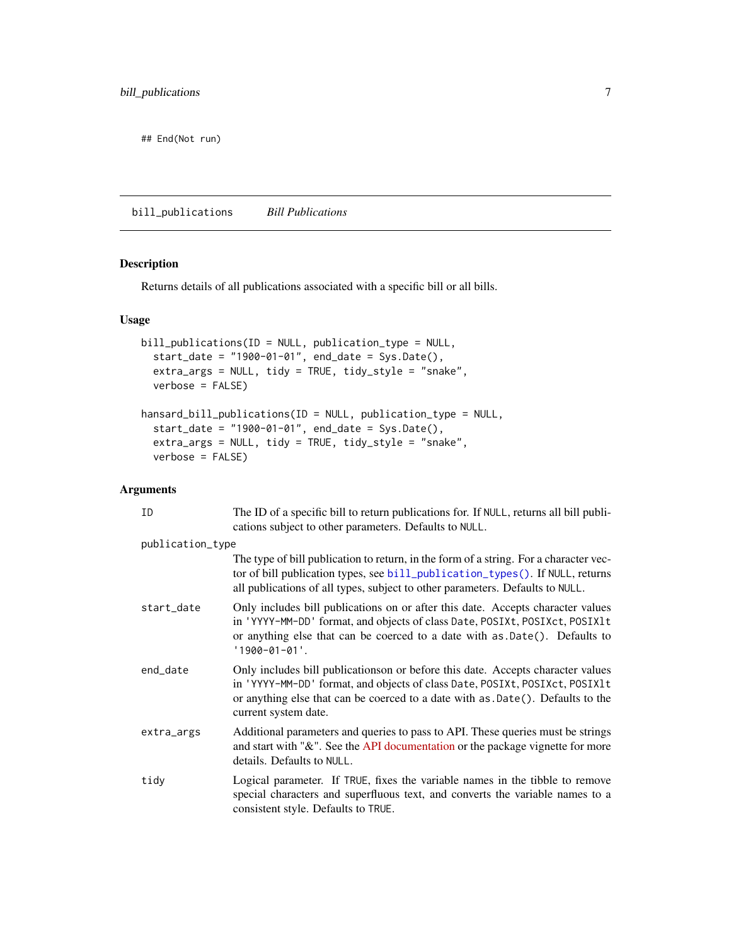<span id="page-6-0"></span>## End(Not run)

<span id="page-6-1"></span>bill\_publications *Bill Publications*

# Description

Returns details of all publications associated with a specific bill or all bills.

# Usage

```
bill_publications(ID = NULL, publication_type = NULL,
 start_date = "1900-01-01", end_date = Sys.Date(),
 extra_args = NULL, tidy = TRUE, tidy_style = "snake",
 verbose = FALSE)
hansard_bill_publications(ID = NULL, publication_type = NULL,
 start_date = "1900-01-01", end_date = Sys.Date(),
 extra_args = NULL, tidy = TRUE, tidy_style = "snake",
 verbose = FALSE)
```

| ID               | The ID of a specific bill to return publications for. If NULL, returns all bill publi-<br>cations subject to other parameters. Defaults to NULL.                                                                                                                        |
|------------------|-------------------------------------------------------------------------------------------------------------------------------------------------------------------------------------------------------------------------------------------------------------------------|
| publication_type |                                                                                                                                                                                                                                                                         |
|                  | The type of bill publication to return, in the form of a string. For a character vec-<br>tor of bill publication types, see bill_publication_types(). If NULL, returns<br>all publications of all types, subject to other parameters. Defaults to NULL.                 |
| start_date       | Only includes bill publications on or after this date. Accepts character values<br>in 'YYYY-MM-DD' format, and objects of class Date, POSIXt, POSIXct, POSIX1t<br>or anything else that can be coerced to a date with as Date(). Defaults to<br>$'1900 - 01 - 01'.$     |
| end date         | Only includes bill publications on before this date. Accepts character values<br>in 'YYYY-MM-DD' format, and objects of class Date, POSIXt, POSIXct, POSIX1t<br>or anything else that can be coerced to a date with as .Date(). Defaults to the<br>current system date. |
| extra_args       | Additional parameters and queries to pass to API. These queries must be strings<br>and start with "&". See the API documentation or the package vignette for more<br>details. Defaults to NULL.                                                                         |
| tidy             | Logical parameter. If TRUE, fixes the variable names in the tibble to remove<br>special characters and superfluous text, and converts the variable names to a<br>consistent style. Defaults to TRUE.                                                                    |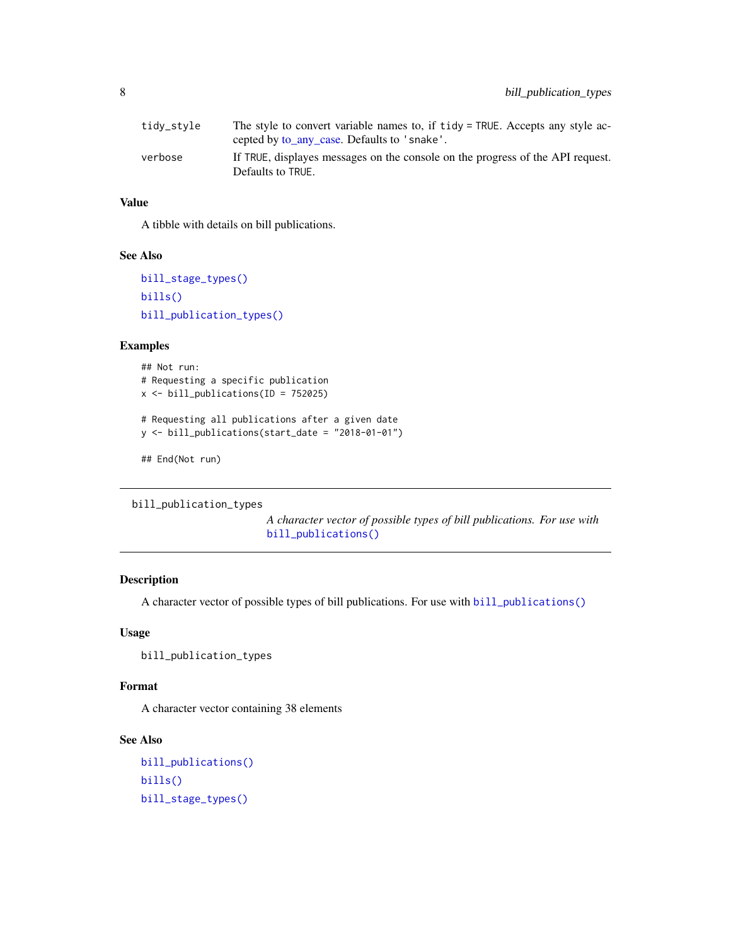<span id="page-7-0"></span>

| tidy_style | The style to convert variable names to, if tidy = TRUE. Accepts any style ac-  |
|------------|--------------------------------------------------------------------------------|
|            | cepted by <u>to any case</u> . Defaults to 'snake'.                            |
| verbose    | If TRUE, displayes messages on the console on the progress of the API request. |
|            | Defaults to TRUE.                                                              |

A tibble with details on bill publications.

#### See Also

```
bill_stage_types()
bills()
bill_publication_types()
```
#### Examples

```
## Not run:
# Requesting a specific publication
x <- bill_publications(ID = 752025)
# Requesting all publications after a given date
y <- bill_publications(start_date = "2018-01-01")
```
## End(Not run)

```
bill_publication_types
```
*A character vector of possible types of bill publications. For use with* [bill\\_publications\(\)](#page-6-1)

# Description

A character vector of possible types of bill publications. For use with [bill\\_publications\(\)](#page-6-1)

#### Usage

```
bill_publication_types
```
# Format

A character vector containing 38 elements

# See Also

```
bill_publications()
bills()
bill_stage_types()
```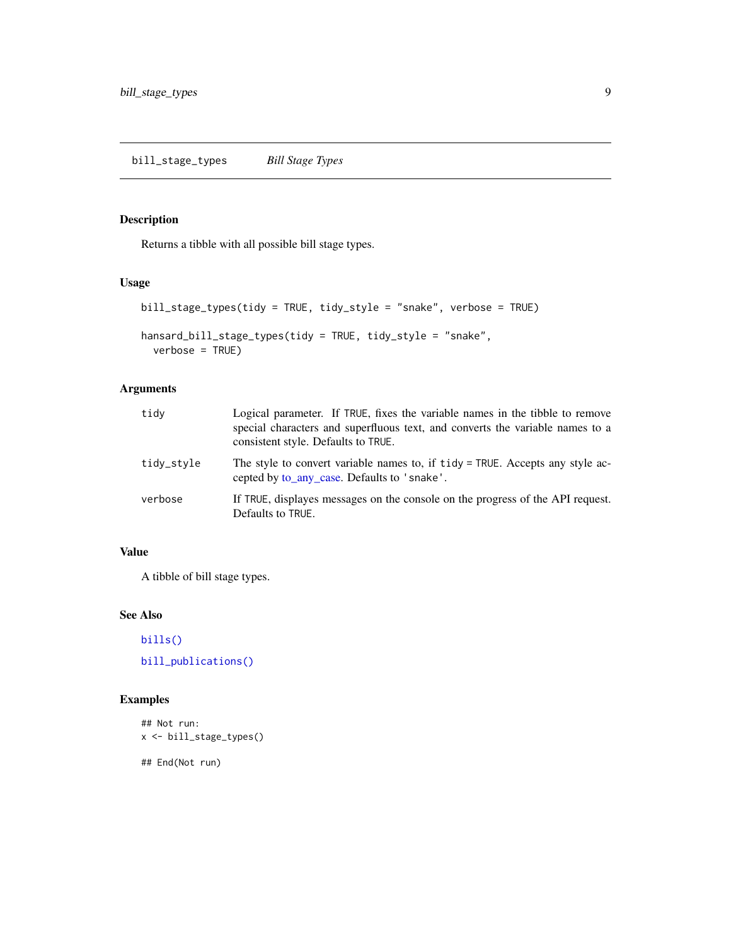# <span id="page-8-1"></span><span id="page-8-0"></span>Description

Returns a tibble with all possible bill stage types.

# Usage

```
bill_stage_types(tidy = TRUE, tidy_style = "snake", verbose = TRUE)
```

```
hansard_bill_stage_types(tidy = TRUE, tidy_style = "snake",
 verbose = TRUE)
```
# Arguments

| tidy       | Logical parameter. If TRUE, fixes the variable names in the tibble to remove<br>special characters and superfluous text, and converts the variable names to a<br>consistent style. Defaults to TRUE. |
|------------|------------------------------------------------------------------------------------------------------------------------------------------------------------------------------------------------------|
| tidy_style | The style to convert variable names to, if tidy = TRUE. Accepts any style ac-<br>cepted by to_any_case. Defaults to 'snake'.                                                                         |
| verbose    | If TRUE, displayes messages on the console on the progress of the API request.<br>Defaults to TRUE.                                                                                                  |

# Value

A tibble of bill stage types.

# See Also

[bills\(\)](#page-4-1)

[bill\\_publications\(\)](#page-6-1)

# Examples

```
## Not run:
x <- bill_stage_types()
```
## End(Not run)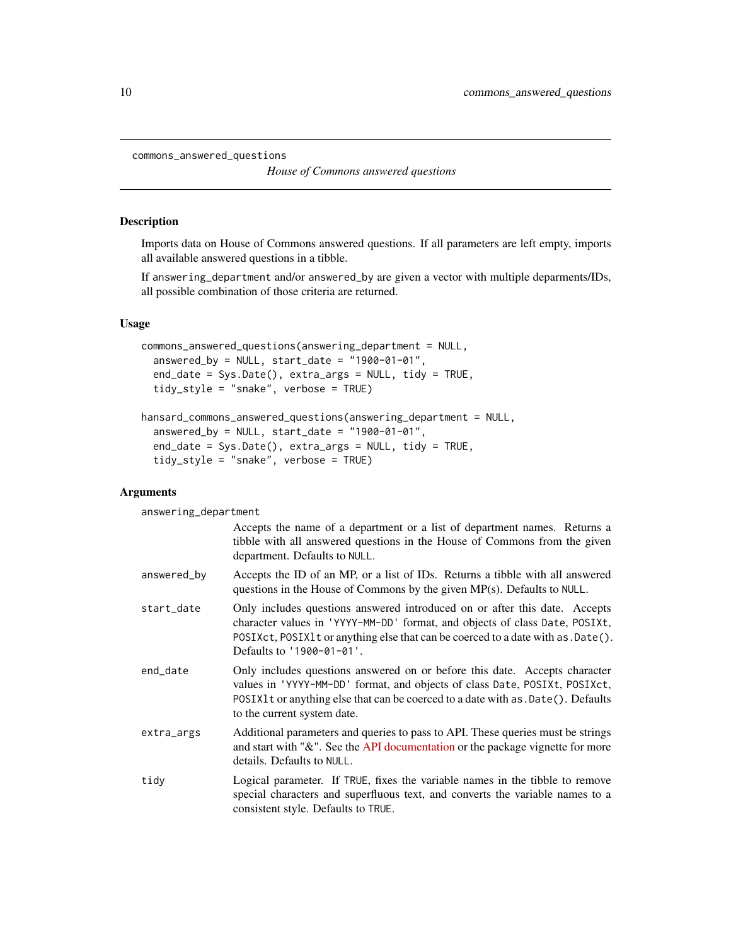```
commons_answered_questions
```
*House of Commons answered questions*

#### Description

Imports data on House of Commons answered questions. If all parameters are left empty, imports all available answered questions in a tibble.

If answering\_department and/or answered\_by are given a vector with multiple deparments/IDs, all possible combination of those criteria are returned.

#### Usage

```
commons_answered_questions(answering_department = NULL,
  answered_by = NULL, start_date = "1900-01-01",
  end_date = Sys.Date(), extra_args = NULL, tidy = TRUE,
  tidy_style = "snake", verbose = TRUE)
```

```
hansard_commons_answered_questions(answering_department = NULL,
 answered_by = NULL, start_date = "1900-01-01",
 end_date = Sys.Date(), extra_args = NULL, tidy = TRUE,
  tidy_style = "snake", verbose = TRUE)
```
# Arguments

answering\_department

|             | Accepts the name of a department or a list of department names. Returns a<br>tibble with all answered questions in the House of Commons from the given<br>department. Defaults to NULL.                                                                                       |
|-------------|-------------------------------------------------------------------------------------------------------------------------------------------------------------------------------------------------------------------------------------------------------------------------------|
| answered_by | Accepts the ID of an MP, or a list of IDs. Returns a tibble with all answered<br>questions in the House of Commons by the given $MP(s)$ . Defaults to NULL.                                                                                                                   |
| start_date  | Only includes questions answered introduced on or after this date. Accepts<br>character values in 'YYYY-MM-DD' format, and objects of class Date, POSIXt,<br>POSIXct, POSIX1 t or anything else that can be coerced to a date with as . Date ().<br>Defaults to '1900-01-01'. |
| end_date    | Only includes questions answered on or before this date. Accepts character<br>values in 'YYYY-MM-DD' format, and objects of class Date, POSIXt, POSIXct,<br>POSIX1t or anything else that can be coerced to a date with as . Date(). Defaults<br>to the current system date.  |
| extra_args  | Additional parameters and queries to pass to API. These queries must be strings<br>and start with "&". See the API documentation or the package vignette for more<br>details. Defaults to NULL.                                                                               |
| tidy        | Logical parameter. If TRUE, fixes the variable names in the tibble to remove<br>special characters and superfluous text, and converts the variable names to a<br>consistent style. Defaults to TRUE.                                                                          |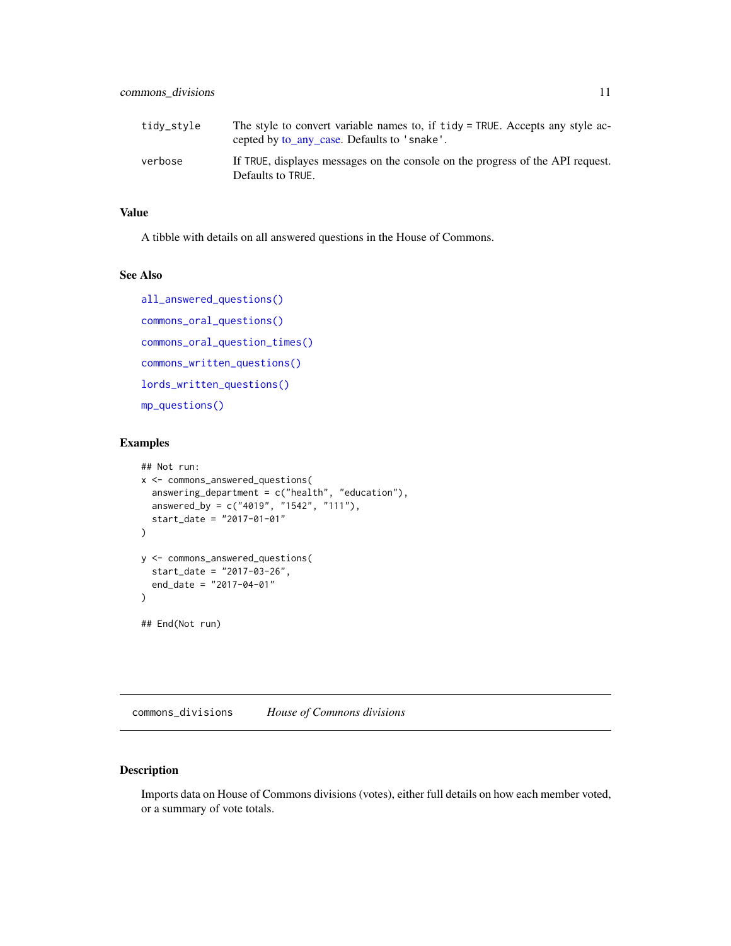<span id="page-10-0"></span>

| tidy_style | The style to convert variable names to, if tidy = TRUE. Accepts any style ac-<br>cepted by to_any_case. Defaults to 'snake'. |
|------------|------------------------------------------------------------------------------------------------------------------------------|
| verbose    | If TRUE, displayes messages on the console on the progress of the API request.<br>Defaults to TRUE.                          |

A tibble with details on all answered questions in the House of Commons.

#### See Also

```
all_answered_questions()
commons_oral_questions()
commons_oral_question_times()
commons_written_questions()
lords_written_questions()
mp_questions()
```
# Examples

```
## Not run:
x <- commons_answered_questions(
  answering_department = c("health", "education"),
  answered_by = c("4019", "1542", "111"),
  start_date = "2017-01-01"
)
y <- commons_answered_questions(
  start_date = "2017-03-26",
  end_date = "2017-04-01"
\mathcal{L}## End(Not run)
```
commons\_divisions *House of Commons divisions*

# Description

Imports data on House of Commons divisions (votes), either full details on how each member voted, or a summary of vote totals.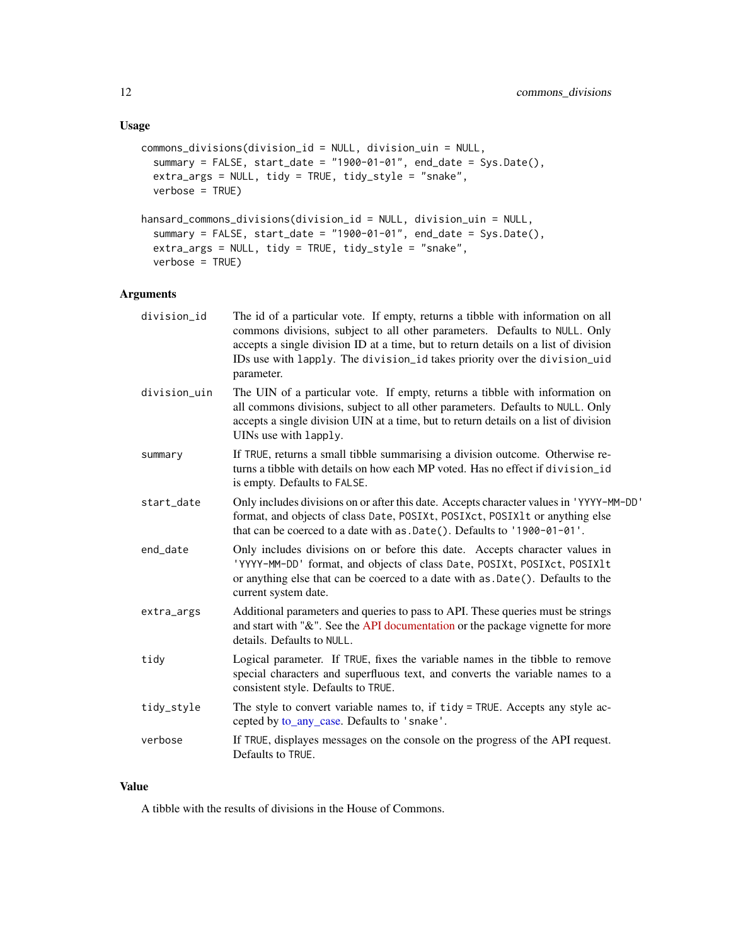# Usage

```
commons_divisions(division_id = NULL, division_uin = NULL,
 summary = FALSE, start_date = "1900-01-01", end_date = Sys.Date(),
 extra_args = NULL, tidy = TRUE, tidy_style = "snake",
 verbose = TRUE)
hansard_commons_divisions(division_id = NULL, division_uin = NULL,
  summary = FALSE, start_date = "1900-01-01", end_date = Sys.Date(),
 extra_args = NULL, tidy = TRUE, tidy_style = "snake",
 verbose = TRUE)
```
#### Arguments

| division_id  | The id of a particular vote. If empty, returns a tibble with information on all<br>commons divisions, subject to all other parameters. Defaults to NULL. Only<br>accepts a single division ID at a time, but to return details on a list of division<br>IDs use with lapply. The division_id takes priority over the division_uid<br>parameter. |
|--------------|-------------------------------------------------------------------------------------------------------------------------------------------------------------------------------------------------------------------------------------------------------------------------------------------------------------------------------------------------|
| division_uin | The UIN of a particular vote. If empty, returns a tibble with information on<br>all commons divisions, subject to all other parameters. Defaults to NULL. Only<br>accepts a single division UIN at a time, but to return details on a list of division<br>UINs use with lapply.                                                                 |
| summary      | If TRUE, returns a small tibble summarising a division outcome. Otherwise re-<br>turns a tibble with details on how each MP voted. Has no effect if division id<br>is empty. Defaults to FALSE.                                                                                                                                                 |
| start_date   | Only includes divisions on or after this date. Accepts character values in 'YYYY-MM-DD'<br>format, and objects of class Date, POSIXt, POSIXct, POSIX1t or anything else<br>that can be coerced to a date with as .Date(). Defaults to '1900-01-01'.                                                                                             |
| end_date     | Only includes divisions on or before this date. Accepts character values in<br>'YYYY-MM-DD' format, and objects of class Date, POSIXt, POSIXct, POSIX1t<br>or anything else that can be coerced to a date with as .Date(). Defaults to the<br>current system date.                                                                              |
| extra_args   | Additional parameters and queries to pass to API. These queries must be strings<br>and start with "&". See the API documentation or the package vignette for more<br>details. Defaults to NULL.                                                                                                                                                 |
| tidy         | Logical parameter. If TRUE, fixes the variable names in the tibble to remove<br>special characters and superfluous text, and converts the variable names to a<br>consistent style. Defaults to TRUE.                                                                                                                                            |
| tidy_style   | The style to convert variable names to, if tidy = TRUE. Accepts any style ac-<br>cepted by to_any_case. Defaults to 'snake'.                                                                                                                                                                                                                    |
| verbose      | If TRUE, displayes messages on the console on the progress of the API request.<br>Defaults to TRUE.                                                                                                                                                                                                                                             |
|              |                                                                                                                                                                                                                                                                                                                                                 |

# Value

A tibble with the results of divisions in the House of Commons.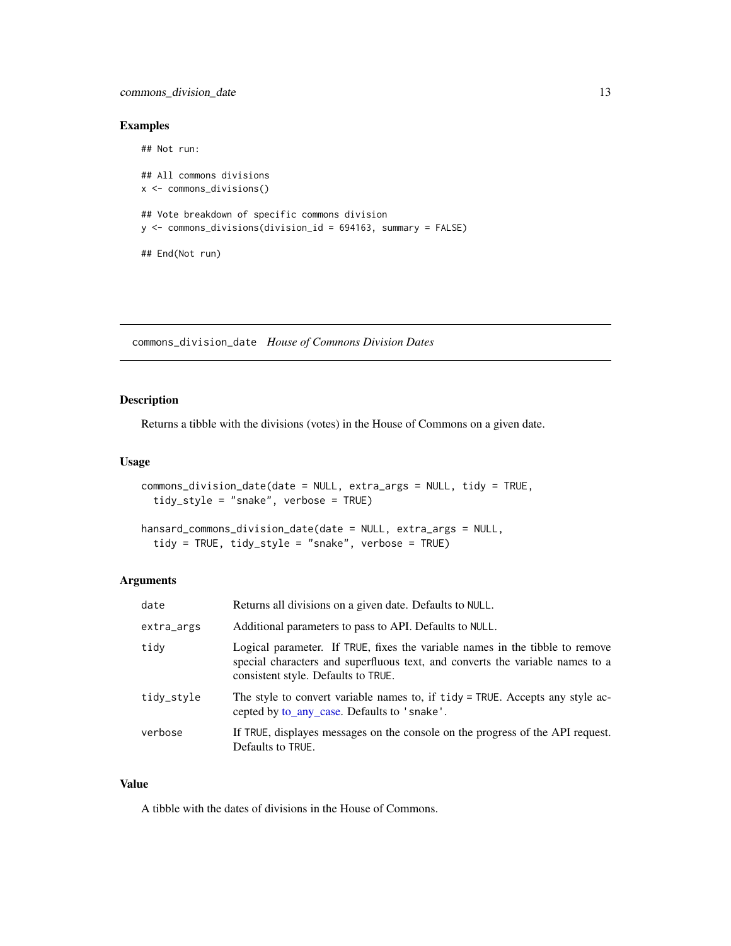# <span id="page-12-0"></span>commons\_division\_date 13

# Examples

```
## Not run:
## All commons divisions
x <- commons_divisions()
## Vote breakdown of specific commons division
y <- commons_divisions(division_id = 694163, summary = FALSE)
## End(Not run)
```
commons\_division\_date *House of Commons Division Dates*

# Description

Returns a tibble with the divisions (votes) in the House of Commons on a given date.

### Usage

```
commons_division_date(date = NULL, extra_args = NULL, tidy = TRUE,
  tidy_style = "snake", verbose = TRUE)
```

```
hansard_commons_division_date(date = NULL, extra_args = NULL,
  tidy = TRUE, tidy_style = "snake", verbose = TRUE)
```
# Arguments

| date       | Returns all divisions on a given date. Defaults to NULL.                                                                                                                                             |
|------------|------------------------------------------------------------------------------------------------------------------------------------------------------------------------------------------------------|
| extra_args | Additional parameters to pass to API. Defaults to NULL.                                                                                                                                              |
| tidy       | Logical parameter. If TRUE, fixes the variable names in the tibble to remove<br>special characters and superfluous text, and converts the variable names to a<br>consistent style. Defaults to TRUE. |
| tidy_style | The style to convert variable names to, if tidy = TRUE. Accepts any style ac-<br>cepted by to_any_case. Defaults to 'snake'.                                                                         |
| verbose    | If TRUE, displayes messages on the console on the progress of the API request.<br>Defaults to TRUE.                                                                                                  |

#### Value

A tibble with the dates of divisions in the House of Commons.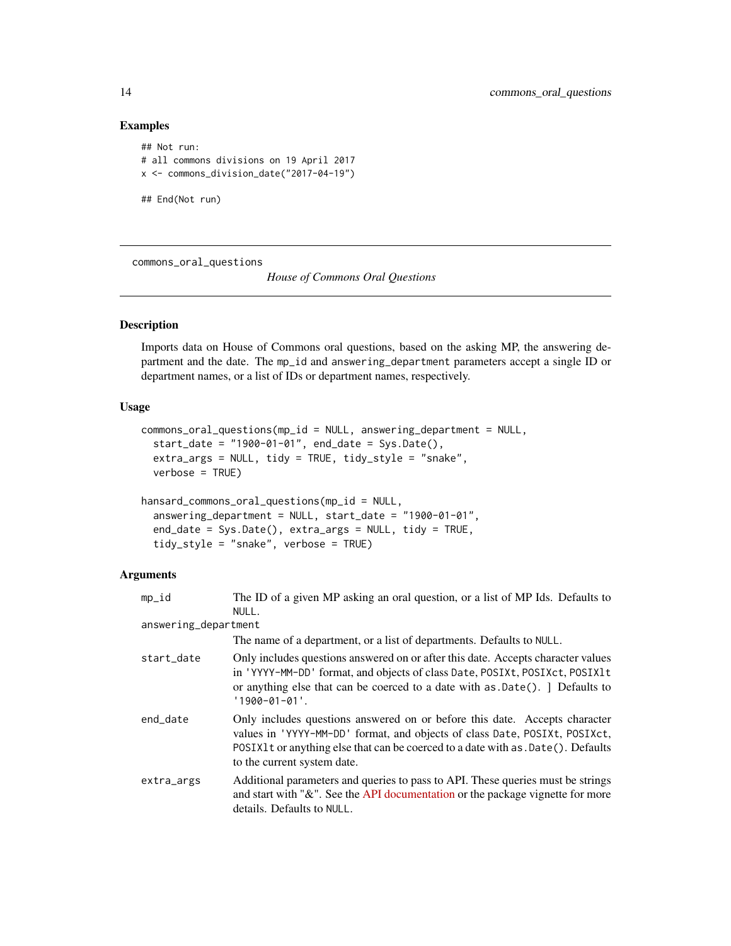# Examples

```
## Not run:
# all commons divisions on 19 April 2017
x <- commons_division_date("2017-04-19")
## End(Not run)
```
<span id="page-13-1"></span>commons\_oral\_questions

*House of Commons Oral Questions*

#### Description

Imports data on House of Commons oral questions, based on the asking MP, the answering department and the date. The mp\_id and answering\_department parameters accept a single ID or department names, or a list of IDs or department names, respectively.

# Usage

```
commons_oral_questions(mp_id = NULL, answering_department = NULL,
  start_date = "1900-01-01", end_date = Sys.Date(),
  extra_args = NULL, tidy = TRUE, tidy_style = "snake",
  verbose = TRUE)
hansard_commons_oral_questions(mp_id = NULL,
```

```
answering_department = NULL, start_date = "1900-01-01",
end_date = Sys.Date(), extra_args = NULL, tidy = TRUE,
tidy_style = "snake", verbose = TRUE)
```

| mp_id                | The ID of a given MP asking an oral question, or a list of MP Ids. Defaults to                                                                                                                                                                                                |
|----------------------|-------------------------------------------------------------------------------------------------------------------------------------------------------------------------------------------------------------------------------------------------------------------------------|
|                      | NULL.                                                                                                                                                                                                                                                                         |
| answering_department |                                                                                                                                                                                                                                                                               |
|                      | The name of a department, or a list of departments. Defaults to NULL.                                                                                                                                                                                                         |
| start_date           | Only includes questions answered on or after this date. Accepts character values<br>in 'YYYY-MM-DD' format, and objects of class Date, POSIXt, POSIXct, POSIX1t<br>or anything else that can be coerced to a date with as .Date(). ] Defaults to<br>$'1900 - 01 - 01'.$       |
| end_date             | Only includes questions answered on or before this date. Accepts character<br>values in 'YYYY-MM-DD' format, and objects of class Date, POSIXt, POSIXct,<br>POSIXIt or anything else that can be coerced to a date with as . Date (). Defaults<br>to the current system date. |
| extra_args           | Additional parameters and queries to pass to API. These queries must be strings<br>and start with " $\&$ ". See the API documentation or the package vignette for more<br>details. Defaults to NULL.                                                                          |

<span id="page-13-0"></span>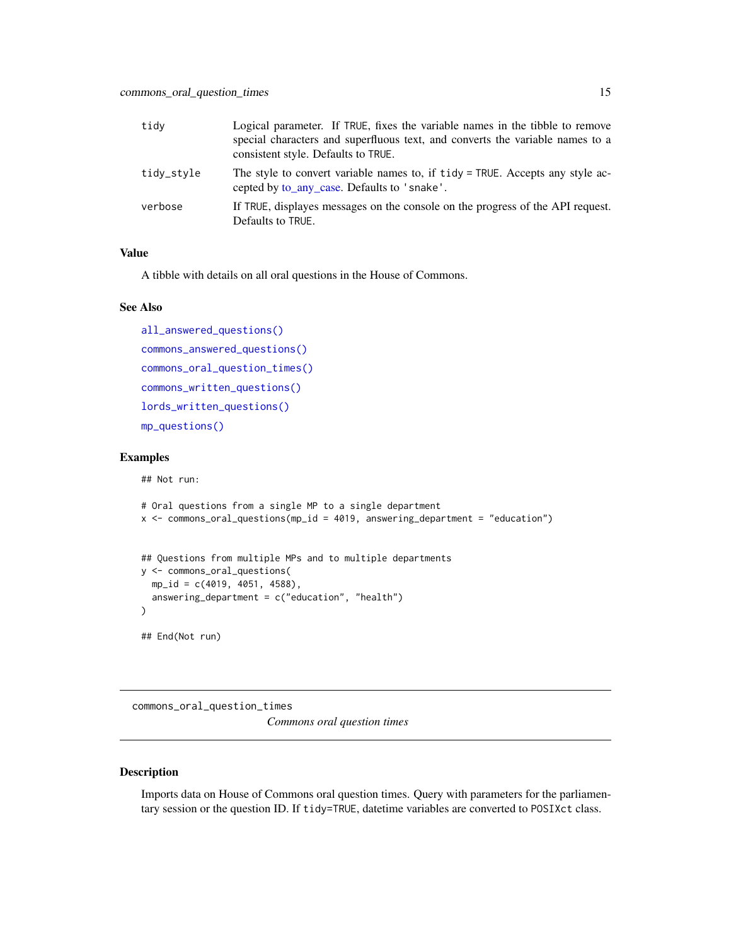<span id="page-14-0"></span>

| tidy       | Logical parameter. If TRUE, fixes the variable names in the tibble to remove<br>special characters and superfluous text, and converts the variable names to a<br>consistent style. Defaults to TRUE. |
|------------|------------------------------------------------------------------------------------------------------------------------------------------------------------------------------------------------------|
| tidy_style | The style to convert variable names to, if tidy = TRUE. Accepts any style ac-<br>cepted by to_any_case. Defaults to 'snake'.                                                                         |
| verbose    | If TRUE, displayes messages on the console on the progress of the API request.<br>Defaults to TRUE.                                                                                                  |

A tibble with details on all oral questions in the House of Commons.

#### See Also

```
all_answered_questions()
commons_answered_questions()
commons_oral_question_times()
commons_written_questions()
lords_written_questions()
mp_questions()
```
#### Examples

## Not run:

```
# Oral questions from a single MP to a single department
x <- commons_oral_questions(mp_id = 4019, answering_department = "education")
## Questions from multiple MPs and to multiple departments
y <- commons_oral_questions(
  mp_id = c(4019, 4051, 4588),
  answering_department = c("education", "health")
\mathcal{L}## End(Not run)
```
<span id="page-14-1"></span>commons\_oral\_question\_times *Commons oral question times*

#### Description

Imports data on House of Commons oral question times. Query with parameters for the parliamentary session or the question ID. If tidy=TRUE, datetime variables are converted to POSIXct class.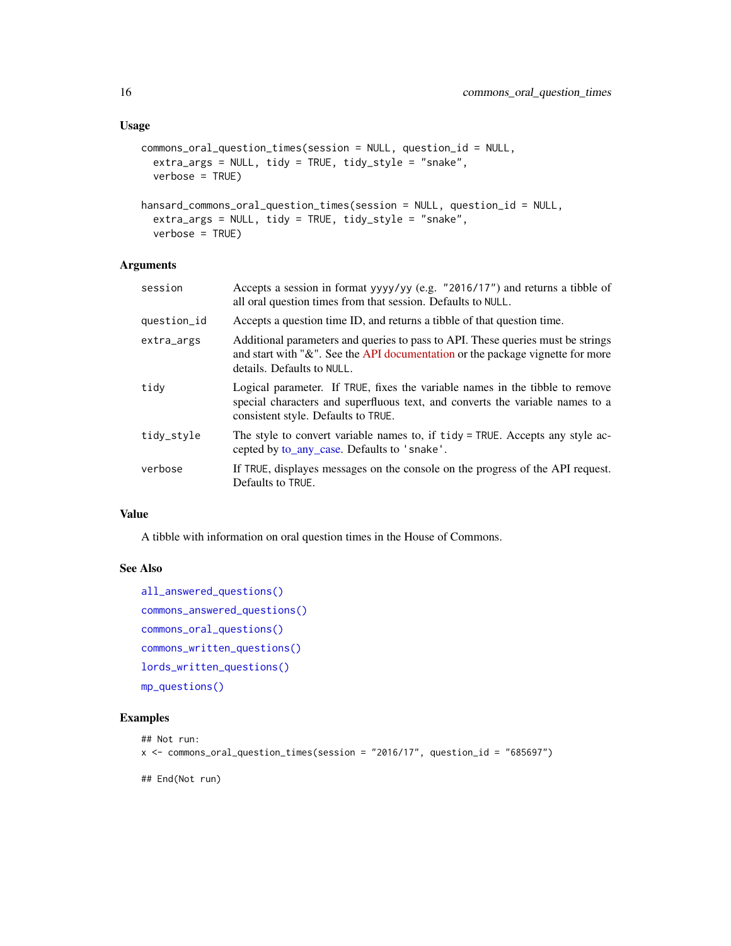#### <span id="page-15-0"></span>Usage

```
commons_oral_question_times(session = NULL, question_id = NULL,
 extra_args = NULL, tidy = TRUE, tidy_style = "snake",
 verbose = TRUE)
```

```
hansard_commons_oral_question_times(session = NULL, question_id = NULL,
 extra_args = NULL, tidy = TRUE, tidy_style = "snake",
 verbose = TRUE)
```
# Arguments

| session     | Accepts a session in format yyyy/yy (e.g. "2016/17") and returns a tibble of<br>all oral question times from that session. Defaults to NULL.                                                         |
|-------------|------------------------------------------------------------------------------------------------------------------------------------------------------------------------------------------------------|
| question_id | Accepts a question time ID, and returns a tibble of that question time.                                                                                                                              |
| extra_args  | Additional parameters and queries to pass to API. These queries must be strings<br>and start with " $\&$ ". See the API documentation or the package vignette for more<br>details. Defaults to NULL. |
| tidv        | Logical parameter. If TRUE, fixes the variable names in the tibble to remove<br>special characters and superfluous text, and converts the variable names to a<br>consistent style. Defaults to TRUE. |
| tidy_style  | The style to convert variable names to, if tidy = TRUE. Accepts any style ac-<br>cepted by to_any_case. Defaults to 'snake'.                                                                         |
| verbose     | If TRUE, displayes messages on the console on the progress of the API request.<br>Defaults to TRUE.                                                                                                  |

#### Value

A tibble with information on oral question times in the House of Commons.

# See Also

```
all_answered_questions()
commons_answered_questions()
commons_oral_questions()
commons_written_questions()
lords_written_questions()
mp_questions()
```
#### Examples

```
## Not run:
x <- commons_oral_question_times(session = "2016/17", question_id = "685697")
## End(Not run)
```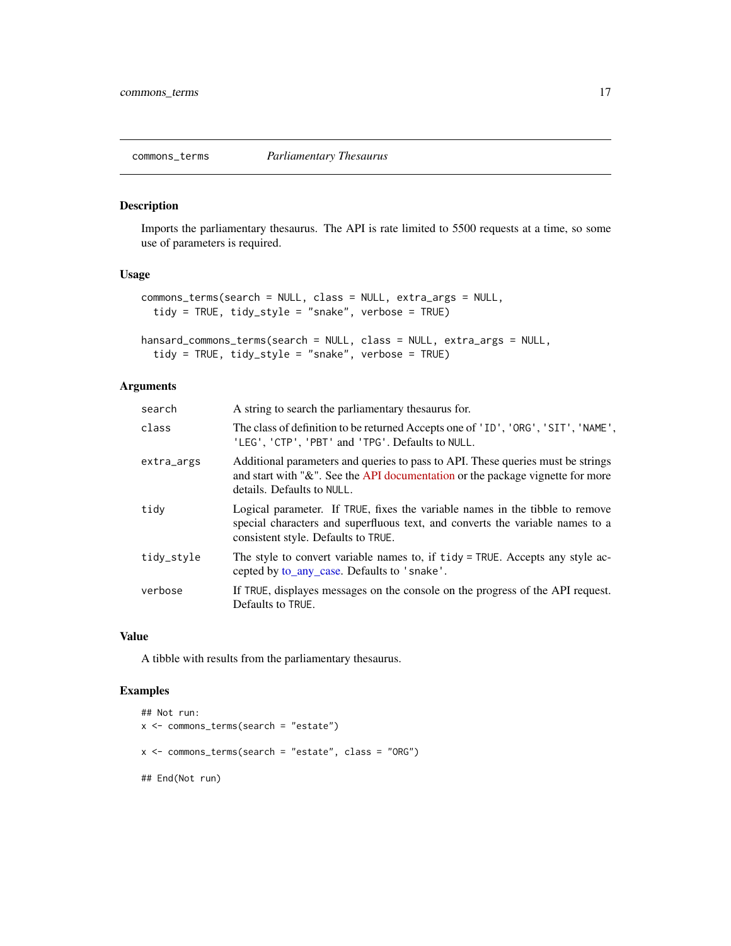<span id="page-16-0"></span>

# Description

Imports the parliamentary thesaurus. The API is rate limited to 5500 requests at a time, so some use of parameters is required.

# Usage

```
commons_terms(search = NULL, class = NULL, extra_args = NULL,
  tidy = TRUE, tidy_style = "snake", verbose = TRUE)
```

```
hansard_commons_terms(search = NULL, class = NULL, extra_args = NULL,
  tidy = TRUE, tidy_style = "snake", verbose = TRUE)
```
# Arguments

| search     | A string to search the parliamentary the saurus for.                                                                                                                                                 |
|------------|------------------------------------------------------------------------------------------------------------------------------------------------------------------------------------------------------|
| class      | The class of definition to be returned Accepts one of 'ID', 'ORG', 'SIT', 'NAME',<br>'LEG', 'CTP', 'PBT' and 'TPG'. Defaults to NULL.                                                                |
| extra_args | Additional parameters and queries to pass to API. These queries must be strings<br>and start with " $\&$ ". See the API documentation or the package vignette for more<br>details. Defaults to NULL. |
| tidy       | Logical parameter. If TRUE, fixes the variable names in the tibble to remove<br>special characters and superfluous text, and converts the variable names to a<br>consistent style. Defaults to TRUE. |
| tidy_style | The style to convert variable names to, if tidy = TRUE. Accepts any style ac-<br>cepted by to_any_case. Defaults to 'snake'.                                                                         |
| verbose    | If TRUE, displayes messages on the console on the progress of the API request.<br>Defaults to TRUE.                                                                                                  |

#### Value

A tibble with results from the parliamentary thesaurus.

# Examples

```
## Not run:
x <- commons_terms(search = "estate")
x \le - commons_terms(search = "estate", class = "ORG")
## End(Not run)
```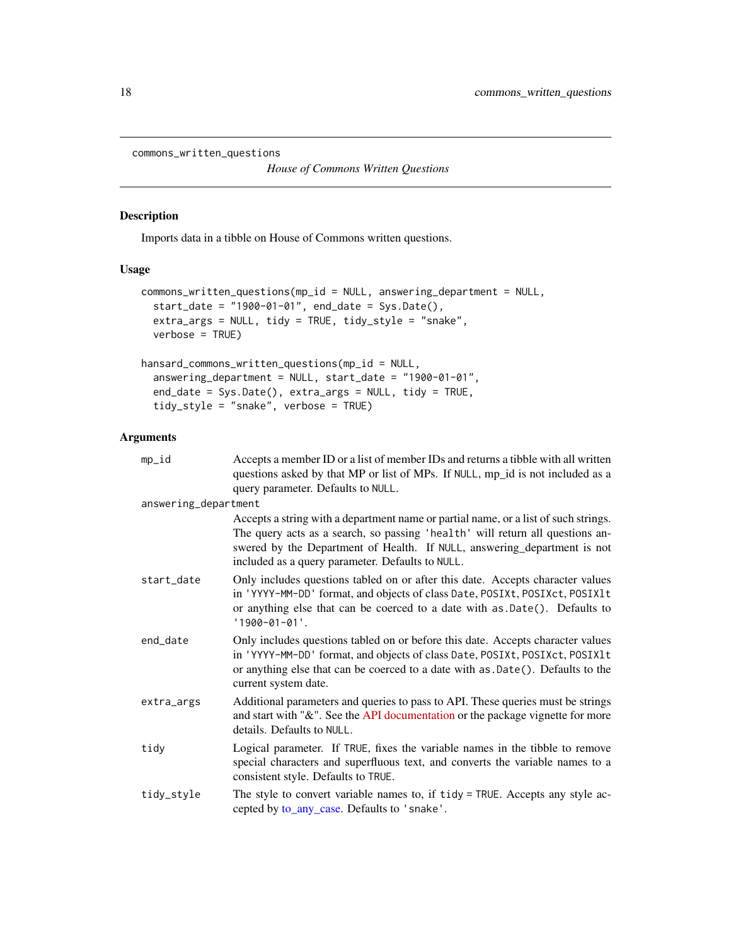```
commons_written_questions
```
*House of Commons Written Questions*

# Description

Imports data in a tibble on House of Commons written questions.

# Usage

```
commons_written_questions(mp_id = NULL, answering_department = NULL,
 start_date = "1900-01-01", end_date = Sys.Date(),
 extra_args = NULL, tidy = TRUE, tidy_style = "snake",
 verbose = TRUE)
```

```
hansard_commons_written_questions(mp_id = NULL,
  answering_department = NULL, start_date = "1900-01-01",
 end_date = Sys.Date(), extra_args = NULL, tidy = TRUE,
  tidy_style = "snake", verbose = TRUE)
```

| mp_id                | Accepts a member ID or a list of member IDs and returns a tibble with all written<br>questions asked by that MP or list of MPs. If NULL, mp_id is not included as a<br>query parameter. Defaults to NULL.                                                                                            |
|----------------------|------------------------------------------------------------------------------------------------------------------------------------------------------------------------------------------------------------------------------------------------------------------------------------------------------|
| answering_department |                                                                                                                                                                                                                                                                                                      |
|                      | Accepts a string with a department name or partial name, or a list of such strings.<br>The query acts as a search, so passing 'health' will return all questions an-<br>swered by the Department of Health. If NULL, answering_department is not<br>included as a query parameter. Defaults to NULL. |
| start_date           | Only includes questions tabled on or after this date. Accepts character values<br>in 'YYYY-MM-DD' format, and objects of class Date, POSIXt, POSIXct, POSIX1t<br>or anything else that can be coerced to a date with as .Date(). Defaults to<br>$'1900 - 01 - 01'.$                                  |
| end_date             | Only includes questions tabled on or before this date. Accepts character values<br>in 'YYYY-MM-DD' format, and objects of class Date, POSIXt, POSIXct, POSIX1t<br>or anything else that can be coerced to a date with as .Date(). Defaults to the<br>current system date.                            |
| extra_args           | Additional parameters and queries to pass to API. These queries must be strings<br>and start with "&". See the API documentation or the package vignette for more<br>details. Defaults to NULL.                                                                                                      |
| tidy                 | Logical parameter. If TRUE, fixes the variable names in the tibble to remove<br>special characters and superfluous text, and converts the variable names to a<br>consistent style. Defaults to TRUE.                                                                                                 |
| tidy_style           | The style to convert variable names to, if tidy = TRUE. Accepts any style ac-<br>cepted by to_any_case. Defaults to 'snake'.                                                                                                                                                                         |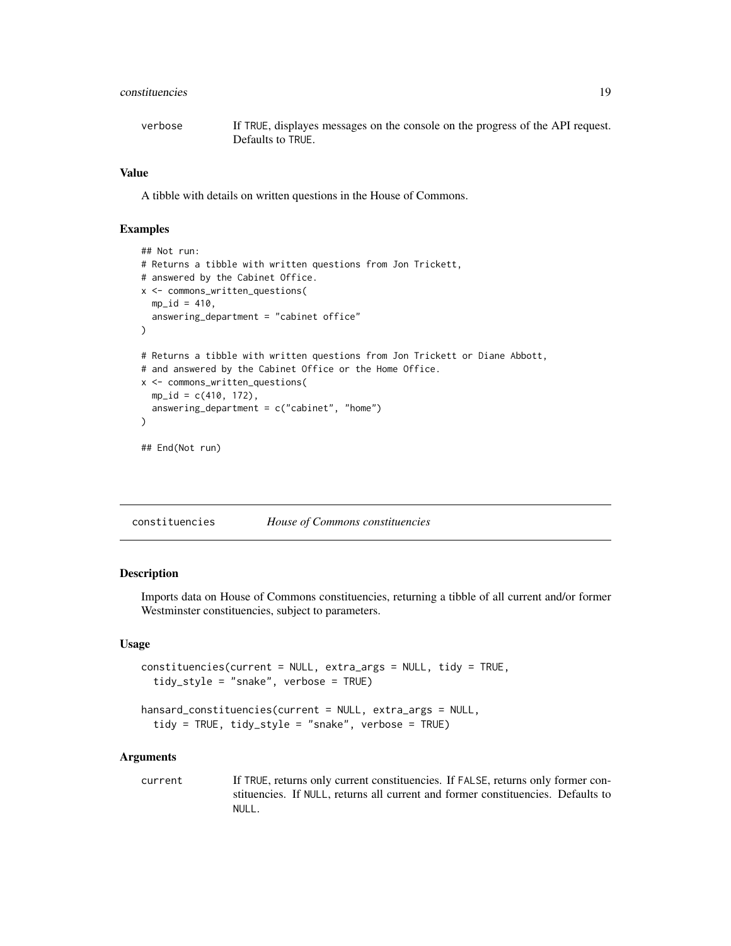# <span id="page-18-0"></span>constituencies and the constituencies of the constituencies of the constituencies of the constituencies of the constituencies of the constituencies of the constituencies of the constituencies of the constituencies of the c

| verbose | If TRUE, displayes messages on the console on the progress of the API request. |
|---------|--------------------------------------------------------------------------------|
|         | Defaults to TRUE.                                                              |

#### Value

A tibble with details on written questions in the House of Commons.

#### Examples

```
## Not run:
# Returns a tibble with written questions from Jon Trickett,
# answered by the Cabinet Office.
x <- commons_written_questions(
 mp_id = 410,
  answering_department = "cabinet office"
\mathcal{L}# Returns a tibble with written questions from Jon Trickett or Diane Abbott,
# and answered by the Cabinet Office or the Home Office.
x <- commons_written_questions(
  mp_id = c(410, 172),
  answering_department = c("cabinet", "home")\mathcal{L}## End(Not run)
```

| constituencies | House of Commons constituencies |  |
|----------------|---------------------------------|--|
|----------------|---------------------------------|--|

#### Description

Imports data on House of Commons constituencies, returning a tibble of all current and/or former Westminster constituencies, subject to parameters.

# Usage

```
constituencies(current = NULL, extra_args = NULL, tidy = TRUE,
  tidy_style = "snake", verbose = TRUE)
```

```
hansard_constituencies(current = NULL, extra_args = NULL,
  tidy = TRUE, tidy_style = "snake", verbose = TRUE)
```
#### Arguments

current If TRUE, returns only current constituencies. If FALSE, returns only former constituencies. If NULL, returns all current and former constituencies. Defaults to NULL.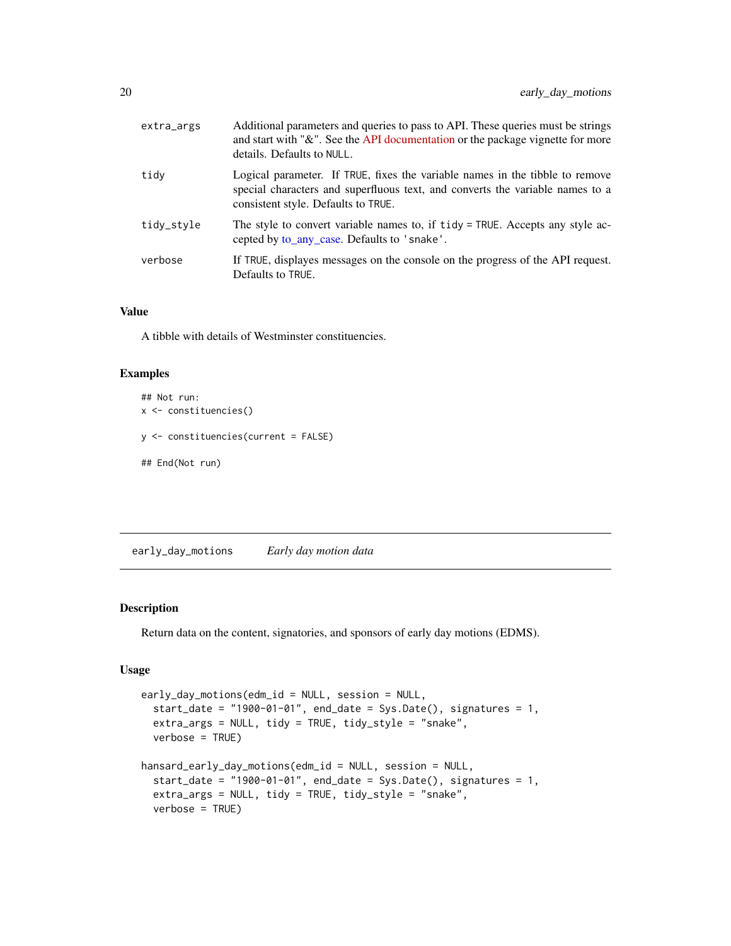<span id="page-19-0"></span>

| extra_args | Additional parameters and queries to pass to API. These queries must be strings<br>and start with "&". See the API documentation or the package vignette for more<br>details. Defaults to NULL.      |
|------------|------------------------------------------------------------------------------------------------------------------------------------------------------------------------------------------------------|
| tidy       | Logical parameter. If TRUE, fixes the variable names in the tibble to remove<br>special characters and superfluous text, and converts the variable names to a<br>consistent style. Defaults to TRUE. |
| tidy_style | The style to convert variable names to, if tidy = TRUE. Accepts any style ac-<br>cepted by to_any_case. Defaults to 'snake'.                                                                         |
| verbose    | If TRUE, displayes messages on the console on the progress of the API request.<br>Defaults to TRUE.                                                                                                  |

A tibble with details of Westminster constituencies.

# Examples

```
## Not run:
x <- constituencies()
y <- constituencies(current = FALSE)
## End(Not run)
```
<span id="page-19-1"></span>early\_day\_motions *Early day motion data*

#### Description

Return data on the content, signatories, and sponsors of early day motions (EDMS).

# Usage

```
early_day_motions(edm_id = NULL, session = NULL,
  start_date = "1900-01-01", end_date = Sys.Date(), signatures = 1,
 extra_args = NULL, tidy = TRUE, tidy_style = "snake",
 verbose = TRUE)
hansard_early_day_motions(edm_id = NULL, session = NULL,
  start_date = "1900-01-01", end_date = Sys.Date(), signatures = 1,
  extra_args = NULL, tidy = TRUE, tidy_style = "snake",
 verbose = TRUE)
```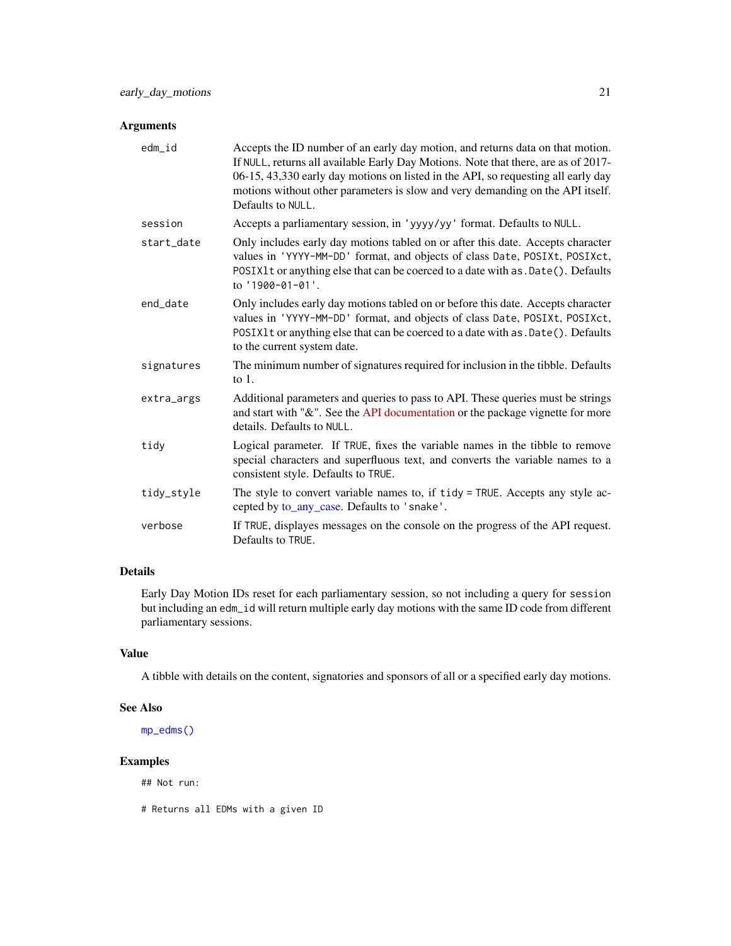# <span id="page-20-0"></span>Arguments

| edm_id     | Accepts the ID number of an early day motion, and returns data on that motion.<br>If NULL, returns all available Early Day Motions. Note that there, are as of 2017-<br>06-15, 43,330 early day motions on listed in the API, so requesting all early day<br>motions without other parameters is slow and very demanding on the API itself.<br>Defaults to NULL. |
|------------|------------------------------------------------------------------------------------------------------------------------------------------------------------------------------------------------------------------------------------------------------------------------------------------------------------------------------------------------------------------|
| session    | Accepts a parliamentary session, in 'yyyy/yy' format. Defaults to NULL.                                                                                                                                                                                                                                                                                          |
| start_date | Only includes early day motions tabled on or after this date. Accepts character<br>values in 'YYYY-MM-DD' format, and objects of class Date, POSIXt, POSIXct,<br>POSIX1t or anything else that can be coerced to a date with as . Date(). Defaults<br>to '1900-01-01'.                                                                                           |
| end date   | Only includes early day motions tabled on or before this date. Accepts character<br>values in 'YYYY-MM-DD' format, and objects of class Date, POSIXt, POSIXct,<br>POSIX1t or anything else that can be coerced to a date with as . Date(). Defaults<br>to the current system date.                                                                               |
| signatures | The minimum number of signatures required for inclusion in the tibble. Defaults<br>to $1$ .                                                                                                                                                                                                                                                                      |
| extra_args | Additional parameters and queries to pass to API. These queries must be strings<br>and start with "&". See the API documentation or the package vignette for more<br>details. Defaults to NULL.                                                                                                                                                                  |
| tidy       | Logical parameter. If TRUE, fixes the variable names in the tibble to remove<br>special characters and superfluous text, and converts the variable names to a<br>consistent style. Defaults to TRUE.                                                                                                                                                             |
| tidy_style | The style to convert variable names to, if tidy = TRUE. Accepts any style ac-<br>cepted by to_any_case. Defaults to 'snake'.                                                                                                                                                                                                                                     |
| verbose    | If TRUE, displayes messages on the console on the progress of the API request.<br>Defaults to TRUE.                                                                                                                                                                                                                                                              |

# Details

Early Day Motion IDs reset for each parliamentary session, so not including a query for session but including an edm\_id will return multiple early day motions with the same ID code from different parliamentary sessions.

# Value

A tibble with details on the content, signatories and sponsors of all or a specified early day motions.

#### See Also

[mp\\_edms\(\)](#page-43-1)

# Examples

## Not run:

# Returns all EDMs with a given ID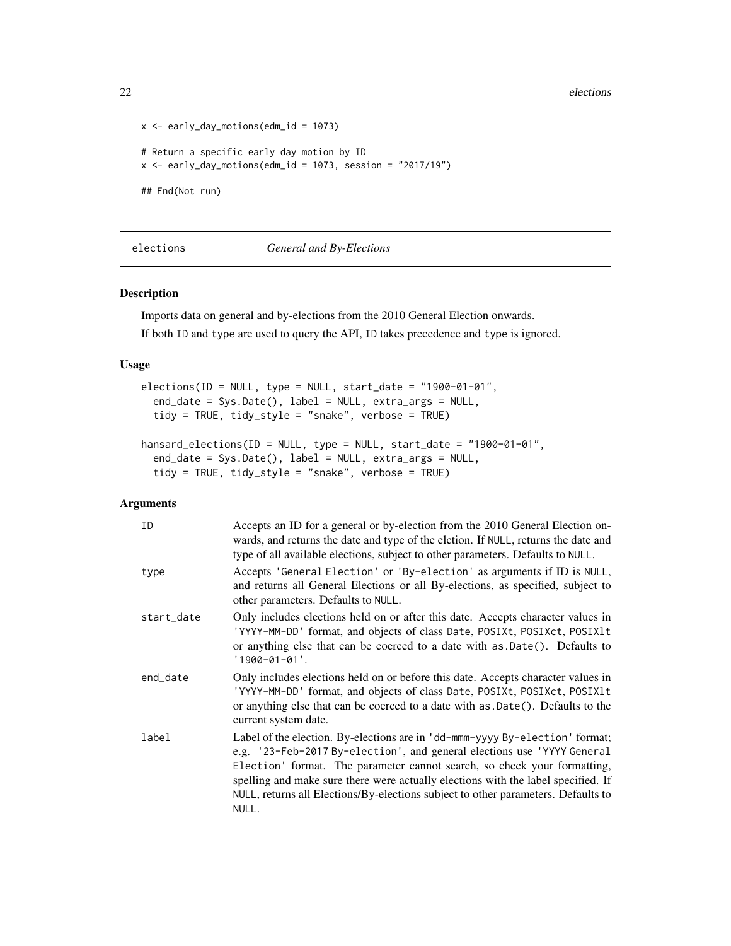22 elections and the contract of the contract of the contract of the contract of the contract of the contract of the contract of the contract of the contract of the contract of the contract of the contract of the contract

```
x \le - early_day_motions(edm_id = 1073)
# Return a specific early day motion by ID
x \le - early_day_motions(edm_id = 1073, session = "2017/19")
## End(Not run)
```
#### <span id="page-21-1"></span>elections *General and By-Elections*

#### Description

Imports data on general and by-elections from the 2010 General Election onwards. If both ID and type are used to query the API, ID takes precedence and type is ignored.

# Usage

```
elections(ID = NULL, type = NULL, start_data = "1900-01-01",end_date = Sys.Date(), label = NULL, extra_args = NULL,
  tidy = TRUE, tidy_style = "snake", verbose = TRUE)
hansard_elections(ID = NULL, type = NULL, start_date = "1900-01-01",
```

```
end_date = Sys.Date(), label = NULL, extra_args = NULL,
tidy = TRUE, tidy_style = "snake", verbose = TRUE)
```

| ID         | Accepts an ID for a general or by-election from the 2010 General Election on-<br>wards, and returns the date and type of the elction. If NULL, returns the date and<br>type of all available elections, subject to other parameters. Defaults to NULL.                                                                                                                                                                 |
|------------|------------------------------------------------------------------------------------------------------------------------------------------------------------------------------------------------------------------------------------------------------------------------------------------------------------------------------------------------------------------------------------------------------------------------|
| type       | Accepts 'General Election' or 'By-election' as arguments if ID is NULL,<br>and returns all General Elections or all By-elections, as specified, subject to<br>other parameters. Defaults to NULL.                                                                                                                                                                                                                      |
| start_date | Only includes elections held on or after this date. Accepts character values in<br>'YYYY-MM-DD' format, and objects of class Date, POSIXt, POSIXct, POSIX1t<br>or anything else that can be coerced to a date with as .Date(). Defaults to<br>$'1900 - 01 - 01'.$                                                                                                                                                      |
| end date   | Only includes elections held on or before this date. Accepts character values in<br>'YYYY-MM-DD' format, and objects of class Date, POSIXt, POSIXct, POSIX1t<br>or anything else that can be coerced to a date with as .Date(). Defaults to the<br>current system date.                                                                                                                                                |
| label      | Label of the election. By-elections are in 'dd-mmm-yyyy By-election' format;<br>e.g. '23-Feb-2017 By-election', and general elections use 'YYYY General<br>Election' format. The parameter cannot search, so check your formatting,<br>spelling and make sure there were actually elections with the label specified. If<br>NULL, returns all Elections/By-elections subject to other parameters. Defaults to<br>NULL. |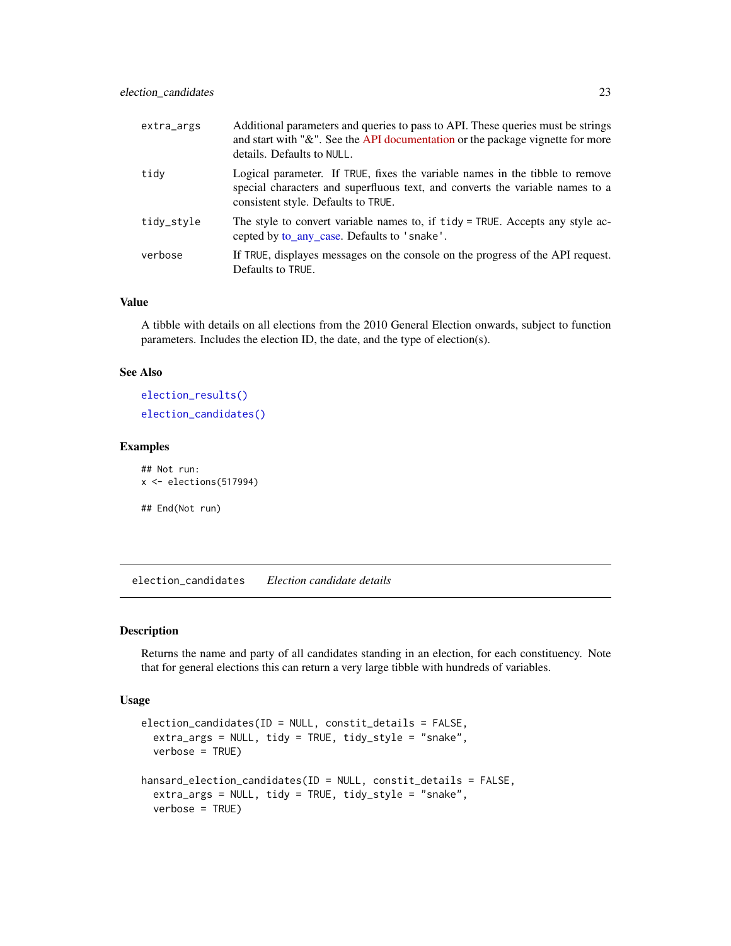<span id="page-22-0"></span>

| extra_args | Additional parameters and queries to pass to API. These queries must be strings<br>and start with "&". See the API documentation or the package vignette for more<br>details. Defaults to NULL.      |
|------------|------------------------------------------------------------------------------------------------------------------------------------------------------------------------------------------------------|
| tidy       | Logical parameter. If TRUE, fixes the variable names in the tibble to remove<br>special characters and superfluous text, and converts the variable names to a<br>consistent style. Defaults to TRUE. |
| tidy_style | The style to convert variable names to, if tidy = TRUE. Accepts any style ac-<br>cepted by to_any_case. Defaults to 'snake'.                                                                         |
| verbose    | If TRUE, displayes messages on the console on the progress of the API request.<br>Defaults to TRUE.                                                                                                  |

A tibble with details on all elections from the 2010 General Election onwards, subject to function parameters. Includes the election ID, the date, and the type of election(s).

#### See Also

```
election_results()
election_candidates()
```
#### Examples

## Not run: x <- elections(517994)

## End(Not run)

<span id="page-22-1"></span>election\_candidates *Election candidate details*

# Description

Returns the name and party of all candidates standing in an election, for each constituency. Note that for general elections this can return a very large tibble with hundreds of variables.

#### Usage

```
election_candidates(ID = NULL, constit_details = FALSE,
  extra_args = NULL, tidy = TRUE, tidy_style = "snake",
  verbose = TRUE)
hansard_election_candidates(ID = NULL, constit_details = FALSE,
  extra_args = NULL, tidy = TRUE, tidy_style = "snake",
  verbose = TRUE)
```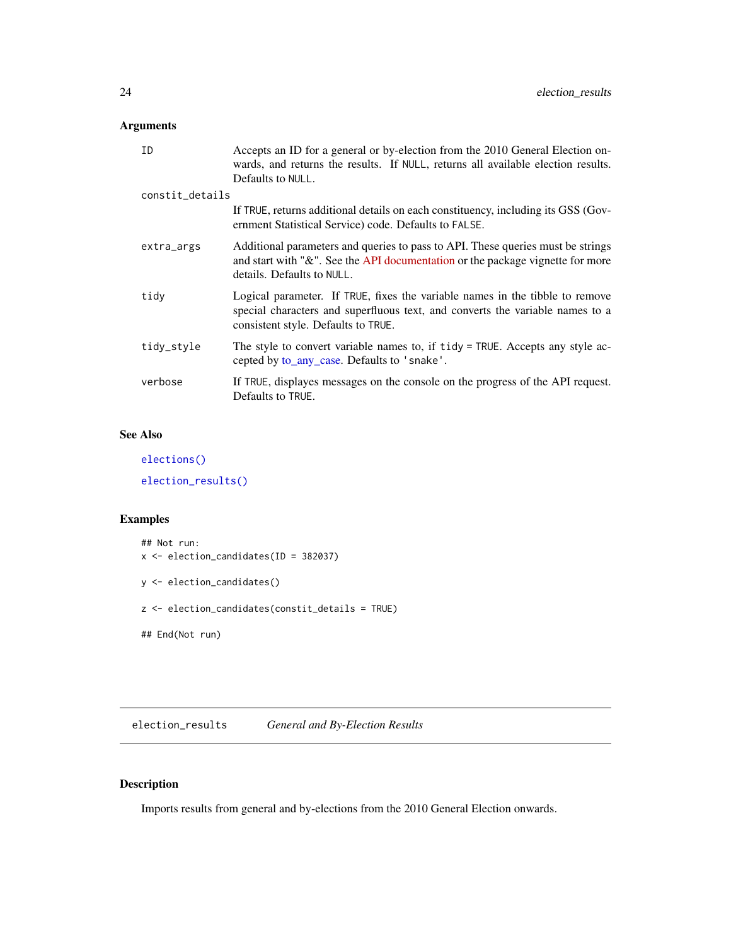# <span id="page-23-0"></span>Arguments

| Accepts an ID for a general or by-election from the 2010 General Election on-<br>wards, and returns the results. If NULL, returns all available election results.                                    |
|------------------------------------------------------------------------------------------------------------------------------------------------------------------------------------------------------|
|                                                                                                                                                                                                      |
| If TRUE, returns additional details on each constituency, including its GSS (Gov-<br>ernment Statistical Service) code. Defaults to FALSE.                                                           |
| Additional parameters and queries to pass to API. These queries must be strings<br>and start with " $\&$ ". See the API documentation or the package vignette for more<br>details. Defaults to NULL. |
| Logical parameter. If TRUE, fixes the variable names in the tibble to remove<br>special characters and superfluous text, and converts the variable names to a<br>consistent style. Defaults to TRUE. |
| The style to convert variable names to, if tidy = TRUE. Accepts any style ac-<br>cepted by to_any_case. Defaults to 'snake'.                                                                         |
| If TRUE, displayes messages on the console on the progress of the API request.                                                                                                                       |
|                                                                                                                                                                                                      |

# See Also

[elections\(\)](#page-21-1)

[election\\_results\(\)](#page-23-1)

# Examples

```
## Not run:
x <- election_candidates(ID = 382037)
y <- election_candidates()
z <- election_candidates(constit_details = TRUE)
## End(Not run)
```
<span id="page-23-1"></span>election\_results *General and By-Election Results*

# Description

Imports results from general and by-elections from the 2010 General Election onwards.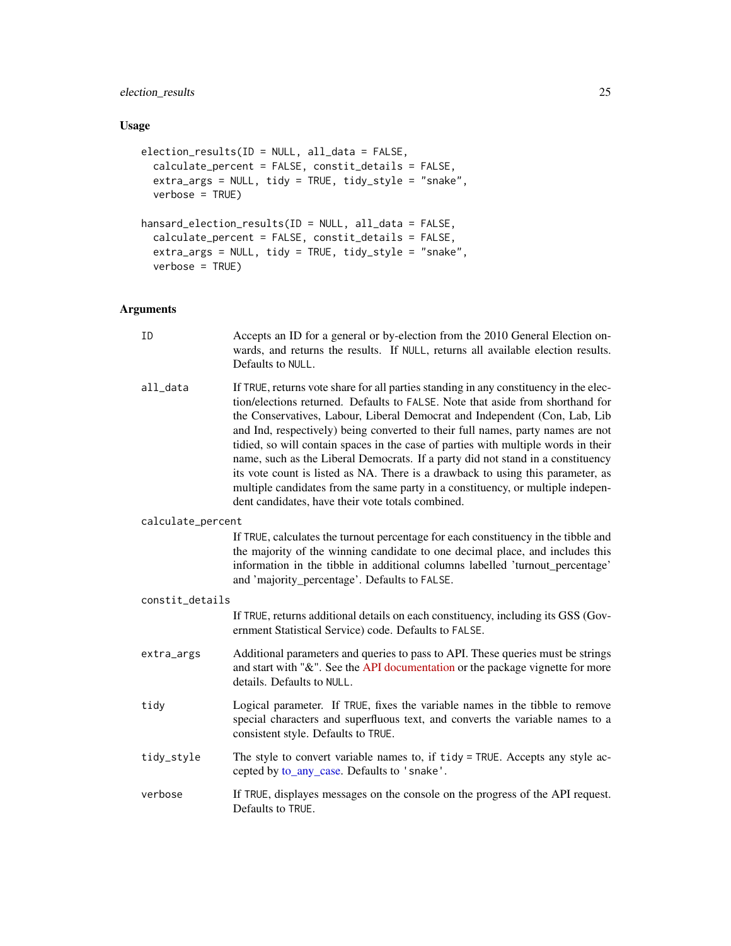# <span id="page-24-0"></span>election\_results 25

# Usage

```
election_results(ID = NULL, all_data = FALSE,
 calculate_percent = FALSE, constit_details = FALSE,
 extra_args = NULL, tidy = TRUE, tidy_style = "snake",
 verbose = TRUE)
hansard_election_results(ID = NULL, all_data = FALSE,
  calculate_percent = FALSE, constit_details = FALSE,
 ext{ra\_args} = NULL, tidy = TRUE, tidy_style = "snake",
 verbose = TRUE)
```

| ID                | Accepts an ID for a general or by-election from the 2010 General Election on-<br>wards, and returns the results. If NULL, returns all available election results.<br>Defaults to NULL.                                                                                                                                                                                                                                                                                                                                                                                                                                                                                                                                                       |
|-------------------|----------------------------------------------------------------------------------------------------------------------------------------------------------------------------------------------------------------------------------------------------------------------------------------------------------------------------------------------------------------------------------------------------------------------------------------------------------------------------------------------------------------------------------------------------------------------------------------------------------------------------------------------------------------------------------------------------------------------------------------------|
| all_data          | If TRUE, returns vote share for all parties standing in any constituency in the elec-<br>tion/elections returned. Defaults to FALSE. Note that aside from shorthand for<br>the Conservatives, Labour, Liberal Democrat and Independent (Con, Lab, Lib<br>and Ind, respectively) being converted to their full names, party names are not<br>tidied, so will contain spaces in the case of parties with multiple words in their<br>name, such as the Liberal Democrats. If a party did not stand in a constituency<br>its vote count is listed as NA. There is a drawback to using this parameter, as<br>multiple candidates from the same party in a constituency, or multiple indepen-<br>dent candidates, have their vote totals combined. |
| calculate_percent |                                                                                                                                                                                                                                                                                                                                                                                                                                                                                                                                                                                                                                                                                                                                              |
|                   | If TRUE, calculates the turnout percentage for each constituency in the tibble and<br>the majority of the winning candidate to one decimal place, and includes this<br>information in the tibble in additional columns labelled 'turnout_percentage'<br>and 'majority_percentage'. Defaults to FALSE.                                                                                                                                                                                                                                                                                                                                                                                                                                        |
| constit_details   |                                                                                                                                                                                                                                                                                                                                                                                                                                                                                                                                                                                                                                                                                                                                              |
|                   | If TRUE, returns additional details on each constituency, including its GSS (Gov-<br>ernment Statistical Service) code. Defaults to FALSE.                                                                                                                                                                                                                                                                                                                                                                                                                                                                                                                                                                                                   |
| extra_args        | Additional parameters and queries to pass to API. These queries must be strings<br>and start with "&". See the API documentation or the package vignette for more<br>details. Defaults to NULL.                                                                                                                                                                                                                                                                                                                                                                                                                                                                                                                                              |
| tidy              | Logical parameter. If TRUE, fixes the variable names in the tibble to remove<br>special characters and superfluous text, and converts the variable names to a<br>consistent style. Defaults to TRUE.                                                                                                                                                                                                                                                                                                                                                                                                                                                                                                                                         |
| tidy_style        | The style to convert variable names to, if tidy = TRUE. Accepts any style ac-<br>cepted by to_any_case. Defaults to 'snake'.                                                                                                                                                                                                                                                                                                                                                                                                                                                                                                                                                                                                                 |
| verbose           | If TRUE, displayes messages on the console on the progress of the API request.<br>Defaults to TRUE.                                                                                                                                                                                                                                                                                                                                                                                                                                                                                                                                                                                                                                          |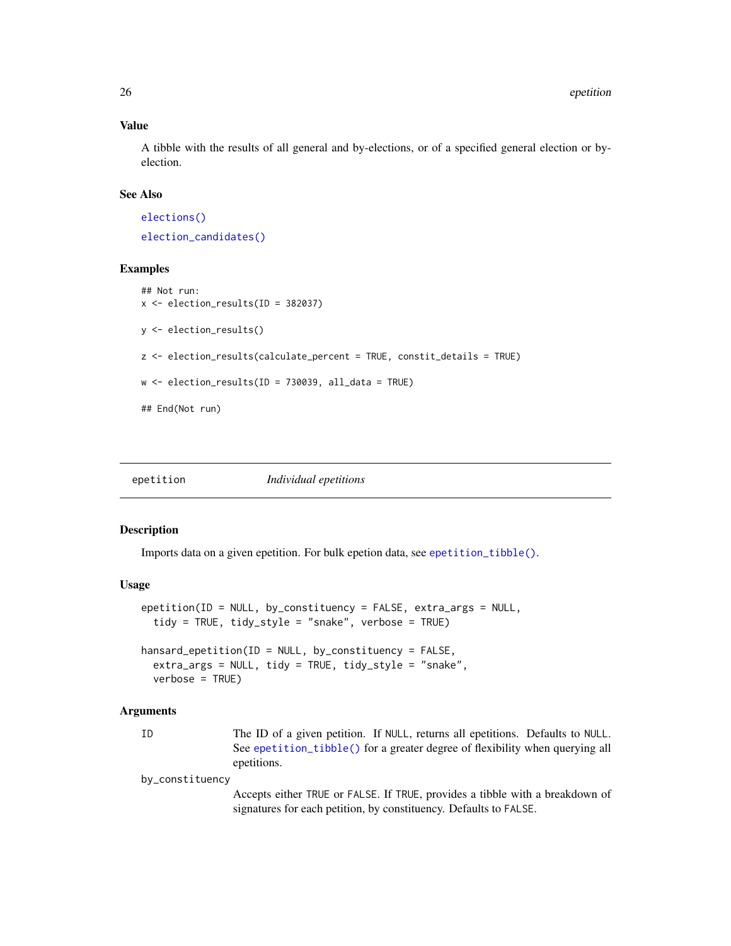A tibble with the results of all general and by-elections, or of a specified general election or byelection.

# See Also

[elections\(\)](#page-21-1) [election\\_candidates\(\)](#page-22-1)

#### Examples

```
## Not run:
x <- election_results(ID = 382037)
y <- election_results()
z <- election_results(calculate_percent = TRUE, constit_details = TRUE)
w \leq election_results(ID = 730039, all_data = TRUE)
## End(Not run)
```
<span id="page-25-1"></span>epetition *Individual epetitions*

#### Description

Imports data on a given epetition. For bulk epetion data, see [epetition\\_tibble\(\)](#page-26-1).

# Usage

```
epetition(ID = NULL, by_constituency = FALSE, extra_args = NULL,
  tidy = TRUE, tidy_style = "snake", verbose = TRUE)
```

```
hansard_epetition(ID = NULL, by_constituency = FALSE,
 extra_args = NULL, tidy = TRUE, tidy_style = "snake",
 verbose = TRUE)
```
#### Arguments

| × | i<br>۰. |  |
|---|---------|--|
|   |         |  |

The ID of a given petition. If NULL, returns all epetitions. Defaults to NULL. See [epetition\\_tibble\(\)](#page-26-1) for a greater degree of flexibility when querying all epetitions.

by\_constituency

Accepts either TRUE or FALSE. If TRUE, provides a tibble with a breakdown of signatures for each petition, by constituency. Defaults to FALSE.

<span id="page-25-0"></span>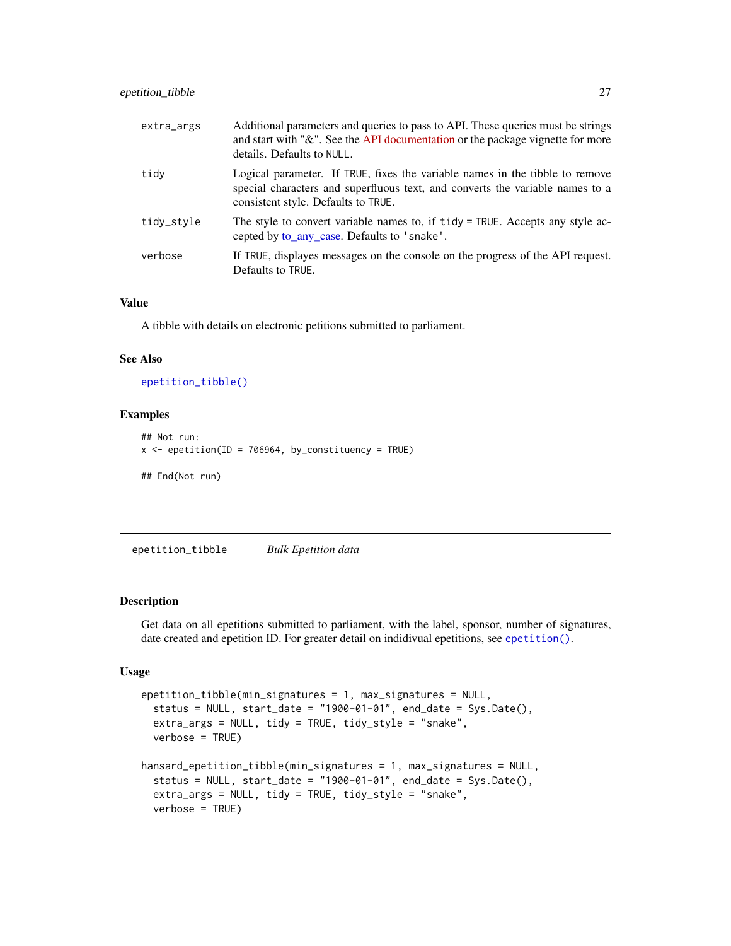<span id="page-26-0"></span>

| extra_args | Additional parameters and queries to pass to API. These queries must be strings<br>and start with "&". See the API documentation or the package vignette for more<br>details. Defaults to NULL.      |
|------------|------------------------------------------------------------------------------------------------------------------------------------------------------------------------------------------------------|
| tidy       | Logical parameter. If TRUE, fixes the variable names in the tibble to remove<br>special characters and superfluous text, and converts the variable names to a<br>consistent style. Defaults to TRUE. |
| tidy_style | The style to convert variable names to, if tidy = TRUE. Accepts any style ac-<br>cepted by to_any_case. Defaults to 'snake'.                                                                         |
| verbose    | If TRUE, displayes messages on the console on the progress of the API request.<br>Defaults to TRUE.                                                                                                  |

A tibble with details on electronic petitions submitted to parliament.

#### See Also

[epetition\\_tibble\(\)](#page-26-1)

# Examples

```
## Not run:
x \leq epetition(ID = 706964, by_constituency = TRUE)
## End(Not run)
```
<span id="page-26-1"></span>epetition\_tibble *Bulk Epetition data*

#### Description

Get data on all epetitions submitted to parliament, with the label, sponsor, number of signatures, date created and epetition ID. For greater detail on indidivual epetitions, see [epetition\(\)](#page-25-1).

#### Usage

```
epetition_tibble(min_signatures = 1, max_signatures = NULL,
  status = NULL, start_date = "1900-01-01", end_date = Sys.Date(),
 extra_args = NULL, tidy = TRUE, tidy_style = "snake",
 verbose = TRUE)
hansard_epetition_tibble(min_signatures = 1, max_signatures = NULL,
  status = NULL, start_date = "1900-01-01", end_date = Sys.Date(),
 extra_args = NULL, tidy = TRUE, tidy_style = "snake",
 verbose = TRUE)
```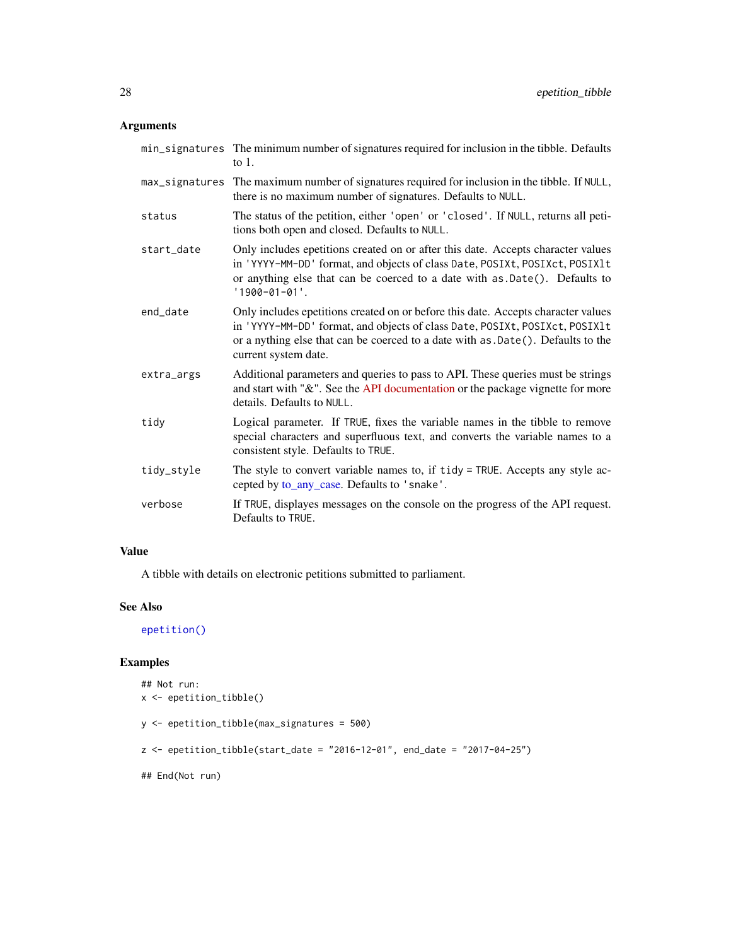# <span id="page-27-0"></span>Arguments

|            | min_signatures The minimum number of signatures required for inclusion in the tibble. Defaults<br>to $1$ .                                                                                                                                                                    |
|------------|-------------------------------------------------------------------------------------------------------------------------------------------------------------------------------------------------------------------------------------------------------------------------------|
|            | max_signatures The maximum number of signatures required for inclusion in the tibble. If NULL,<br>there is no maximum number of signatures. Defaults to NULL.                                                                                                                 |
| status     | The status of the petition, either 'open' or 'closed'. If NULL, returns all peti-<br>tions both open and closed. Defaults to NULL.                                                                                                                                            |
| start_date | Only includes epetitions created on or after this date. Accepts character values<br>in 'YYYY-MM-DD' format, and objects of class Date, POSIXt, POSIXct, POSIX1t<br>or anything else that can be coerced to a date with as .Date(). Defaults to<br>$'1900 - 01 - 01'.$         |
| end_date   | Only includes epetitions created on or before this date. Accepts character values<br>in 'YYYY-MM-DD' format, and objects of class Date, POSIXt, POSIXct, POSIX1t<br>or a nything else that can be coerced to a date with as . Date(). Defaults to the<br>current system date. |
| extra_args | Additional parameters and queries to pass to API. These queries must be strings<br>and start with "&". See the API documentation or the package vignette for more<br>details. Defaults to NULL.                                                                               |
| tidy       | Logical parameter. If TRUE, fixes the variable names in the tibble to remove<br>special characters and superfluous text, and converts the variable names to a<br>consistent style. Defaults to TRUE.                                                                          |
| tidy_style | The style to convert variable names to, if tidy = TRUE. Accepts any style ac-<br>cepted by to_any_case. Defaults to 'snake'.                                                                                                                                                  |
| verbose    | If TRUE, displayes messages on the console on the progress of the API request.<br>Defaults to TRUE.                                                                                                                                                                           |

# Value

A tibble with details on electronic petitions submitted to parliament.

# See Also

[epetition\(\)](#page-25-1)

# Examples

```
## Not run:
x <- epetition_tibble()
y <- epetition_tibble(max_signatures = 500)
z <- epetition_tibble(start_date = "2016-12-01", end_date = "2017-04-25")
## End(Not run)
```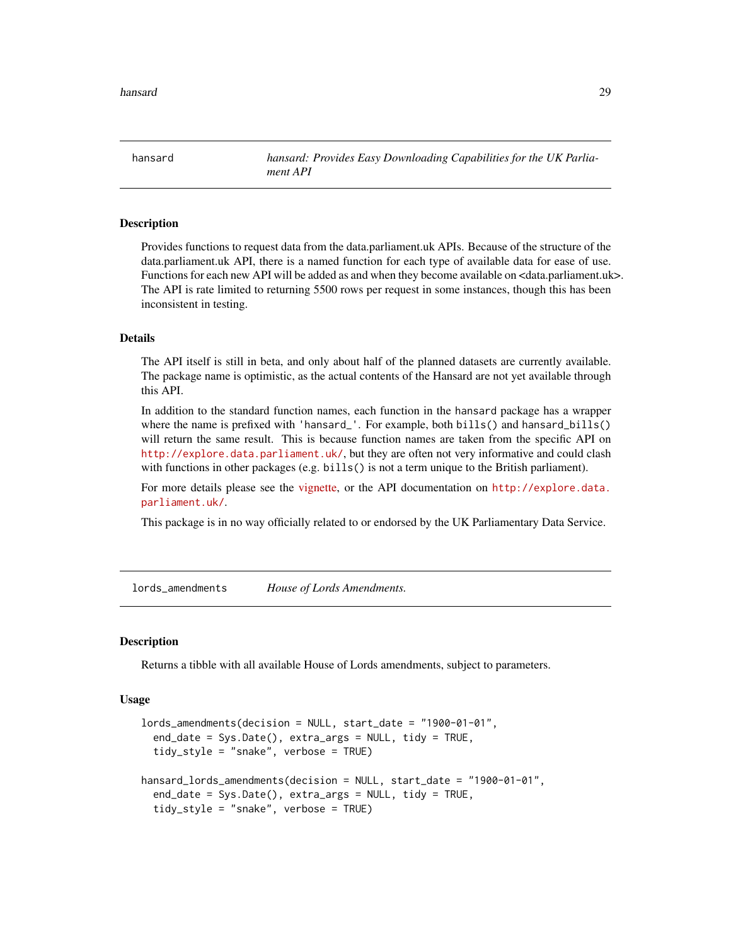<span id="page-28-0"></span>hansard *hansard: Provides Easy Downloading Capabilities for the UK Parliament API*

#### Description

Provides functions to request data from the data.parliament.uk APIs. Because of the structure of the data.parliament.uk API, there is a named function for each type of available data for ease of use. Functions for each new API will be added as and when they become available on <data.parliament.uk>. The API is rate limited to returning 5500 rows per request in some instances, though this has been inconsistent in testing.

# **Details**

The API itself is still in beta, and only about half of the planned datasets are currently available. The package name is optimistic, as the actual contents of the Hansard are not yet available through this API.

In addition to the standard function names, each function in the hansard package has a wrapper where the name is prefixed with 'hansard\_'. For example, both bills() and hansard\_bills() will return the same result. This is because function names are taken from the specific API on <http://explore.data.parliament.uk/>, but they are often not very informative and could clash with functions in other packages (e.g. bills() is not a term unique to the British parliament).

For more details please see the [vignette,](https://docs.evanodell.com/hansard/articles/introduction) or the API documentation on [http://explore.data.](http://explore.data.parliament.uk/) [parliament.uk/](http://explore.data.parliament.uk/).

This package is in no way officially related to or endorsed by the UK Parliamentary Data Service.

lords\_amendments *House of Lords Amendments.*

#### Description

Returns a tibble with all available House of Lords amendments, subject to parameters.

#### Usage

```
lords_amendments(decision = NULL, start_date = "1900-01-01",
  end_date = Sys.Date(), extra_args = NULL, tidy = TRUE,
  tidy_style = "snake", verbose = TRUE)
hansard_lords_amendments(decision = NULL, start_date = "1900-01-01",
  end_date = Sys.Date(), extra_args = NULL, tidy = TRUE,
  tidy_style = "snake", verbose = TRUE)
```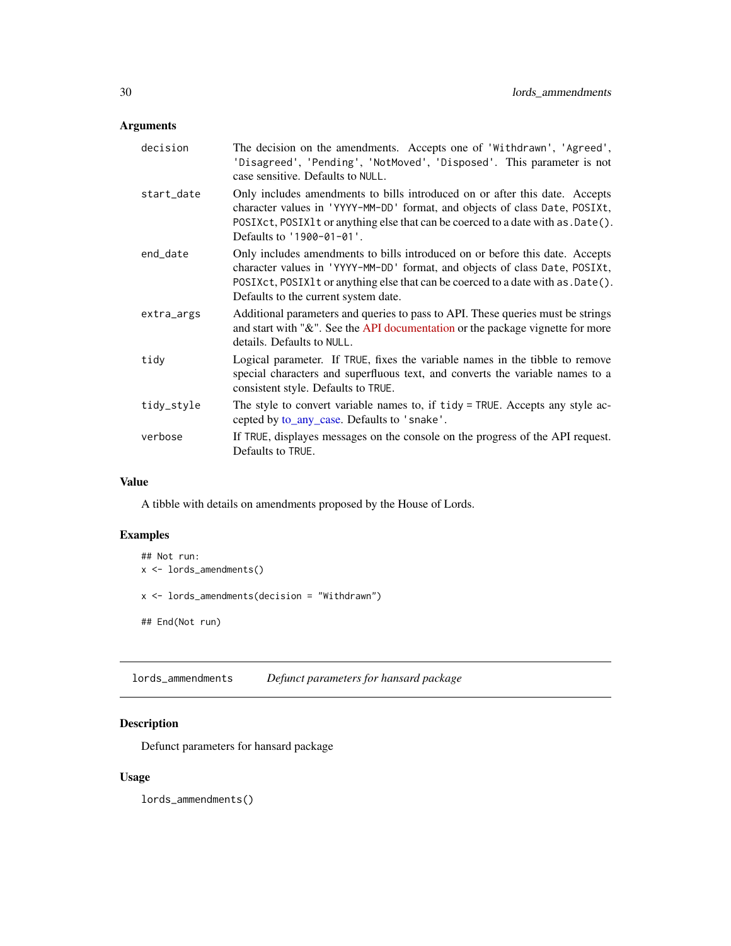# <span id="page-29-0"></span>Arguments

| decision   | The decision on the amendments. Accepts one of 'Withdrawn', 'Agreed',<br>'Disagreed', 'Pending', 'NotMoved', 'Disposed'. This parameter is not<br>case sensitive. Defaults to NULL.                                                                                                        |
|------------|--------------------------------------------------------------------------------------------------------------------------------------------------------------------------------------------------------------------------------------------------------------------------------------------|
| start_date | Only includes amendments to bills introduced on or after this date. Accepts<br>character values in 'YYYY-MM-DD' format, and objects of class Date, POSIXt,<br>POSIXct, POSIX1t or anything else that can be coerced to a date with as . Date().<br>Defaults to '1900-01-01'.               |
| end_date   | Only includes amendments to bills introduced on or before this date. Accepts<br>character values in 'YYYY-MM-DD' format, and objects of class Date, POSIXt,<br>POSIXct, POSIX1 t or anything else that can be coerced to a date with as . Date ().<br>Defaults to the current system date. |
| extra_args | Additional parameters and queries to pass to API. These queries must be strings<br>and start with "&". See the API documentation or the package vignette for more<br>details. Defaults to NULL.                                                                                            |
| tidy       | Logical parameter. If TRUE, fixes the variable names in the tibble to remove<br>special characters and superfluous text, and converts the variable names to a<br>consistent style. Defaults to TRUE.                                                                                       |
| tidy_style | The style to convert variable names to, if tidy = TRUE. Accepts any style ac-<br>cepted by to_any_case. Defaults to 'snake'.                                                                                                                                                               |
| verbose    | If TRUE, displayes messages on the console on the progress of the API request.<br>Defaults to TRUE.                                                                                                                                                                                        |

# Value

A tibble with details on amendments proposed by the House of Lords.

# Examples

```
## Not run:
x <- lords_amendments()
x <- lords_amendments(decision = "Withdrawn")
## End(Not run)
```
lords\_ammendments *Defunct parameters for hansard package*

# Description

Defunct parameters for hansard package

# Usage

lords\_ammendments()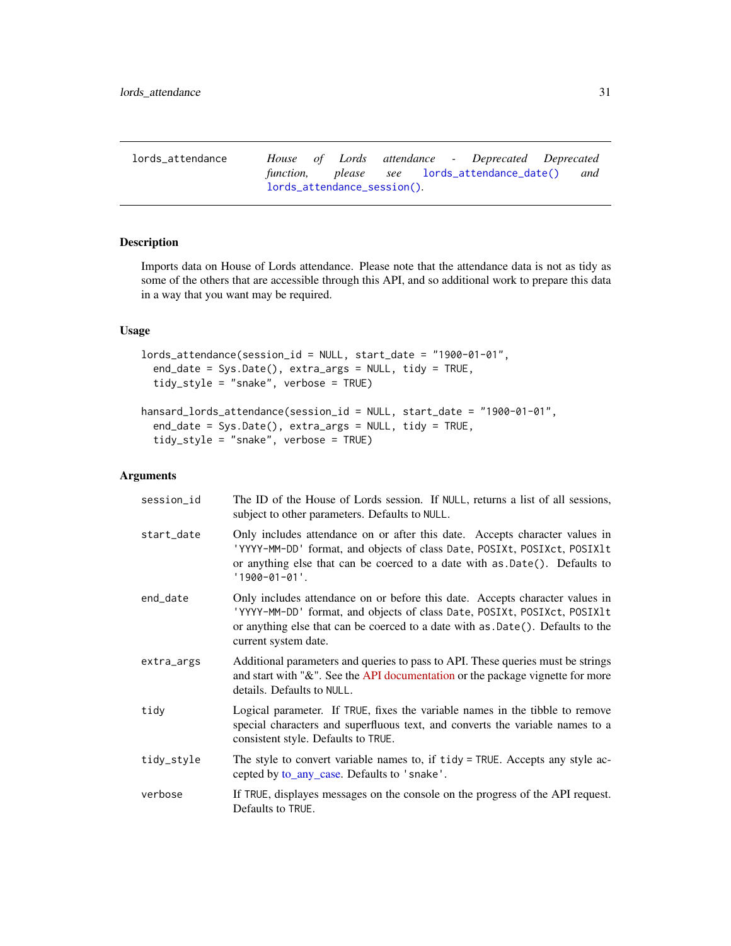<span id="page-30-0"></span>

| lords_attendance |                             |  |  | House of Lords attendance - Deprecated Deprecated |  |
|------------------|-----------------------------|--|--|---------------------------------------------------|--|
|                  |                             |  |  | function, please see lords_attendance_date() and  |  |
|                  | lords_attendance_session(). |  |  |                                                   |  |

# Description

Imports data on House of Lords attendance. Please note that the attendance data is not as tidy as some of the others that are accessible through this API, and so additional work to prepare this data in a way that you want may be required.

# Usage

```
lords_attendance(session_id = NULL, start_date = "1900-01-01",
  end_date = Sys.Date(), extra_args = NULL, tidy = TRUE,
  tidy_style = "snake", verbose = TRUE)
```

```
hansard_lords_attendance(session_id = NULL, start_date = "1900-01-01",
 end_date = Sys.Date(), extra_args = NULL, tidy = TRUE,
 tidy_style = "snake", verbose = TRUE)
```

| session_id | The ID of the House of Lords session. If NULL, returns a list of all sessions,<br>subject to other parameters. Defaults to NULL.                                                                                                                                    |
|------------|---------------------------------------------------------------------------------------------------------------------------------------------------------------------------------------------------------------------------------------------------------------------|
| start_date | Only includes attendance on or after this date. Accepts character values in<br>'YYYY-MM-DD' format, and objects of class Date, POSIXt, POSIXct, POSIX1t<br>or anything else that can be coerced to a date with as Date(). Defaults to<br>$'1900 - 01 - 01'.$        |
| end_date   | Only includes attendance on or before this date. Accepts character values in<br>'YYYY-MM-DD' format, and objects of class Date, POSIXt, POSIXct, POSIX1t<br>or anything else that can be coerced to a date with as .Date(). Defaults to the<br>current system date. |
| extra_args | Additional parameters and queries to pass to API. These queries must be strings<br>and start with "&". See the API documentation or the package vignette for more<br>details. Defaults to NULL.                                                                     |
| tidy       | Logical parameter. If TRUE, fixes the variable names in the tibble to remove<br>special characters and superfluous text, and converts the variable names to a<br>consistent style. Defaults to TRUE.                                                                |
| tidy_style | The style to convert variable names to, if tidy = TRUE. Accepts any style ac-<br>cepted by to_any_case. Defaults to 'snake'.                                                                                                                                        |
| verbose    | If TRUE, displayes messages on the console on the progress of the API request.<br>Defaults to TRUE.                                                                                                                                                                 |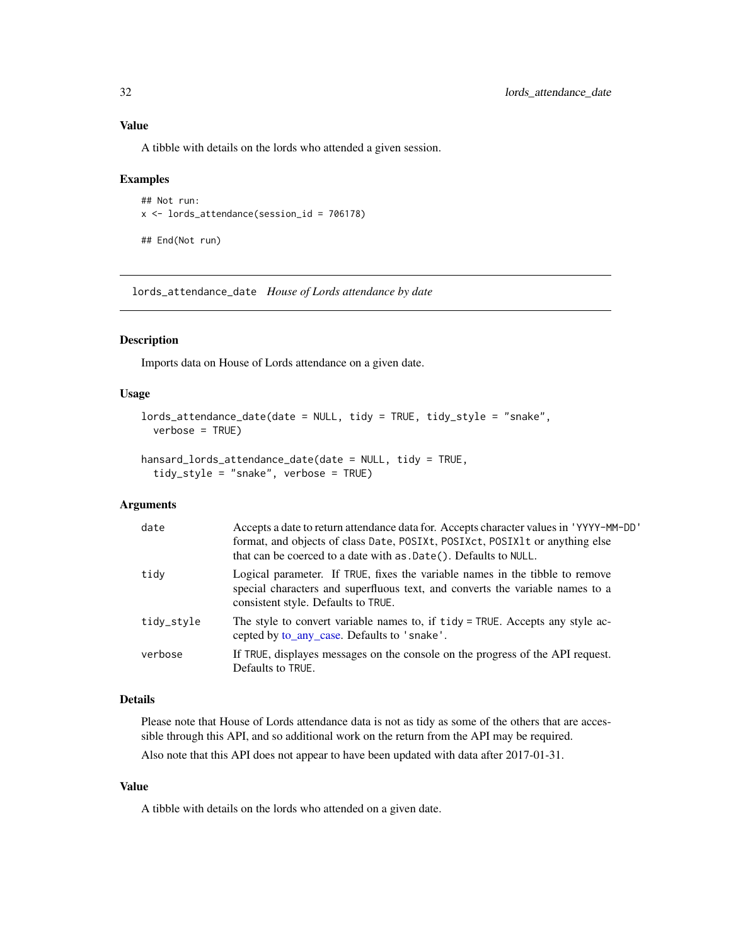A tibble with details on the lords who attended a given session.

#### Examples

```
## Not run:
x <- lords_attendance(session_id = 706178)
```
## End(Not run)

<span id="page-31-1"></span>lords\_attendance\_date *House of Lords attendance by date*

#### Description

Imports data on House of Lords attendance on a given date.

#### Usage

```
lords_attendance_date(date = NULL, tidy = TRUE, tidy_style = "snake",
 verbose = TRUE)
```

```
hansard_lords_attendance_date(date = NULL, tidy = TRUE,
  tidy_style = "snake", verbose = TRUE)
```
# Arguments

| date       | Accepts a date to return attendance data for. Accepts character values in 'YYYY-MM-DD'<br>format, and objects of class Date, POSIXt, POSIXct, POSIX1t or anything else<br>that can be coerced to a date with as . Date (). Defaults to NULL. |
|------------|----------------------------------------------------------------------------------------------------------------------------------------------------------------------------------------------------------------------------------------------|
| tidy       | Logical parameter. If TRUE, fixes the variable names in the tibble to remove<br>special characters and superfluous text, and converts the variable names to a<br>consistent style. Defaults to TRUE.                                         |
| tidy_style | The style to convert variable names to, if tidy = TRUE. Accepts any style ac-<br>cepted by to_any_case. Defaults to 'snake'.                                                                                                                 |
| verbose    | If TRUE, displayes messages on the console on the progress of the API request.<br>Defaults to TRUE.                                                                                                                                          |

#### Details

Please note that House of Lords attendance data is not as tidy as some of the others that are accessible through this API, and so additional work on the return from the API may be required.

Also note that this API does not appear to have been updated with data after 2017-01-31.

# Value

A tibble with details on the lords who attended on a given date.

<span id="page-31-0"></span>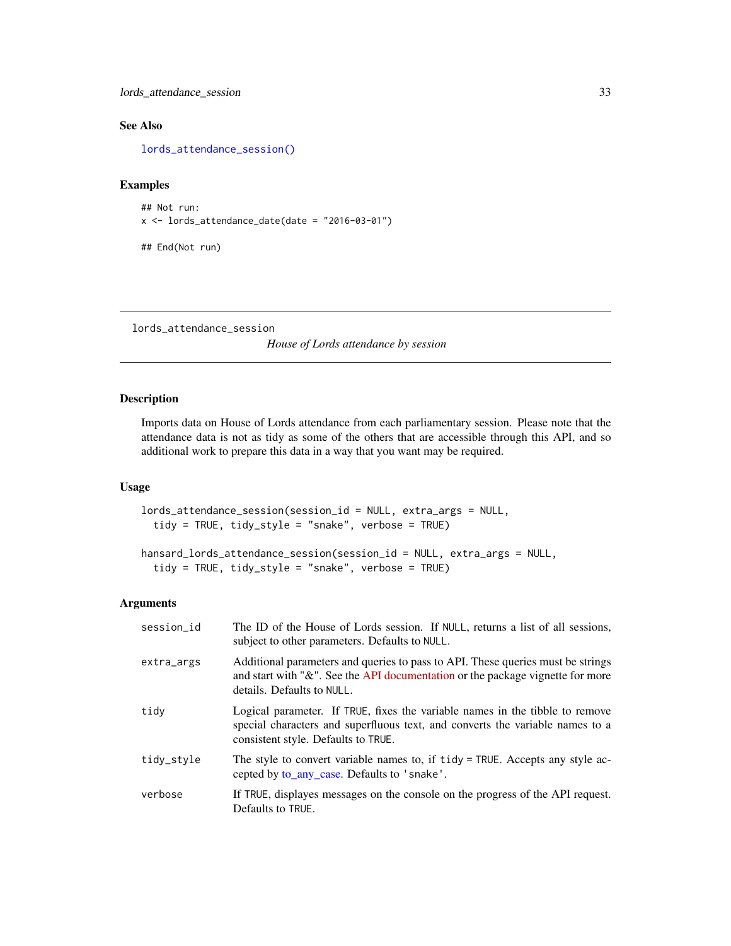<span id="page-32-0"></span>lords\_attendance\_session 33

# See Also

[lords\\_attendance\\_session\(\)](#page-32-1)

# Examples

```
## Not run:
x \le - lords_attendance_date(date = "2016-03-01")
```
## End(Not run)

<span id="page-32-1"></span>lords\_attendance\_session

*House of Lords attendance by session*

# Description

Imports data on House of Lords attendance from each parliamentary session. Please note that the attendance data is not as tidy as some of the others that are accessible through this API, and so additional work to prepare this data in a way that you want may be required.

# Usage

```
lords_attendance_session(session_id = NULL, extra_args = NULL,
  tidy = TRUE, tidy_style = "snake", verbose = TRUE)
```

```
hansard_lords_attendance_session(session_id = NULL, extra_args = NULL,
  tidy = TRUE, tidy_style = "snake", verbose = TRUE)
```

| session id | The ID of the House of Lords session. If NULL, returns a list of all sessions,<br>subject to other parameters. Defaults to NULL.                                                                     |
|------------|------------------------------------------------------------------------------------------------------------------------------------------------------------------------------------------------------|
| extra_args | Additional parameters and queries to pass to API. These queries must be strings<br>and start with " $\&$ ". See the API documentation or the package vignette for more<br>details. Defaults to NULL. |
| tidy       | Logical parameter. If TRUE, fixes the variable names in the tibble to remove<br>special characters and superfluous text, and converts the variable names to a<br>consistent style. Defaults to TRUE. |
| tidy_style | The style to convert variable names to, if tidy = TRUE. Accepts any style ac-<br>cepted by to_any_case. Defaults to 'snake'.                                                                         |
| verbose    | If TRUE, displayes messages on the console on the progress of the API request.<br>Defaults to TRUE.                                                                                                  |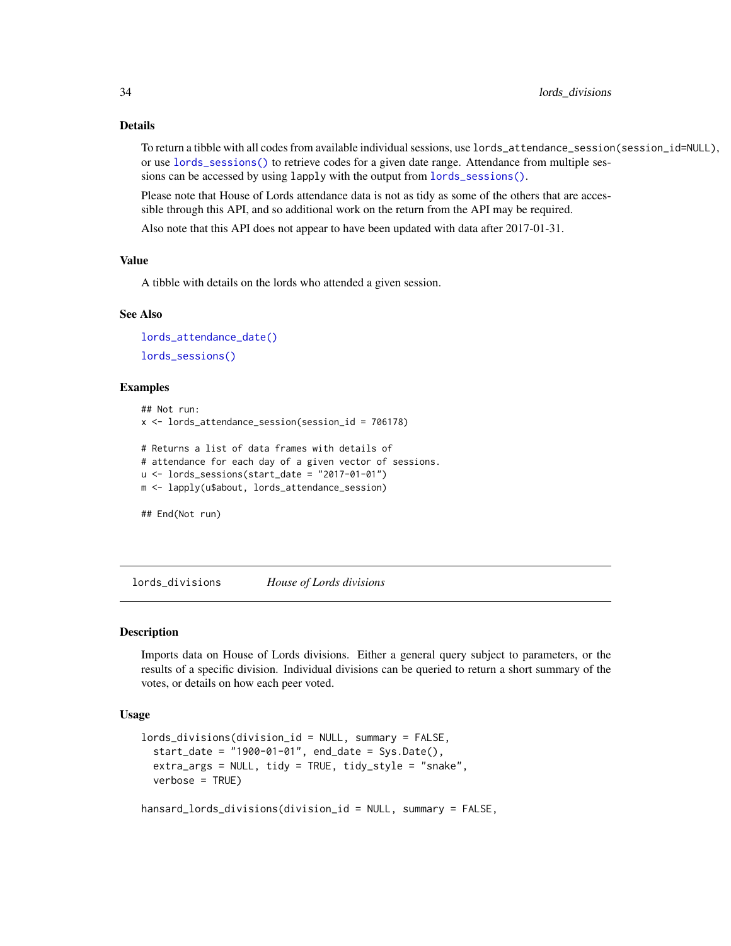# <span id="page-33-0"></span>Details

To return a tibble with all codes from available individual sessions, use lords\_attendance\_session(session\_id=NULL), or use [lords\\_sessions\(\)](#page-36-1) to retrieve codes for a given date range. Attendance from multiple sessions can be accessed by using lapply with the output from [lords\\_sessions\(\)](#page-36-1).

Please note that House of Lords attendance data is not as tidy as some of the others that are accessible through this API, and so additional work on the return from the API may be required.

Also note that this API does not appear to have been updated with data after 2017-01-31.

#### Value

A tibble with details on the lords who attended a given session.

# See Also

```
lords_attendance_date()
lords_sessions()
```
#### Examples

```
## Not run:
x \le - lords_attendance_session(session_id = 706178)
# Returns a list of data frames with details of
# attendance for each day of a given vector of sessions.
u \le -\text{lords}\_\text{sessions}(\text{start}\_\text{date} = \text{"2017-01-01"})m <- lapply(u$about, lords_attendance_session)
## End(Not run)
```
lords\_divisions *House of Lords divisions*

#### Description

Imports data on House of Lords divisions. Either a general query subject to parameters, or the results of a specific division. Individual divisions can be queried to return a short summary of the votes, or details on how each peer voted.

#### Usage

```
lords_divisions(division_id = NULL, summary = FALSE,
  start_date = "1900-01-01", end_date = Sys.Date(),
  extra_args = NULL, tidy = TRUE, tidy_style = "snake",
  verbose = TRUE)
```
hansard\_lords\_divisions(division\_id = NULL, summary = FALSE,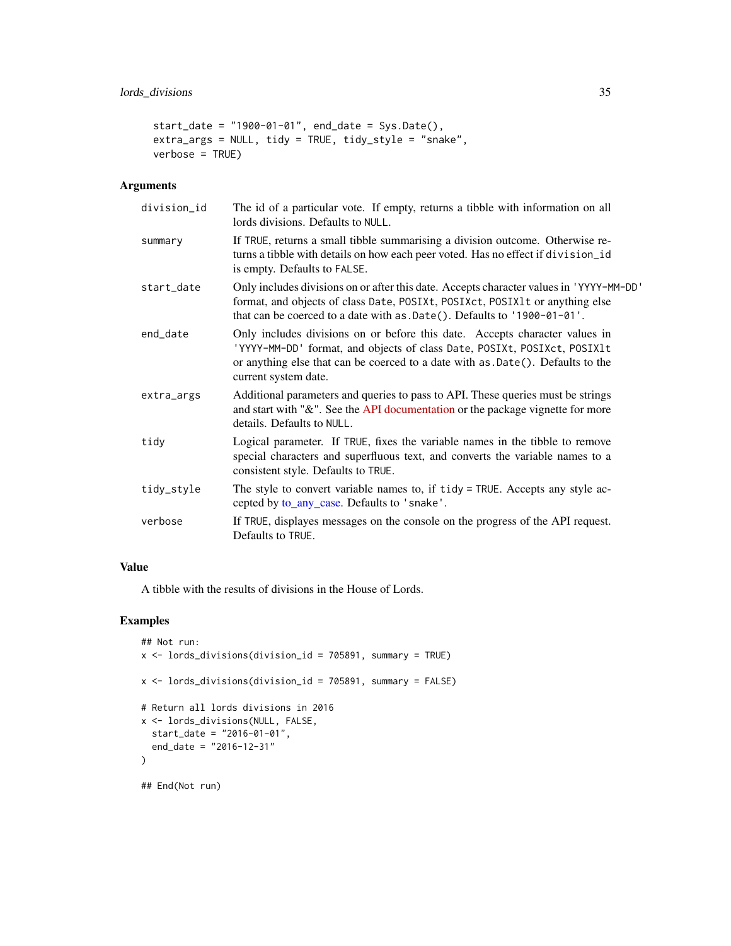```
start_date = "1900-01-01", end_date = Sys.Date(),
extra_args = NULL, tidy = TRUE, tidy_style = "snake",
verbose = TRUE)
```
# Arguments

| division_id | The id of a particular vote. If empty, returns a tibble with information on all<br>lords divisions. Defaults to NULL.                                                                                                                                              |
|-------------|--------------------------------------------------------------------------------------------------------------------------------------------------------------------------------------------------------------------------------------------------------------------|
| summary     | If TRUE, returns a small tibble summarising a division outcome. Otherwise re-<br>turns a tibble with details on how each peer voted. Has no effect if division_id<br>is empty. Defaults to FALSE.                                                                  |
| start_date  | Only includes divisions on or after this date. Accepts character values in 'YYYY-MM-DD'<br>format, and objects of class Date, POSIXt, POSIXct, POSIX1t or anything else<br>that can be coerced to a date with as .Date(). Defaults to '1900-01-01'.                |
| end_date    | Only includes divisions on or before this date. Accepts character values in<br>'YYYY-MM-DD' format, and objects of class Date, POSIXt, POSIXct, POSIX1t<br>or anything else that can be coerced to a date with as .Date(). Defaults to the<br>current system date. |
| extra_args  | Additional parameters and queries to pass to API. These queries must be strings<br>and start with "&". See the API documentation or the package vignette for more<br>details. Defaults to NULL.                                                                    |
| tidy        | Logical parameter. If TRUE, fixes the variable names in the tibble to remove<br>special characters and superfluous text, and converts the variable names to a<br>consistent style. Defaults to TRUE.                                                               |
| tidy_style  | The style to convert variable names to, if tidy = TRUE. Accepts any style ac-<br>cepted by to_any_case. Defaults to 'snake'.                                                                                                                                       |
| verbose     | If TRUE, displayes messages on the console on the progress of the API request.<br>Defaults to TRUE.                                                                                                                                                                |

# Value

A tibble with the results of divisions in the House of Lords.

#### Examples

```
## Not run:
x <- lords_divisions(division_id = 705891, summary = TRUE)
x \le lords_divisions(division_id = 705891, summary = FALSE)
# Return all lords divisions in 2016
x <- lords_divisions(NULL, FALSE,
 start_date = "2016-01-01",
  end_date = "2016-12-31"
\lambda## End(Not run)
```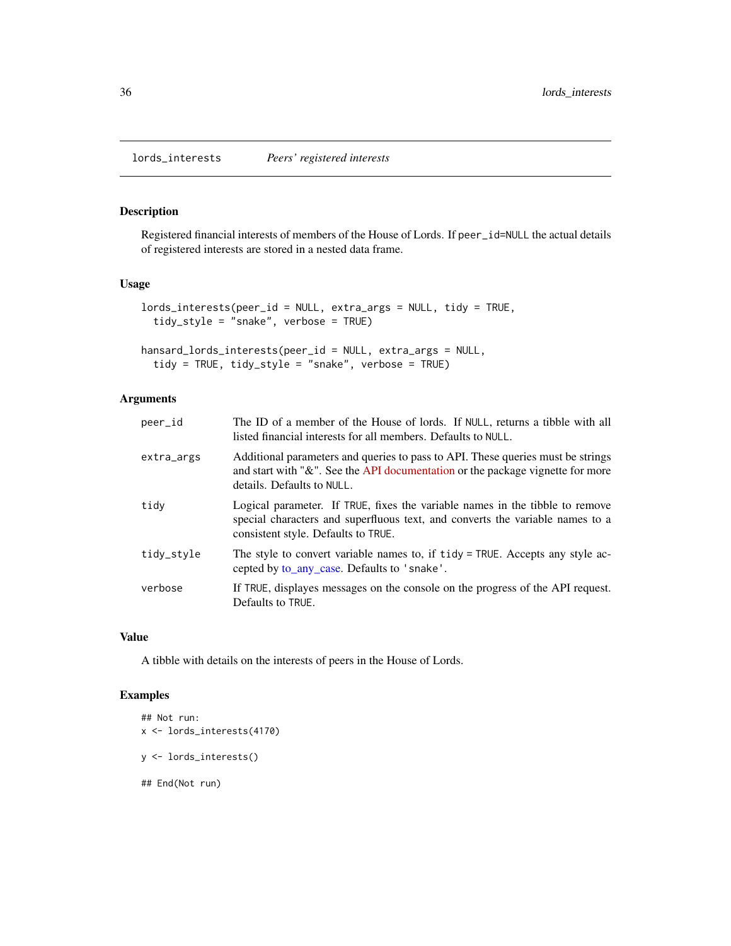<span id="page-35-0"></span>lords\_interests *Peers' registered interests*

# Description

Registered financial interests of members of the House of Lords. If peer\_id=NULL the actual details of registered interests are stored in a nested data frame.

#### Usage

```
lords_interests(peer_id = NULL, extra_args = NULL, tidy = TRUE,
  tidy_style = "snake", verbose = TRUE)
```

```
hansard_lords_interests(peer_id = NULL, extra_args = NULL,
  tidy = TRUE, tidy_style = "snake", verbose = TRUE)
```
#### Arguments

| peer_id    | The ID of a member of the House of lords. If NULL, returns a tibble with all<br>listed financial interests for all members. Defaults to NULL.                                                        |
|------------|------------------------------------------------------------------------------------------------------------------------------------------------------------------------------------------------------|
| extra_args | Additional parameters and queries to pass to API. These queries must be strings<br>and start with "&". See the API documentation or the package vignette for more<br>details. Defaults to NULL.      |
| tidy       | Logical parameter. If TRUE, fixes the variable names in the tibble to remove<br>special characters and superfluous text, and converts the variable names to a<br>consistent style. Defaults to TRUE. |
| tidy_style | The style to convert variable names to, if tidy = TRUE. Accepts any style ac-<br>cepted by to_any_case. Defaults to 'snake'.                                                                         |
| verbose    | If TRUE, displayes messages on the console on the progress of the API request.<br>Defaults to TRUE.                                                                                                  |

#### Value

A tibble with details on the interests of peers in the House of Lords.

# Examples

```
## Not run:
x <- lords_interests(4170)
y <- lords_interests()
## End(Not run)
```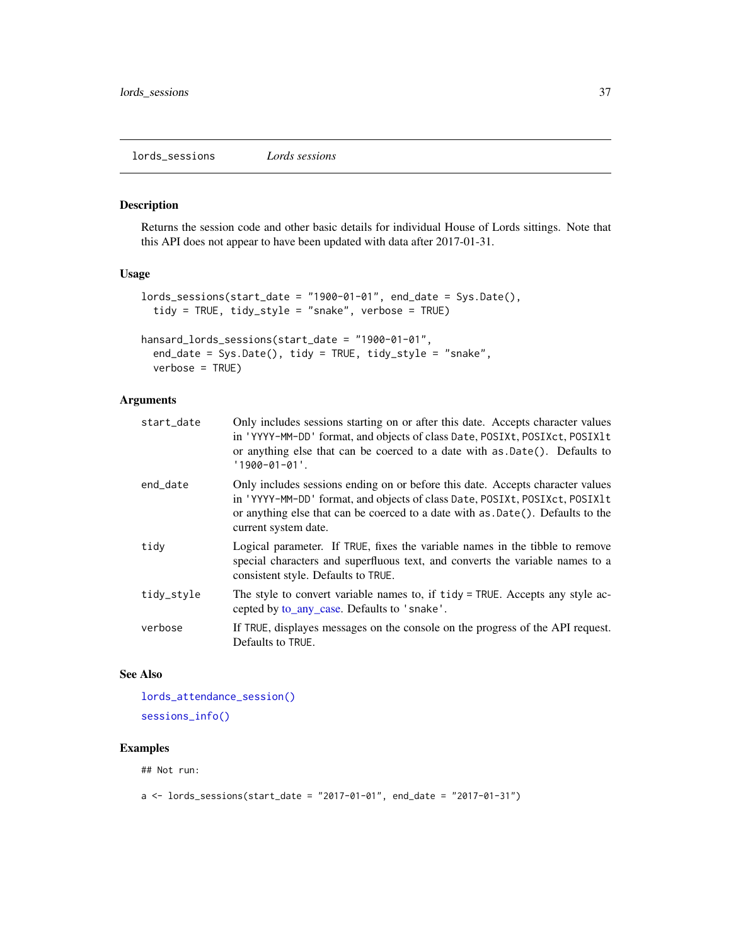<span id="page-36-1"></span><span id="page-36-0"></span>lords\_sessions *Lords sessions*

# Description

Returns the session code and other basic details for individual House of Lords sittings. Note that this API does not appear to have been updated with data after 2017-01-31.

#### Usage

```
lords_sessions(start_date = "1900-01-01", end_date = Sys.Date(),
  tidy = TRUE, tidy_style = "snake", verbose = TRUE)
```

```
hansard_lords_sessions(start_date = "1900-01-01",
  end_date = Sys.Date(), tidy = TRUE, tidy_style = "snake",
 verbose = TRUE)
```
# Arguments

| start_date | Only includes sessions starting on or after this date. Accepts character values<br>in 'YYYY-MM-DD' format, and objects of class Date, POSIXt, POSIXct, POSIX1t<br>or anything else that can be coerced to a date with as .Date(). Defaults to<br>$'1900 - 01 - 01'$ .    |
|------------|--------------------------------------------------------------------------------------------------------------------------------------------------------------------------------------------------------------------------------------------------------------------------|
| end_date   | Only includes sessions ending on or before this date. Accepts character values<br>in 'YYYY-MM-DD' format, and objects of class Date, POSIXt, POSIXct, POSIX1t<br>or anything else that can be coerced to a date with as .Date(). Defaults to the<br>current system date. |
| tidy       | Logical parameter. If TRUE, fixes the variable names in the tibble to remove<br>special characters and superfluous text, and converts the variable names to a<br>consistent style. Defaults to TRUE.                                                                     |
| tidy_style | The style to convert variable names to, if tidy = TRUE. Accepts any style ac-<br>cepted by to_any_case. Defaults to 'snake'.                                                                                                                                             |
| verbose    | If TRUE, displayes messages on the console on the progress of the API request.<br>Defaults to TRUE.                                                                                                                                                                      |
|            |                                                                                                                                                                                                                                                                          |

#### See Also

[lords\\_attendance\\_session\(\)](#page-32-1) [sessions\\_info\(\)](#page-52-1)

# Examples

## Not run:

```
a \leq -\text{lords}\_s \leq -\text{as}(\text{start}\_d) = "2017-01-01", end_date = "2017-01-31")
```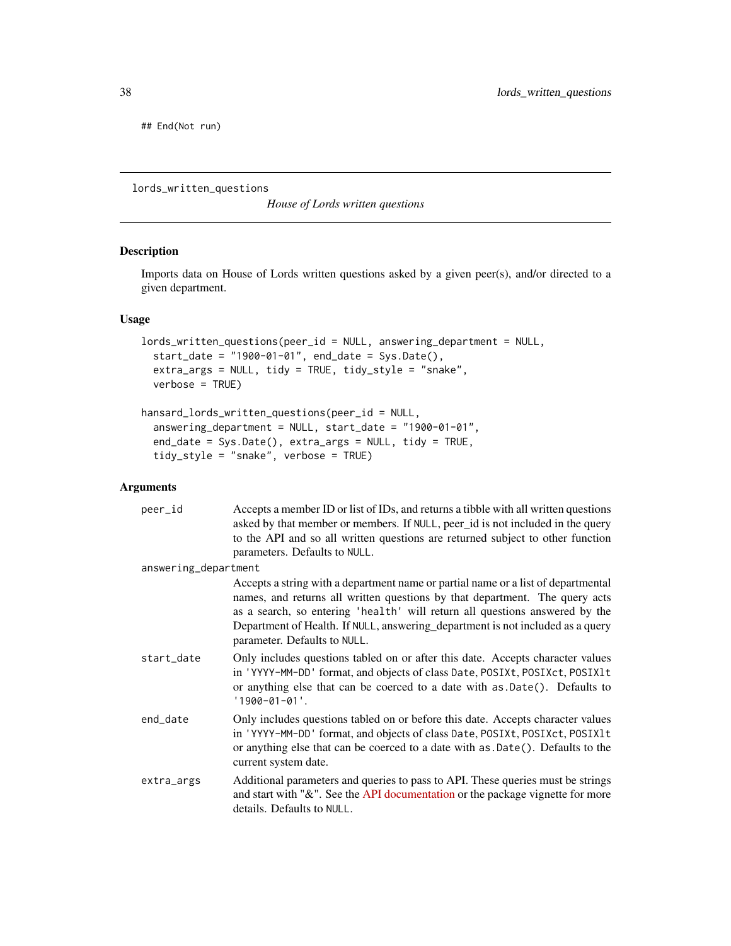<span id="page-37-0"></span>## End(Not run)

<span id="page-37-1"></span>lords\_written\_questions

*House of Lords written questions*

#### Description

Imports data on House of Lords written questions asked by a given peer(s), and/or directed to a given department.

# Usage

```
lords_written_questions(peer_id = NULL, answering_department = NULL,
 start_date = "1900-01-01", end_date = Sys.Date(),
 extra_args = NULL, tidy = TRUE, tidy_style = "snake",
 verbose = TRUE)
```

```
hansard_lords_written_questions(peer_id = NULL,
  answering_department = NULL, start_date = "1900-01-01",
  end_date = Sys.Date(), extra_args = NULL, tidy = TRUE,
  tidy_style = "snake", verbose = TRUE)
```

| peer_id              | Accepts a member ID or list of IDs, and returns a tibble with all written questions<br>asked by that member or members. If NULL, peer_id is not included in the query<br>to the API and so all written questions are returned subject to other function<br>parameters. Defaults to NULL.                                                                          |
|----------------------|-------------------------------------------------------------------------------------------------------------------------------------------------------------------------------------------------------------------------------------------------------------------------------------------------------------------------------------------------------------------|
| answering_department |                                                                                                                                                                                                                                                                                                                                                                   |
|                      | Accepts a string with a department name or partial name or a list of departmental<br>names, and returns all written questions by that department. The query acts<br>as a search, so entering 'health' will return all questions answered by the<br>Department of Health. If NULL, answering_department is not included as a query<br>parameter. Defaults to NULL. |
| start_date           | Only includes questions tabled on or after this date. Accepts character values<br>in 'YYYY-MM-DD' format, and objects of class Date, POSIXt, POSIXct, POSIX1t<br>or anything else that can be coerced to a date with as .Date(). Defaults to<br>$'1900 - 01 - 01'.$                                                                                               |
| end date             | Only includes questions tabled on or before this date. Accepts character values<br>in 'YYYY-MM-DD' format, and objects of class Date, POSIXt, POSIXct, POSIX1t<br>or anything else that can be coerced to a date with as .Date(). Defaults to the<br>current system date.                                                                                         |
| extra_args           | Additional parameters and queries to pass to API. These queries must be strings<br>and start with "&". See the API documentation or the package vignette for more<br>details. Defaults to NULL.                                                                                                                                                                   |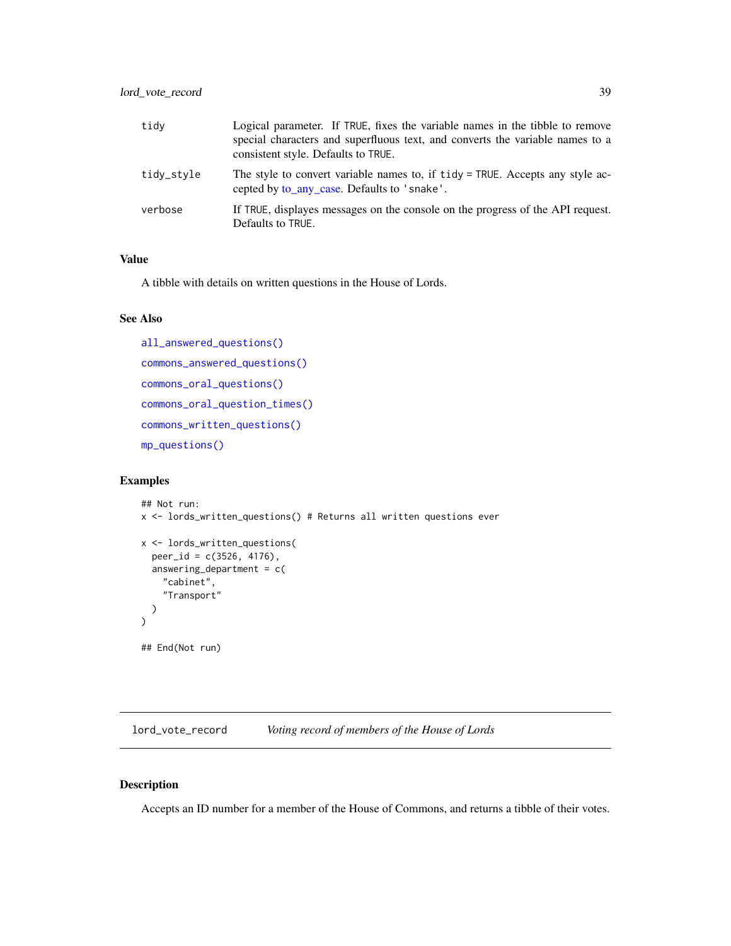<span id="page-38-0"></span>

| tidy       | Logical parameter. If TRUE, fixes the variable names in the tibble to remove<br>special characters and superfluous text, and converts the variable names to a<br>consistent style. Defaults to TRUE. |
|------------|------------------------------------------------------------------------------------------------------------------------------------------------------------------------------------------------------|
| tidy_style | The style to convert variable names to, if tidy = TRUE. Accepts any style ac-<br>cepted by to_any_case. Defaults to 'snake'.                                                                         |
| verbose    | If TRUE, displayes messages on the console on the progress of the API request.<br>Defaults to TRUE.                                                                                                  |

A tibble with details on written questions in the House of Lords.

#### See Also

```
all_answered_questions()
commons_answered_questions()
commons_oral_questions()
commons_oral_question_times()
commons_written_questions()
mp_questions()
```
# Examples

```
## Not run:
x <- lords_written_questions() # Returns all written questions ever
x <- lords_written_questions(
  peer_id = c(3526, 4176),
  answering_department = c(
    "cabinet",
    "Transport"
  )
)
## End(Not run)
```
lord\_vote\_record *Voting record of members of the House of Lords*

#### Description

Accepts an ID number for a member of the House of Commons, and returns a tibble of their votes.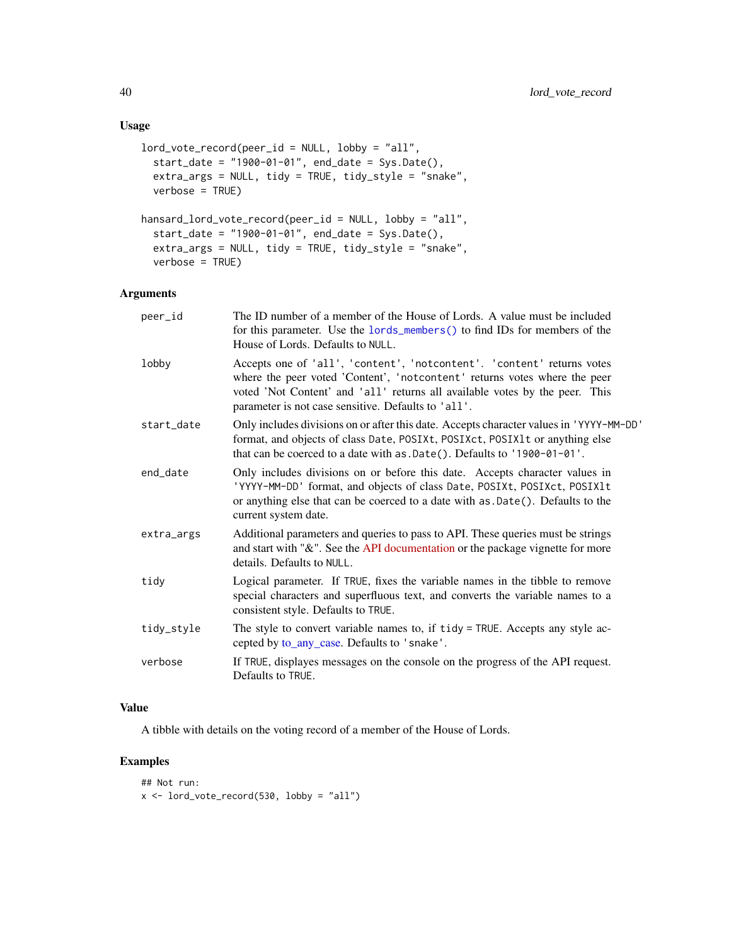# <span id="page-39-0"></span>Usage

```
lord_vote_record(peer_id = NULL, lobby = "all",
 start_date = "1900-01-01", end_date = Sys.Date(),
 extra_args = NULL, tidy = TRUE, tidy_style = "snake",
 verbose = TRUE)
hansard_lord_vote_record(peer_id = NULL, lobby = "all",
 start_date = "1900-01-01", end_date = Sys.Date(),
 extra_args = NULL, tidy = TRUE, tidy_style = "snake",
 verbose = TRUE)
```
#### Arguments

| peer_id    | The ID number of a member of the House of Lords. A value must be included<br>for this parameter. Use the lords_members() to find IDs for members of the<br>House of Lords. Defaults to NULL.                                                                                              |
|------------|-------------------------------------------------------------------------------------------------------------------------------------------------------------------------------------------------------------------------------------------------------------------------------------------|
| lobby      | Accepts one of 'all', 'content', 'notcontent'. 'content' returns votes<br>where the peer voted 'Content', 'notcontent' returns votes where the peer<br>voted 'Not Content' and 'all' returns all available votes by the peer. This<br>parameter is not case sensitive. Defaults to 'all'. |
| start_date | Only includes divisions on or after this date. Accepts character values in 'YYYY-MM-DD'<br>format, and objects of class Date, POSIXt, POSIXct, POSIX1t or anything else<br>that can be coerced to a date with as .Date(). Defaults to '1900-01-01'.                                       |
| end_date   | Only includes divisions on or before this date. Accepts character values in<br>'YYYY-MM-DD' format, and objects of class Date, POSIXt, POSIXct, POSIX1t<br>or anything else that can be coerced to a date with as .Date(). Defaults to the<br>current system date.                        |
| extra_args | Additional parameters and queries to pass to API. These queries must be strings<br>and start with "&". See the API documentation or the package vignette for more<br>details. Defaults to NULL.                                                                                           |
| tidy       | Logical parameter. If TRUE, fixes the variable names in the tibble to remove<br>special characters and superfluous text, and converts the variable names to a<br>consistent style. Defaults to TRUE.                                                                                      |
| tidy_style | The style to convert variable names to, if tidy = TRUE. Accepts any style ac-<br>cepted by to_any_case. Defaults to 'snake'.                                                                                                                                                              |
| verbose    | If TRUE, displayes messages on the console on the progress of the API request.<br>Defaults to TRUE.                                                                                                                                                                                       |
|            |                                                                                                                                                                                                                                                                                           |

# Value

A tibble with details on the voting record of a member of the House of Lords.

# Examples

## Not run:  $x \le -$  lord\_vote\_record(530, lobby = "all")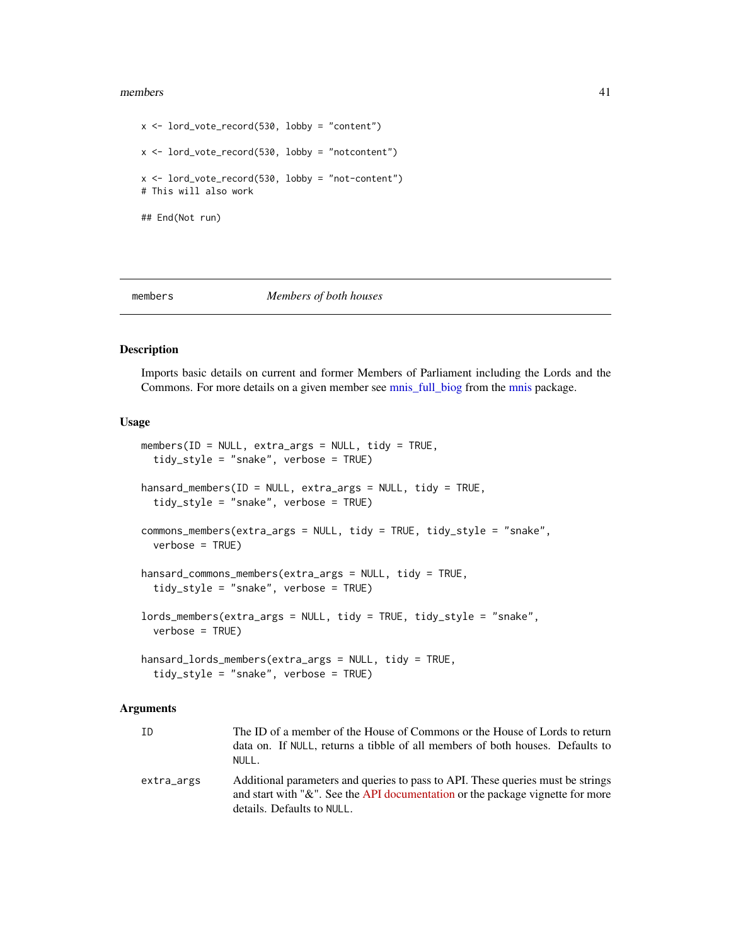#### <span id="page-40-0"></span>members 41

```
x \le lord_vote_record(530, lobby = "content")
x <- lord_vote_record(530, lobby = "notcontent")
x \le lord_vote_record(530, lobby = "not-content")
# This will also work
## End(Not run)
```
<span id="page-40-2"></span>

members *Members of both houses*

#### <span id="page-40-1"></span>Description

Imports basic details on current and former Members of Parliament including the Lords and the Commons. For more details on a given member see [mnis\\_full\\_biog](#page-0-0) from the [mnis](#page-0-0) package.

#### Usage

```
members(ID = NULL, extra_args = NULL, tidy = TRUE,
  tidy_style = "snake", verbose = TRUE)
hansard_members(ID = NULL, extra_args = NULL, tidy = TRUE,
  tidy_style = "snake", verbose = TRUE)
commons_members(extra_args = NULL, tidy = TRUE, tidy_style = "snake",
  verbose = TRUE)
hansard_commons_members(extra_args = NULL, tidy = TRUE,
  tidy_style = "snake", verbose = TRUE)
lords_members(extra_args = NULL, tidy = TRUE, tidy_style = "snake",
  verbose = TRUE)
hansard_lords_members(extra_args = NULL, tidy = TRUE,
  tidy_style = "snake", verbose = TRUE)
```

| ID         | The ID of a member of the House of Commons or the House of Lords to return<br>data on. If NULL, returns a tibble of all members of both houses. Defaults to<br>NULL.                                 |
|------------|------------------------------------------------------------------------------------------------------------------------------------------------------------------------------------------------------|
| extra_args | Additional parameters and queries to pass to API. These queries must be strings<br>and start with " $\&$ ". See the API documentation or the package vignette for more<br>details. Defaults to NULL. |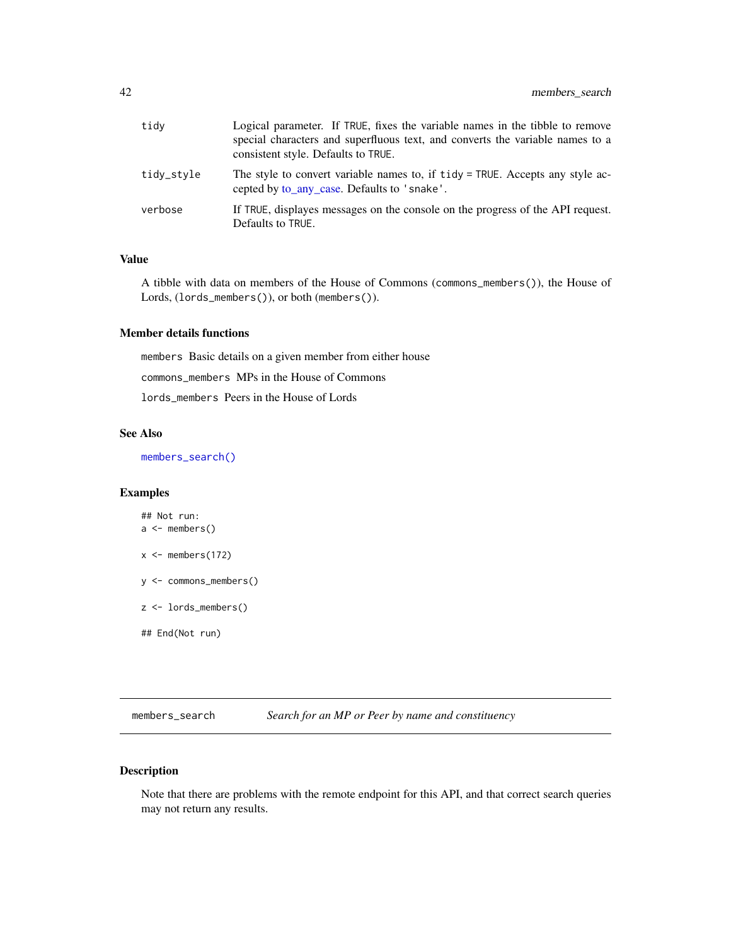<span id="page-41-0"></span>

| tidy       | Logical parameter. If TRUE, fixes the variable names in the tibble to remove<br>special characters and superfluous text, and converts the variable names to a<br>consistent style. Defaults to TRUE. |
|------------|------------------------------------------------------------------------------------------------------------------------------------------------------------------------------------------------------|
| tidy_style | The style to convert variable names to, if tidy = TRUE. Accepts any style ac-<br>cepted by to_any_case. Defaults to 'snake'.                                                                         |
| verbose    | If TRUE, displayes messages on the console on the progress of the API request.<br>Defaults to TRUE.                                                                                                  |

A tibble with data on members of the House of Commons (commons\_members()), the House of Lords, (lords\_members()), or both (members()).

# Member details functions

members Basic details on a given member from either house commons\_members MPs in the House of Commons lords\_members Peers in the House of Lords

# See Also

[members\\_search\(\)](#page-41-1)

# Examples

```
## Not run:
a \leftarrow members()
x \leq members(172)
y <- commons_members()
z <- lords_members()
## End(Not run)
```
<span id="page-41-1"></span>members\_search *Search for an MP or Peer by name and constituency*

# Description

Note that there are problems with the remote endpoint for this API, and that correct search queries may not return any results.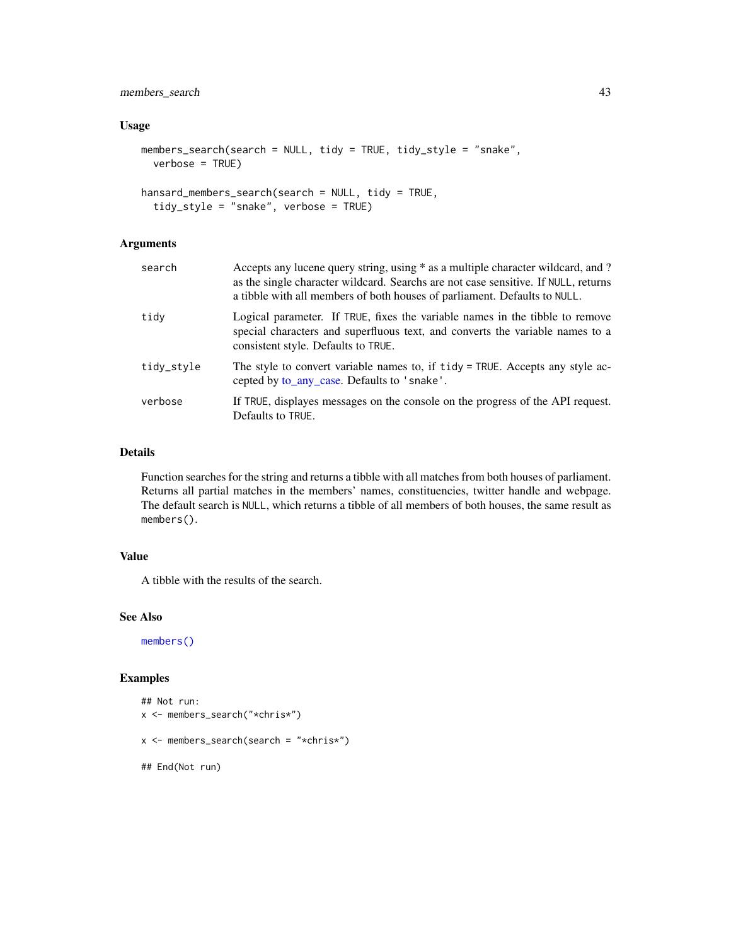# <span id="page-42-0"></span>members\_search 43

# Usage

```
members_search(search = NULL, tidy = TRUE, tidy_style = "snake",
 verbose = TRUE)
```

```
hansard_members_search(search = NULL, tidy = TRUE,
  tidy_style = "snake", verbose = TRUE)
```
# Arguments

| search     | Accepts any lucene query string, using * as a multiple character wildcard, and ?<br>as the single character wildcard. Searchs are not case sensitive. If NULL, returns<br>a tibble with all members of both houses of parliament. Defaults to NULL. |
|------------|-----------------------------------------------------------------------------------------------------------------------------------------------------------------------------------------------------------------------------------------------------|
| tidy       | Logical parameter. If TRUE, fixes the variable names in the tibble to remove<br>special characters and superfluous text, and converts the variable names to a<br>consistent style. Defaults to TRUE.                                                |
| tidy_style | The style to convert variable names to, if tidy = TRUE. Accepts any style ac-<br>cepted by to_any_case. Defaults to 'snake'.                                                                                                                        |
| verbose    | If TRUE, displayes messages on the console on the progress of the API request.<br>Defaults to TRUE.                                                                                                                                                 |

# Details

Function searches for the string and returns a tibble with all matches from both houses of parliament. Returns all partial matches in the members' names, constituencies, twitter handle and webpage. The default search is NULL, which returns a tibble of all members of both houses, the same result as members().

# Value

A tibble with the results of the search.

#### See Also

[members\(\)](#page-40-2)

#### Examples

```
## Not run:
x <- members_search("*chris*")
x <- members_search(search = "*chris*")
## End(Not run)
```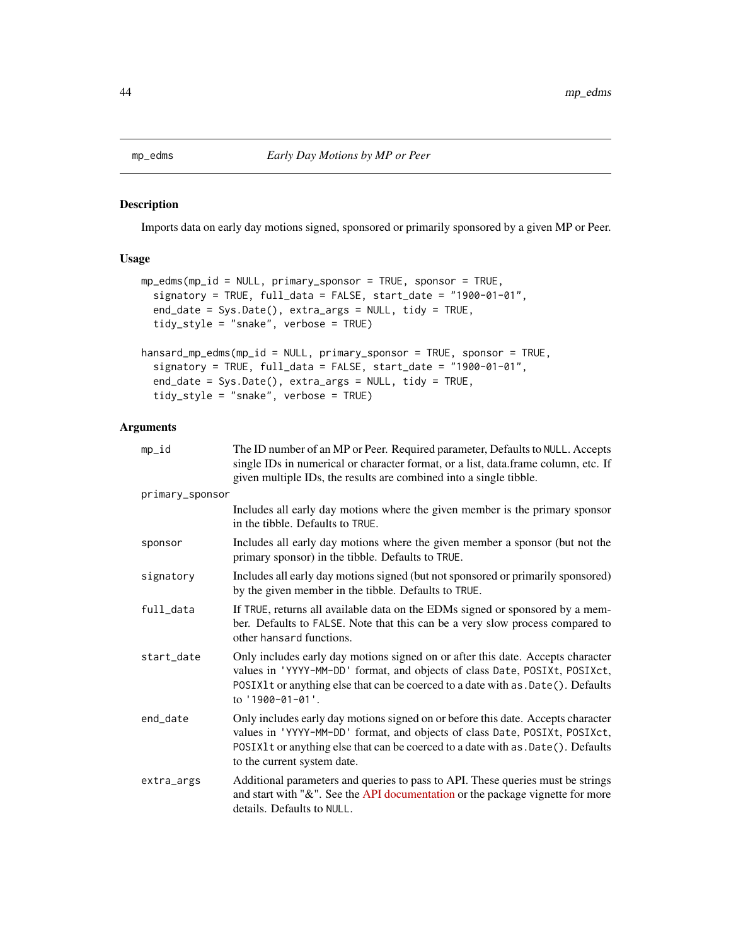<span id="page-43-1"></span><span id="page-43-0"></span>

#### Description

Imports data on early day motions signed, sponsored or primarily sponsored by a given MP or Peer.

#### Usage

```
mp_edms(mp_id = NULL, primary_sponsor = TRUE, sponsor = TRUE,
  signatory = TRUE, full_data = FALSE, start_date = "1900-01-01",
 end_date = Sys.Date(), extra_args = NULL, tidy = TRUE,
  tidy_style = "snake", verbose = TRUE)
hansard_mp_edms(mp_id = NULL, primary_sponsor = TRUE, sponsor = TRUE,
```

```
signatory = TRUE, full_data = FALSE, start_date = "1900-01-01",
end_date = Sys.Date(), extra_args = NULL, tidy = TRUE,
tidy_style = "snake", verbose = TRUE)
```

| mp_id           | The ID number of an MP or Peer. Required parameter, Defaults to NULL. Accepts<br>single IDs in numerical or character format, or a list, data.frame column, etc. If<br>given multiple IDs, the results are combined into a single tibble.                                          |
|-----------------|------------------------------------------------------------------------------------------------------------------------------------------------------------------------------------------------------------------------------------------------------------------------------------|
| primary_sponsor |                                                                                                                                                                                                                                                                                    |
|                 | Includes all early day motions where the given member is the primary sponsor<br>in the tibble. Defaults to TRUE.                                                                                                                                                                   |
| sponsor         | Includes all early day motions where the given member a sponsor (but not the<br>primary sponsor) in the tibble. Defaults to TRUE.                                                                                                                                                  |
| signatory       | Includes all early day motions signed (but not sponsored or primarily sponsored)<br>by the given member in the tibble. Defaults to TRUE.                                                                                                                                           |
| full_data       | If TRUE, returns all available data on the EDMs signed or sponsored by a mem-<br>ber. Defaults to FALSE. Note that this can be a very slow process compared to<br>other hansard functions.                                                                                         |
| start_date      | Only includes early day motions signed on or after this date. Accepts character<br>values in 'YYYY-MM-DD' format, and objects of class Date, POSIXt, POSIXct,<br>POSIX1t or anything else that can be coerced to a date with as . Date (). Defaults<br>to '1900-01-01'.            |
| end_date        | Only includes early day motions signed on or before this date. Accepts character<br>values in 'YYYY-MM-DD' format, and objects of class Date, POSIXt, POSIXct,<br>POSIX1t or anything else that can be coerced to a date with as . Date(). Defaults<br>to the current system date. |
| extra_args      | Additional parameters and queries to pass to API. These queries must be strings<br>and start with "&". See the API documentation or the package vignette for more<br>details. Defaults to NULL.                                                                                    |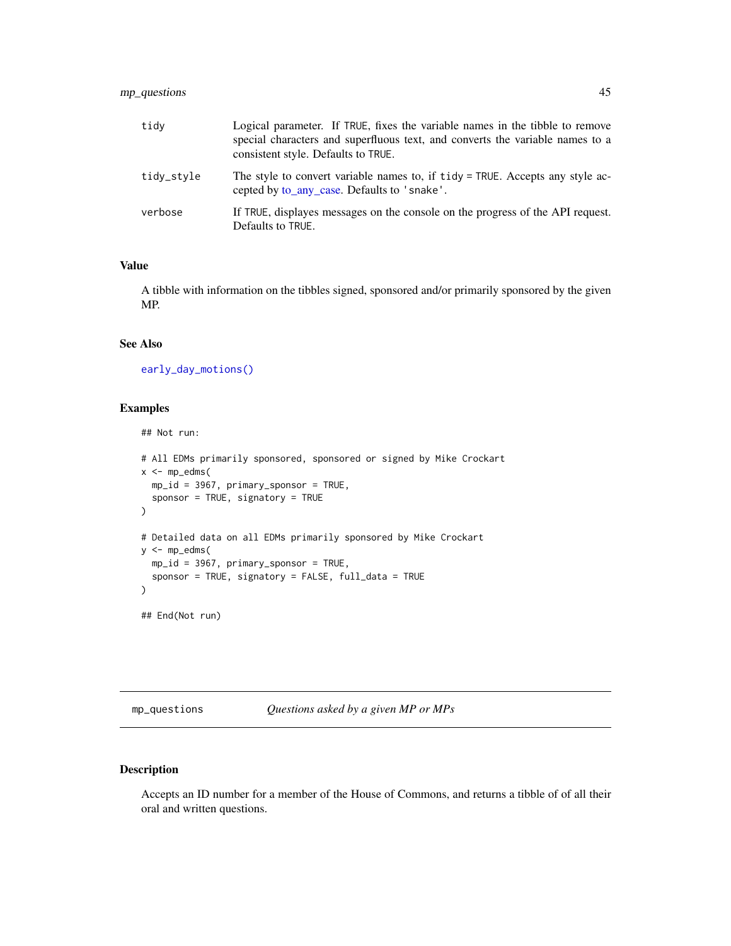# <span id="page-44-0"></span>mp\_questions 45

| tidy       | Logical parameter. If TRUE, fixes the variable names in the tibble to remove<br>special characters and superfluous text, and converts the variable names to a<br>consistent style. Defaults to TRUE. |
|------------|------------------------------------------------------------------------------------------------------------------------------------------------------------------------------------------------------|
| tidy_style | The style to convert variable names to, if tidy = TRUE. Accepts any style ac-<br>cepted by to_any_case. Defaults to 'snake'.                                                                         |
| verbose    | If TRUE, displayes messages on the console on the progress of the API request.<br>Defaults to TRUE.                                                                                                  |

# Value

A tibble with information on the tibbles signed, sponsored and/or primarily sponsored by the given MP.

#### See Also

[early\\_day\\_motions\(\)](#page-19-1)

#### Examples

## Not run:

```
# All EDMs primarily sponsored, sponsored or signed by Mike Crockart
x < - mp_e dms(mp_id = 3967, primary_sponsor = TRUE,
  sponsor = TRUE, signatory = TRUE
\mathcal{L}# Detailed data on all EDMs primarily sponsored by Mike Crockart
y <- mp_edms(
  mp_id = 3967, primary_sponsor = TRUE,
  sponsor = TRUE, signatory = FALSE, full_data = TRUE
\mathcal{L}## End(Not run)
```
<span id="page-44-1"></span>mp\_questions *Questions asked by a given MP or MPs*

#### Description

Accepts an ID number for a member of the House of Commons, and returns a tibble of of all their oral and written questions.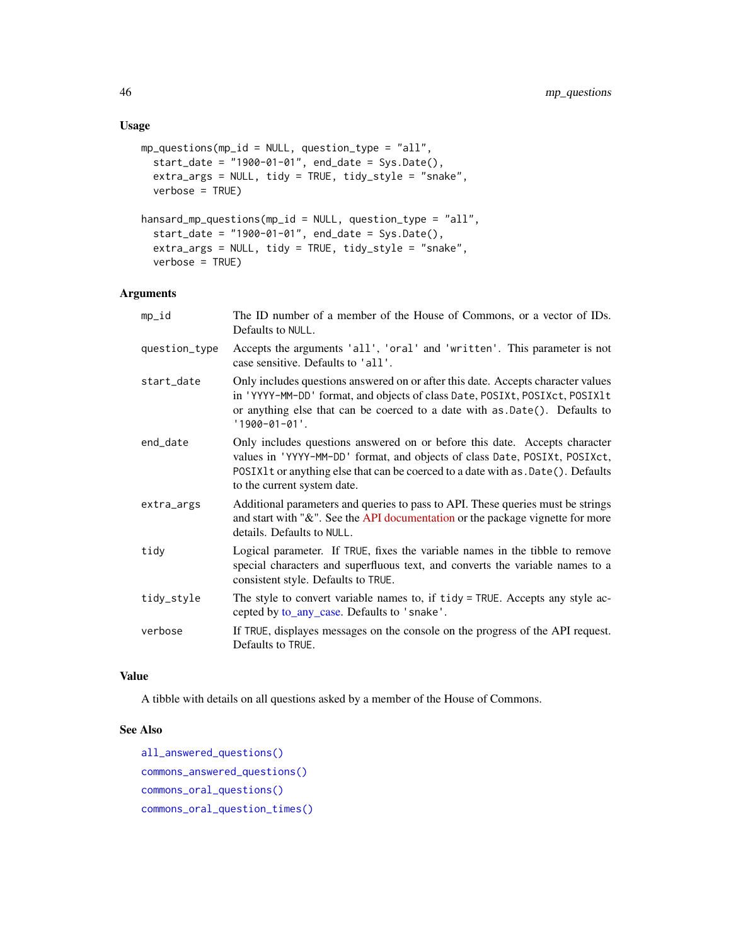# <span id="page-45-0"></span>Usage

```
mp\_questions(mp_id = NULL, question_type = "all",start_date = "1900-01-01", end_date = Sys.Date(),
 extra_args = NULL, tidy = TRUE, tidy_style = "snake",
 verbose = TRUE)
hansard_mp_questions(mp_id = NULL, question_type = "all",
 start_date = "1900-01-01", end_date = Sys.Date(),
 extra_args = NULL, tidy = TRUE, tidy_style = "snake",
 verbose = TRUE)
```
#### Arguments

| mp_id         | The ID number of a member of the House of Commons, or a vector of IDs.<br>Defaults to NULL.                                                                                                                                                                                  |
|---------------|------------------------------------------------------------------------------------------------------------------------------------------------------------------------------------------------------------------------------------------------------------------------------|
| question_type | Accepts the arguments 'all', 'oral' and 'written'. This parameter is not<br>case sensitive. Defaults to 'all'.                                                                                                                                                               |
| start date    | Only includes questions answered on or after this date. Accepts character values<br>in 'YYYY-MM-DD' format, and objects of class Date, POSIXt, POSIXct, POSIX1t<br>or anything else that can be coerced to a date with as .Date(). Defaults to<br>$'1900 - 01 - 01'.$        |
| end_date      | Only includes questions answered on or before this date. Accepts character<br>values in 'YYYY-MM-DD' format, and objects of class Date, POSIXt, POSIXct,<br>POSIX1t or anything else that can be coerced to a date with as . Date(). Defaults<br>to the current system date. |
| extra_args    | Additional parameters and queries to pass to API. These queries must be strings<br>and start with "&". See the API documentation or the package vignette for more<br>details. Defaults to NULL.                                                                              |
| tidy          | Logical parameter. If TRUE, fixes the variable names in the tibble to remove<br>special characters and superfluous text, and converts the variable names to a<br>consistent style. Defaults to TRUE.                                                                         |
| tidy_style    | The style to convert variable names to, if tidy = TRUE. Accepts any style ac-<br>cepted by to_any_case. Defaults to 'snake'.                                                                                                                                                 |
| verbose       | If TRUE, displayes messages on the console on the progress of the API request.<br>Defaults to TRUE.                                                                                                                                                                          |
|               |                                                                                                                                                                                                                                                                              |

# Value

A tibble with details on all questions asked by a member of the House of Commons.

# See Also

```
all_answered_questions()
commons_answered_questions()
commons_oral_questions()
commons_oral_question_times()
```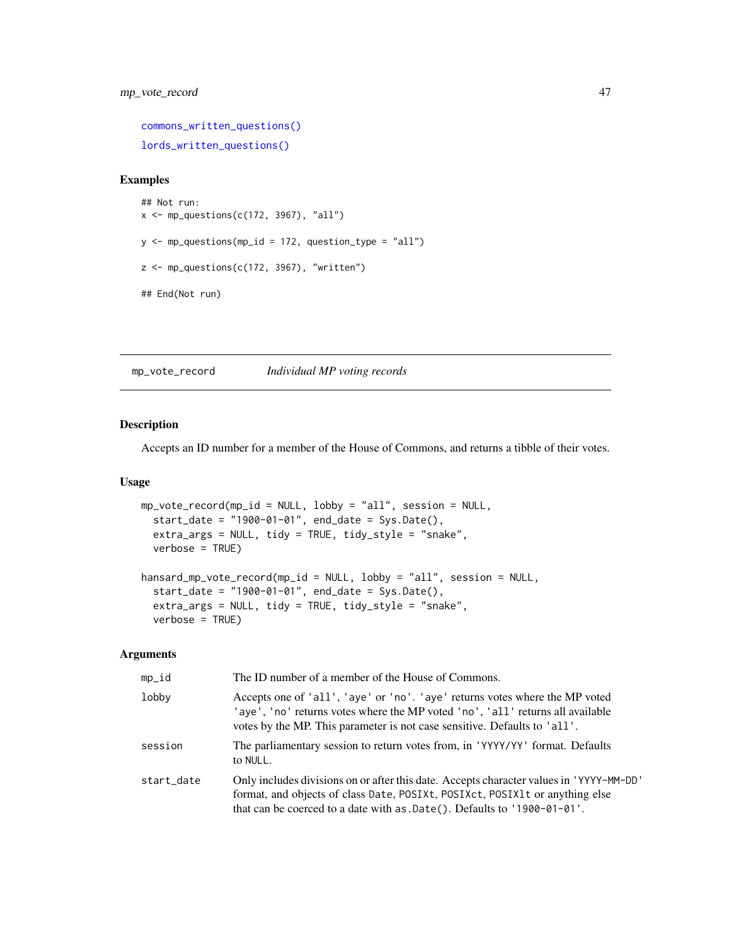# <span id="page-46-0"></span>mp\_vote\_record 47

[commons\\_written\\_questions\(\)](#page-17-1) [lords\\_written\\_questions\(\)](#page-37-1)

#### Examples

```
## Not run:
x \leftarrow mp_questions(c(172, 3967), "all")
y \leq m mp_questions(mp_id = 172, question_type = "all")
z <- mp_questions(c(172, 3967), "written")
## End(Not run)
```
mp\_vote\_record *Individual MP voting records*

#### Description

Accepts an ID number for a member of the House of Commons, and returns a tibble of their votes.

#### Usage

```
mp_vote_record(mp_id = NULL, lobby = "all", session = NULL,
 start_date = "1900-01-01", end_date = Sys.Date(),
 extra_args = NULL, tidy = TRUE, tidy_style = "snake",
 verbose = TRUE)
hansard_mp_vote_record(mp_id = NULL, lobby = "all", session = NULL,
  start_date = "1900-01-01", end_date = Sys.Date(),
  extra_args = NULL, tidy = TRUE, tidy_style = "snake",
 verbose = TRUE)
```

| $mp_id$    | The ID number of a member of the House of Commons.                                                                                                                                                                                                    |
|------------|-------------------------------------------------------------------------------------------------------------------------------------------------------------------------------------------------------------------------------------------------------|
| lobby      | Accepts one of 'all', 'aye' or 'no'. 'aye' returns votes where the MP voted<br>'aye', 'no' returns votes where the MP voted 'no', 'all' returns all available<br>votes by the MP. This parameter is not case sensitive. Defaults to 'all'.            |
| session    | The parliamentary session to return votes from, in 'YYYY/YY' format. Defaults<br>to NULL.                                                                                                                                                             |
| start date | Only includes divisions on or after this date. Accepts character values in 'YYYY-MM-DD'<br>format, and objects of class Date, POSIXt, POSIXct, POSIX1t or anything else<br>that can be coerced to a date with $as.Date()$ . Defaults to '1900-01-01'. |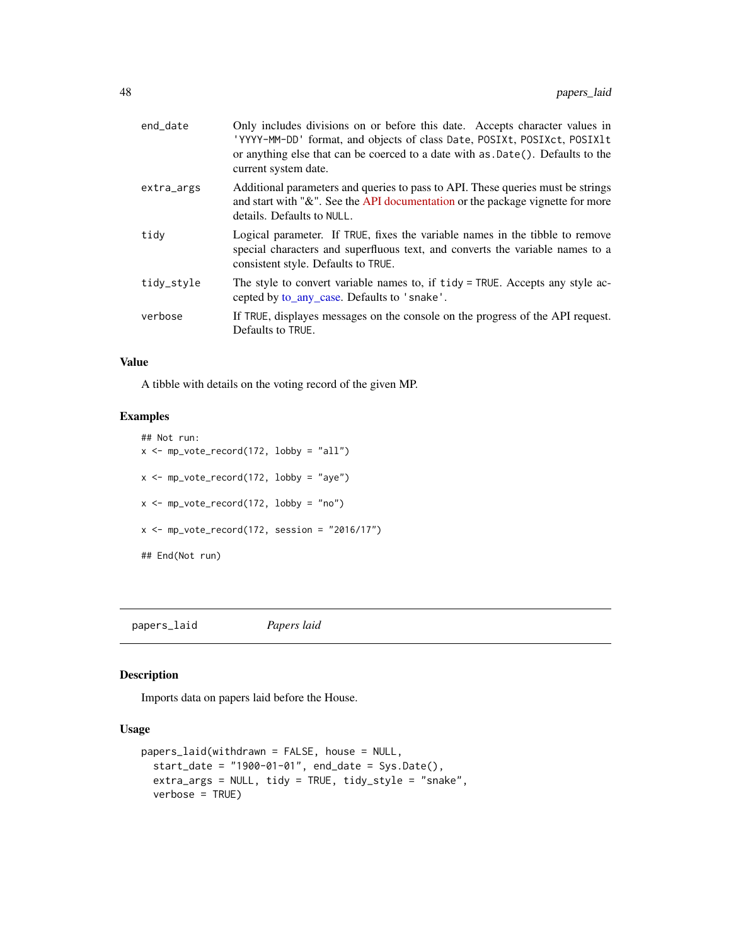<span id="page-47-0"></span>

| end_date   | Only includes divisions on or before this date. Accepts character values in<br>'YYYY-MM-DD' format, and objects of class Date, POSIXt, POSIXct, POSIX1t<br>or anything else that can be coerced to a date with as .Date(). Defaults to the<br>current system date. |
|------------|--------------------------------------------------------------------------------------------------------------------------------------------------------------------------------------------------------------------------------------------------------------------|
| extra_args | Additional parameters and queries to pass to API. These queries must be strings<br>and start with " $\&$ ". See the API documentation or the package vignette for more<br>details. Defaults to NULL.                                                               |
| tidy       | Logical parameter. If TRUE, fixes the variable names in the tibble to remove<br>special characters and superfluous text, and converts the variable names to a<br>consistent style. Defaults to TRUE.                                                               |
| tidy_style | The style to convert variable names to, if tidy = TRUE. Accepts any style ac-<br>cepted by to_any_case. Defaults to 'snake'.                                                                                                                                       |
| verbose    | If TRUE, displayes messages on the console on the progress of the API request.<br>Defaults to TRUE.                                                                                                                                                                |

A tibble with details on the voting record of the given MP.

# Examples

```
## Not run:
x \leq m p_vote_record(172, lobby = "all")
x <- mp_vote_record(172, lobby = "aye")
x \leq m p_vote_record(172, lobby = "no")
x \leq -mp\_vote\_record(172, session = "2016/17")## End(Not run)
```
papers\_laid *Papers laid*

#### Description

Imports data on papers laid before the House.

# Usage

```
papers_laid(withdrawn = FALSE, house = NULL,
 start_date = "1900-01-01", end_date = Sys.Date(),
 extra_args = NULL, tidy = TRUE, tidy_style = "snake",
 verbose = TRUE)
```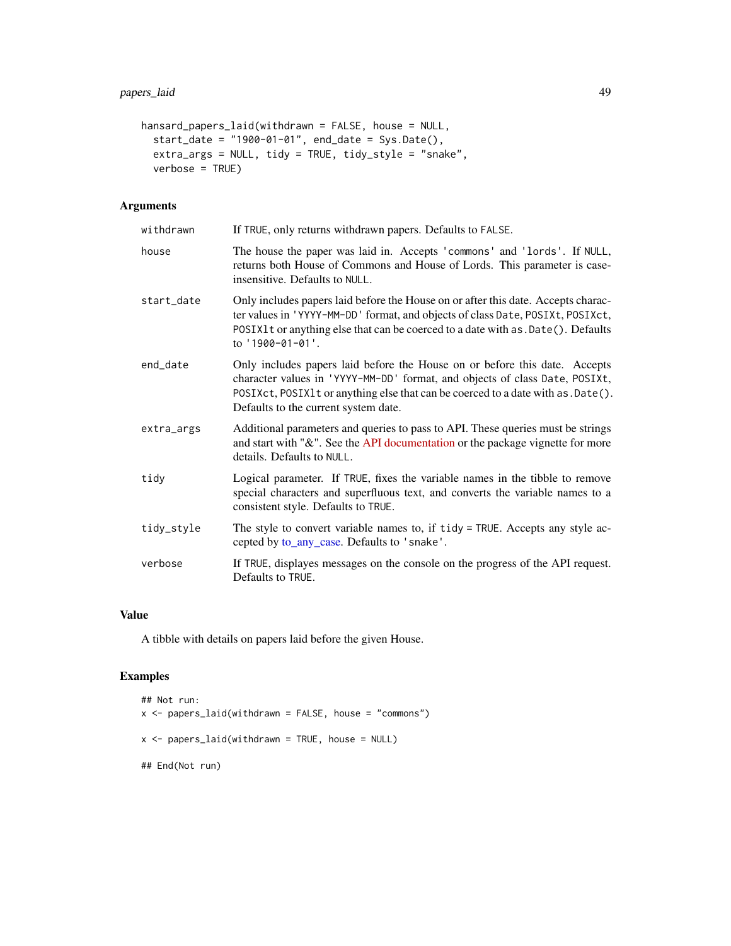```
hansard_papers_laid(withdrawn = FALSE, house = NULL,
 start_date = "1900-01-01", end_date = Sys.Date(),
 extra_args = NULL, tidy = TRUE, tidy_style = "snake",
 verbose = TRUE)
```
# Arguments

| withdrawn  | If TRUE, only returns withdrawn papers. Defaults to FALSE.                                                                                                                                                                                                                             |
|------------|----------------------------------------------------------------------------------------------------------------------------------------------------------------------------------------------------------------------------------------------------------------------------------------|
| house      | The house the paper was laid in. Accepts 'commons' and 'lords'. If NULL,<br>returns both House of Commons and House of Lords. This parameter is case-<br>insensitive. Defaults to NULL.                                                                                                |
| start date | Only includes papers laid before the House on or after this date. Accepts charac-<br>ter values in 'YYYY-MM-DD' format, and objects of class Date, POSIXt, POSIXct,<br>POSIX1t or anything else that can be coerced to a date with as . Date(). Defaults<br>to '1900-01-01'.           |
| end_date   | Only includes papers laid before the House on or before this date. Accepts<br>character values in 'YYYY-MM-DD' format, and objects of class Date, POSIXt,<br>POSIXct, POSIX1t or anything else that can be coerced to a date with as . Date().<br>Defaults to the current system date. |
| extra_args | Additional parameters and queries to pass to API. These queries must be strings<br>and start with "&". See the API documentation or the package vignette for more<br>details. Defaults to NULL.                                                                                        |
| tidy       | Logical parameter. If TRUE, fixes the variable names in the tibble to remove<br>special characters and superfluous text, and converts the variable names to a<br>consistent style. Defaults to TRUE.                                                                                   |
| tidy_style | The style to convert variable names to, if tidy = TRUE. Accepts any style ac-<br>cepted by to_any_case. Defaults to 'snake'.                                                                                                                                                           |
| verbose    | If TRUE, displayes messages on the console on the progress of the API request.<br>Defaults to TRUE.                                                                                                                                                                                    |

# Value

A tibble with details on papers laid before the given House.

# Examples

```
## Not run:
x <- papers_laid(withdrawn = FALSE, house = "commons")
x <- papers_laid(withdrawn = TRUE, house = NULL)
## End(Not run)
```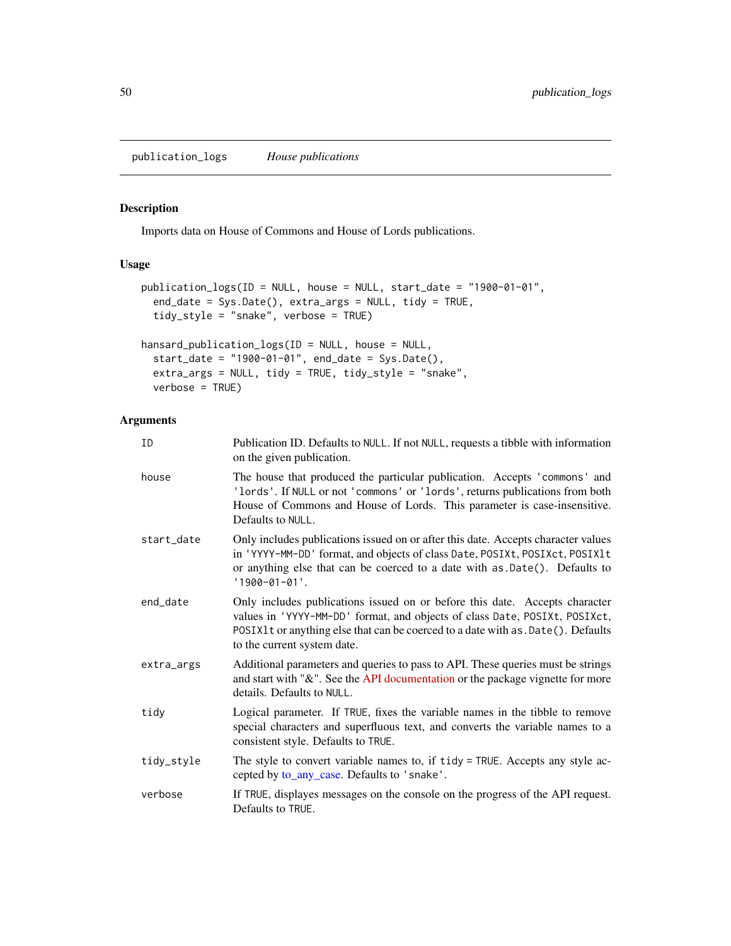<span id="page-49-0"></span>publication\_logs *House publications*

# Description

Imports data on House of Commons and House of Lords publications.

# Usage

```
publication_logs(ID = NULL, house = NULL, start_date = "1900-01-01",
  end_date = Sys.Date(), extra_args = NULL, tidy = TRUE,
  tidy_style = "snake", verbose = TRUE)
```

```
hansard_publication_logs(ID = NULL, house = NULL,
 start_date = "1900-01-01", end_date = Sys.Date(),
 extra_args = NULL, tidy = TRUE, tidy_style = "snake",
 verbose = TRUE)
```

| ID         | Publication ID. Defaults to NULL. If not NULL, requests a tibble with information<br>on the given publication.                                                                                                                                                                |
|------------|-------------------------------------------------------------------------------------------------------------------------------------------------------------------------------------------------------------------------------------------------------------------------------|
| house      | The house that produced the particular publication. Accepts 'commons' and<br>'lords'. If NULL or not 'commons' or 'lords', returns publications from both<br>House of Commons and House of Lords. This parameter is case-insensitive.<br>Defaults to NULL.                    |
| start_date | Only includes publications issued on or after this date. Accepts character values<br>in 'YYYY-MM-DD' format, and objects of class Date, POSIXt, POSIXct, POSIX1t<br>or anything else that can be coerced to a date with as .Date(). Defaults to<br>$'1900 - 01 - 01'.$        |
| end_date   | Only includes publications issued on or before this date. Accepts character<br>values in 'YYYY-MM-DD' format, and objects of class Date, POSIXt, POSIXct,<br>POSIX1t or anything else that can be coerced to a date with as . Date(). Defaults<br>to the current system date. |
| extra_args | Additional parameters and queries to pass to API. These queries must be strings<br>and start with "&". See the API documentation or the package vignette for more<br>details. Defaults to NULL.                                                                               |
| tidv       | Logical parameter. If TRUE, fixes the variable names in the tibble to remove<br>special characters and superfluous text, and converts the variable names to a<br>consistent style. Defaults to TRUE.                                                                          |
| tidy_style | The style to convert variable names to, if tidy = TRUE. Accepts any style ac-<br>cepted by to_any_case. Defaults to 'snake'.                                                                                                                                                  |
| verbose    | If TRUE, displayes messages on the console on the progress of the API request.<br>Defaults to TRUE.                                                                                                                                                                           |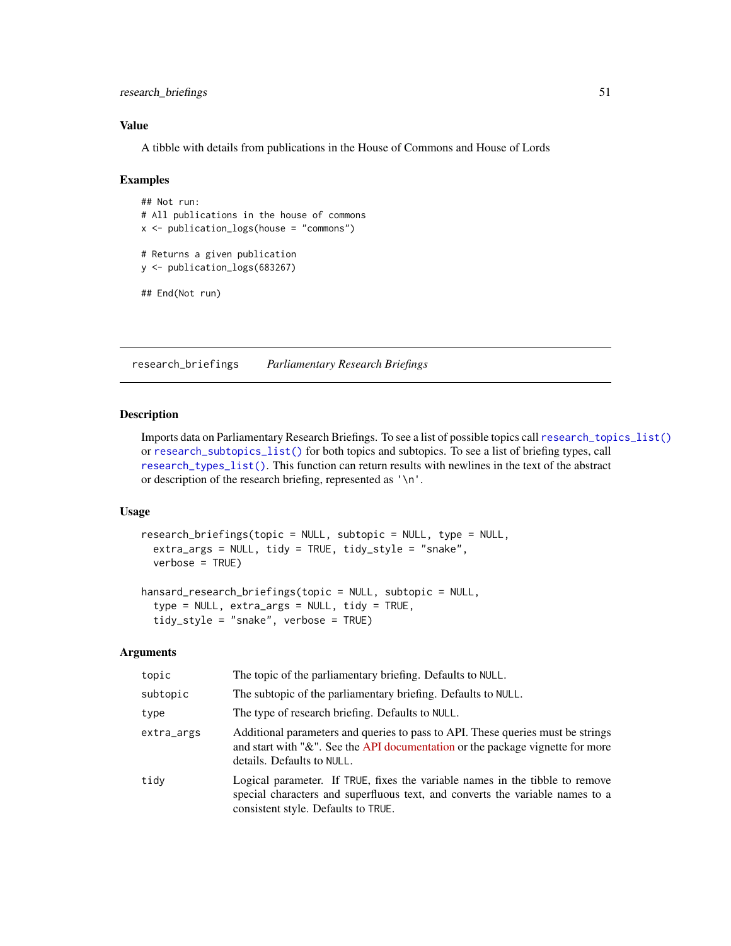# <span id="page-50-0"></span>research\_briefings 51

# Value

A tibble with details from publications in the House of Commons and House of Lords

#### Examples

```
## Not run:
# All publications in the house of commons
x \le - publication_logs(house = "commons")
# Returns a given publication
y <- publication_logs(683267)
## End(Not run)
```
<span id="page-50-1"></span>research\_briefings *Parliamentary Research Briefings*

# Description

Imports data on Parliamentary Research Briefings. To see a list of possible topics call [research\\_topics\\_list\(\)](#page-51-1) or [research\\_subtopics\\_list\(\)](#page-51-2) for both topics and subtopics. To see a list of briefing types, call [research\\_types\\_list\(\)](#page-51-2). This function can return results with newlines in the text of the abstract or description of the research briefing, represented as '\n'.

# Usage

```
research_briefings(topic = NULL, subtopic = NULL, type = NULL,
  extra_args = NULL, tidy = TRUE, tidy_style = "snake",
 verbose = TRUE)
```

```
hansard_research_briefings(topic = NULL, subtopic = NULL,
  type = NULL, extra_args = NULL, tidy = TRUE,
  tidy_style = "snake", verbose = TRUE)
```

| topic      | The topic of the parliamentary briefing. Defaults to NULL.                                                                                                                                           |
|------------|------------------------------------------------------------------------------------------------------------------------------------------------------------------------------------------------------|
| subtopic   | The subtopic of the parliamentary briefing. Defaults to NULL.                                                                                                                                        |
| type       | The type of research briefing. Defaults to NULL.                                                                                                                                                     |
| extra_args | Additional parameters and queries to pass to API. These queries must be strings<br>and start with "&". See the API documentation or the package vignette for more<br>details. Defaults to NULL.      |
| tidy       | Logical parameter. If TRUE, fixes the variable names in the tibble to remove<br>special characters and superfluous text, and converts the variable names to a<br>consistent style. Defaults to TRUE. |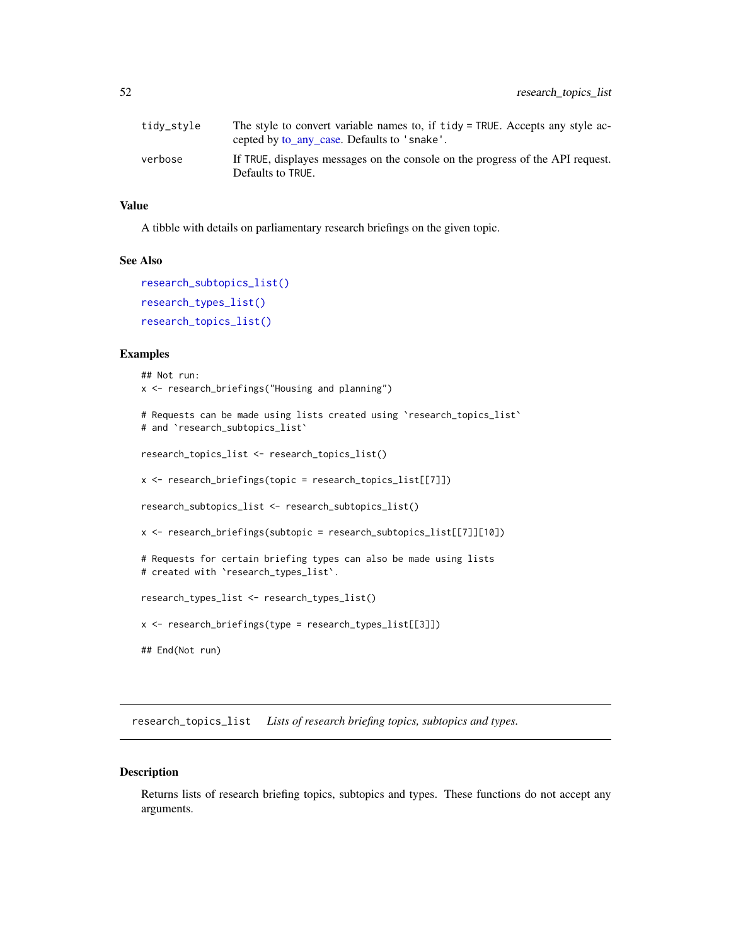<span id="page-51-0"></span>

| tidy_style | The style to convert variable names to, if tidy = TRUE. Accepts any style ac-<br>cepted by <u>to any case</u> . Defaults to 'snake'. |
|------------|--------------------------------------------------------------------------------------------------------------------------------------|
| verbose    | If TRUE, displayes messages on the console on the progress of the API request.<br>Defaults to TRUE.                                  |

A tibble with details on parliamentary research briefings on the given topic.

#### See Also

```
research_subtopics_list()
research_types_list()
research_topics_list()
```
# Examples

```
## Not run:
x <- research_briefings("Housing and planning")
# Requests can be made using lists created using `research_topics_list`
# and `research_subtopics_list`
research_topics_list <- research_topics_list()
x <- research_briefings(topic = research_topics_list[[7]])
research_subtopics_list <- research_subtopics_list()
x <- research_briefings(subtopic = research_subtopics_list[[7]][10])
# Requests for certain briefing types can also be made using lists
# created with `research_types_list`.
research_types_list <- research_types_list()
x <- research_briefings(type = research_types_list[[3]])
## End(Not run)
```
<span id="page-51-1"></span>research\_topics\_list *Lists of research briefing topics, subtopics and types.*

#### <span id="page-51-2"></span>Description

Returns lists of research briefing topics, subtopics and types. These functions do not accept any arguments.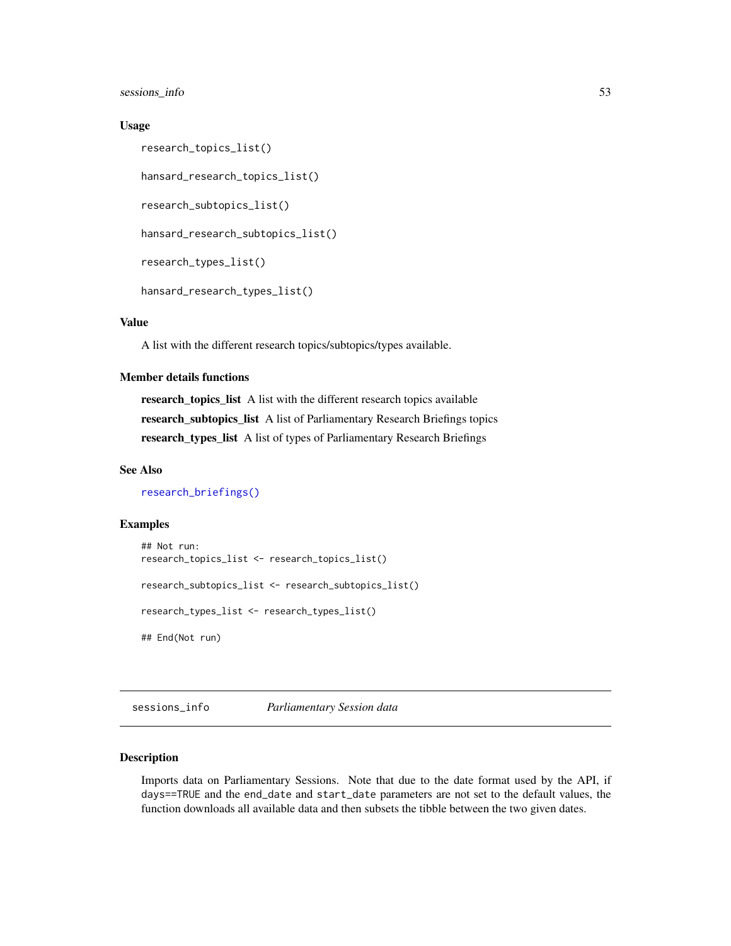<span id="page-52-0"></span>sessions\_info 53

#### Usage

```
research_topics_list()
hansard_research_topics_list()
research_subtopics_list()
hansard_research_subtopics_list()
research_types_list()
hansard_research_types_list()
```
# Value

A list with the different research topics/subtopics/types available.

# Member details functions

research\_topics\_list A list with the different research topics available research\_subtopics\_list A list of Parliamentary Research Briefings topics research\_types\_list A list of types of Parliamentary Research Briefings

# See Also

[research\\_briefings\(\)](#page-50-1)

# Examples

```
## Not run:
research_topics_list <- research_topics_list()
research_subtopics_list <- research_subtopics_list()
research_types_list <- research_types_list()
## End(Not run)
```
<span id="page-52-1"></span>sessions\_info *Parliamentary Session data*

# Description

Imports data on Parliamentary Sessions. Note that due to the date format used by the API, if days==TRUE and the end\_date and start\_date parameters are not set to the default values, the function downloads all available data and then subsets the tibble between the two given dates.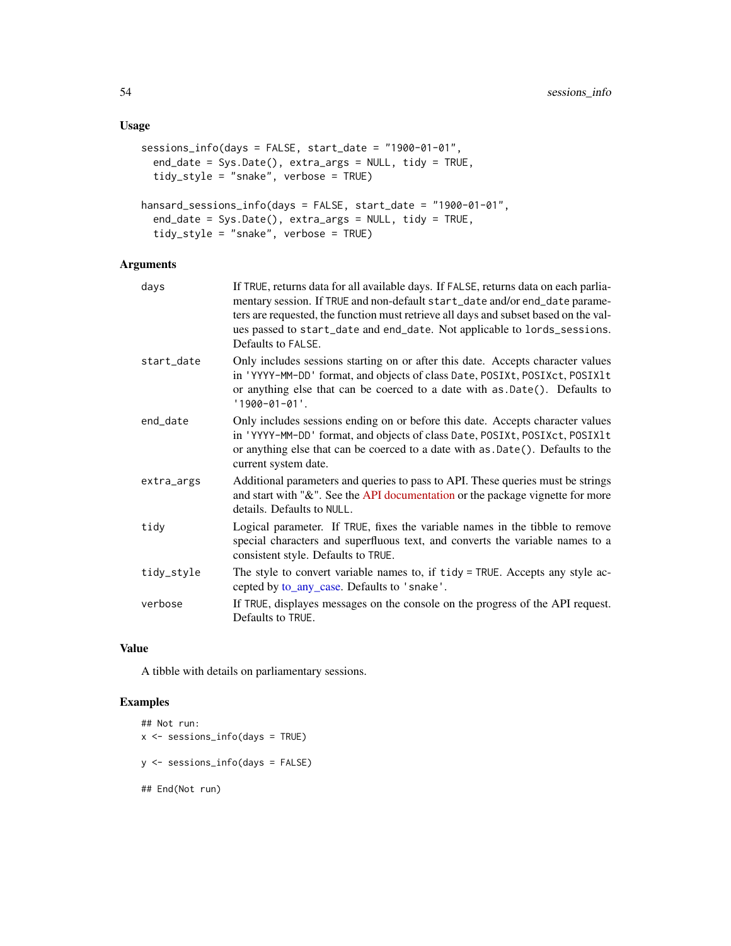# <span id="page-53-0"></span>Usage

```
sessions_info(days = FALSE, start_date = "1900-01-01",
 end_date = Sys.Date(), extra_args = NULL, tidy = TRUE,
  tidy_style = "snake", verbose = TRUE)
hansard_sessions_info(days = FALSE, start_date = "1900-01-01",
 end_date = Sys.Date(), extra_args = NULL, tidy = TRUE,
  tidy_style = "snake", verbose = TRUE)
```
# Arguments

| days       | If TRUE, returns data for all available days. If FALSE, returns data on each parlia-<br>mentary session. If TRUE and non-default start_date and/or end_date parame-<br>ters are requested, the function must retrieve all days and subset based on the val-<br>ues passed to start_date and end_date. Not applicable to lords_sessions.<br>Defaults to FALSE. |
|------------|---------------------------------------------------------------------------------------------------------------------------------------------------------------------------------------------------------------------------------------------------------------------------------------------------------------------------------------------------------------|
| start_date | Only includes sessions starting on or after this date. Accepts character values<br>in 'YYYY-MM-DD' format, and objects of class Date, POSIXt, POSIXct, POSIX1t<br>or anything else that can be coerced to a date with as .Date(). Defaults to<br>$'1900 - 01 - 01'.$                                                                                          |
| end_date   | Only includes sessions ending on or before this date. Accepts character values<br>in 'YYYY-MM-DD' format, and objects of class Date, POSIXt, POSIXct, POSIX1t<br>or anything else that can be coerced to a date with as .Date(). Defaults to the<br>current system date.                                                                                      |
| extra_args | Additional parameters and queries to pass to API. These queries must be strings<br>and start with "&". See the API documentation or the package vignette for more<br>details. Defaults to NULL.                                                                                                                                                               |
| tidy       | Logical parameter. If TRUE, fixes the variable names in the tibble to remove<br>special characters and superfluous text, and converts the variable names to a<br>consistent style. Defaults to TRUE.                                                                                                                                                          |
| tidy_style | The style to convert variable names to, if tidy = TRUE. Accepts any style ac-<br>cepted by to_any_case. Defaults to 'snake'.                                                                                                                                                                                                                                  |
| verbose    | If TRUE, displayes messages on the console on the progress of the API request.<br>Defaults to TRUE.                                                                                                                                                                                                                                                           |

#### Value

A tibble with details on parliamentary sessions.

# Examples

```
## Not run:
x <- sessions_info(days = TRUE)
y <- sessions_info(days = FALSE)
## End(Not run)
```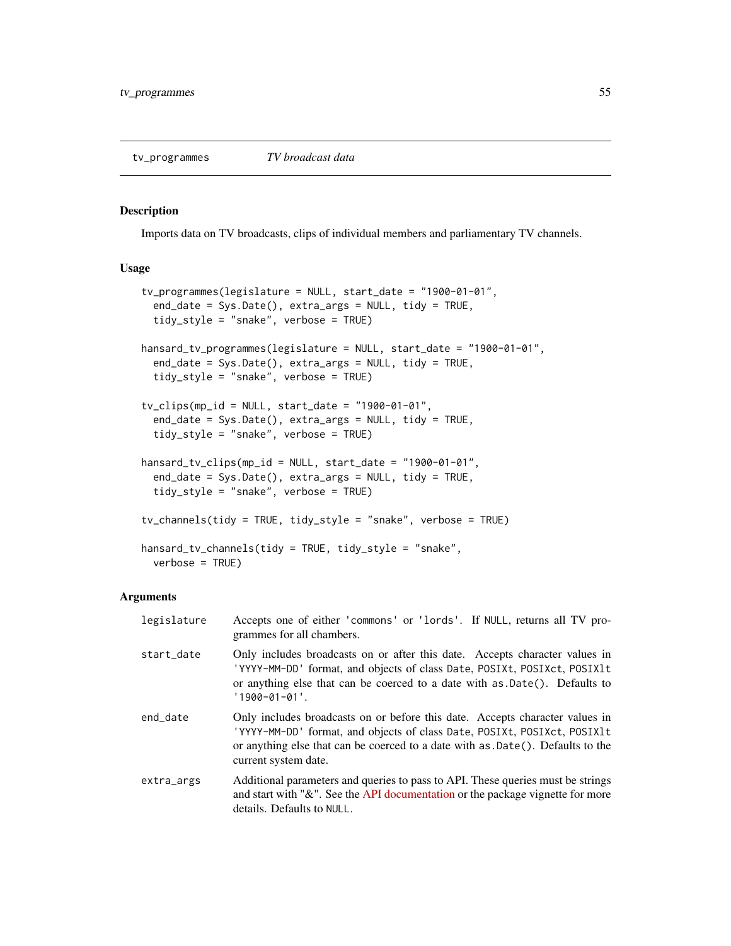#### <span id="page-54-0"></span>Description

Imports data on TV broadcasts, clips of individual members and parliamentary TV channels.

#### Usage

```
tv_programmes(legislature = NULL, start_date = "1900-01-01",
 end_date = Sys.Date(), extra_args = NULL, tidy = TRUE,
 tidy_style = "snake", verbose = TRUE)
hansard_tv_programmes(legislature = NULL, start_date = "1900-01-01",
 end_date = Sys.Date(), extra_args = NULL, tidy = TRUE,
  tidy_style = "snake", verbose = TRUE)
tv\_clips(mp\_id = NULL, start\_date = "1900-01-01",end_date = Sys.Date(), extra_args = NULL, tidy = TRUE,
  tidy_style = "snake", verbose = TRUE)
hansard_tv_clips(mp_id = NULL, start_date = "1900-01-01",
 end_date = Sys.Date(), extra_args = NULL, tidy = TRUE,
  tidy_style = "snake", verbose = TRUE)
tv_channels(tidy = TRUE, tidy_style = "snake", verbose = TRUE)
hansard_tv_channels(tidy = TRUE, tidy_style = "snake",
 verbose = TRUE)
```

| legislature | Accepts one of either 'commons' or 'lords'. If NULL, returns all TV pro-<br>grammes for all chambers.                                                                                                                                                               |
|-------------|---------------------------------------------------------------------------------------------------------------------------------------------------------------------------------------------------------------------------------------------------------------------|
| start_date  | Only includes broadcasts on or after this date. Accepts character values in<br>'YYYY-MM-DD' format, and objects of class Date, POSIXt, POSIXct, POSIX1t<br>or anything else that can be coerced to a date with as $Date()$ . Defaults to<br>$'1900 - 01 - 01'$ .    |
| end_date    | Only includes broadcasts on or before this date. Accepts character values in<br>'YYYY-MM-DD' format, and objects of class Date, POSIXt, POSIXct, POSIX1t<br>or anything else that can be coerced to a date with as .Date(). Defaults to the<br>current system date. |
| extra_args  | Additional parameters and queries to pass to API. These queries must be strings<br>and start with "&". See the API documentation or the package vignette for more<br>details. Defaults to NULL.                                                                     |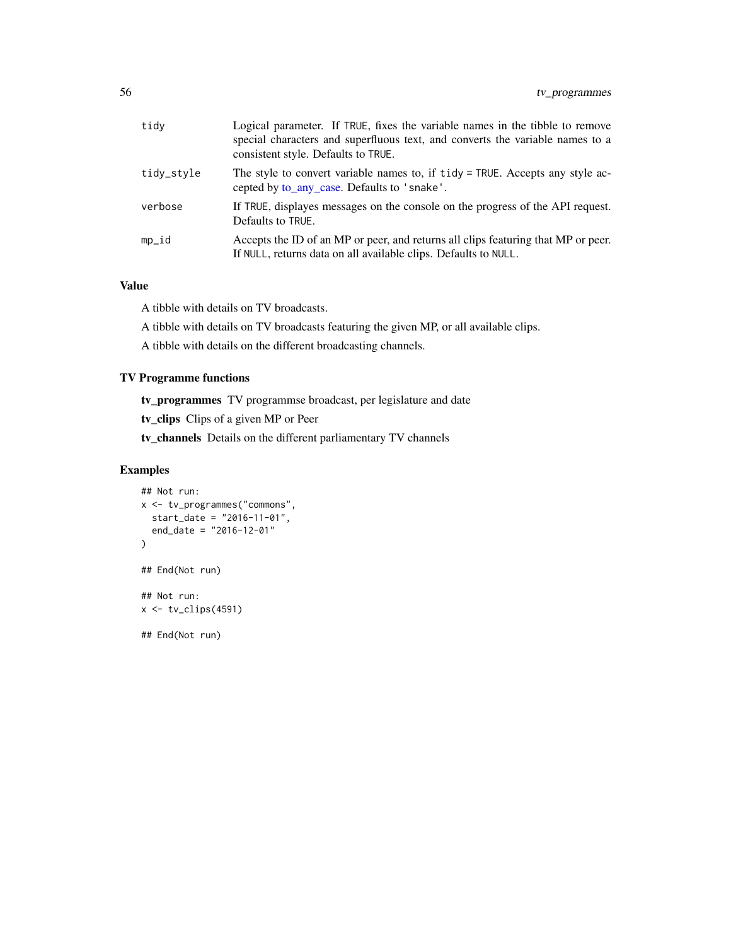<span id="page-55-0"></span>

| tidy       | Logical parameter. If TRUE, fixes the variable names in the tibble to remove<br>special characters and superfluous text, and converts the variable names to a<br>consistent style. Defaults to TRUE. |
|------------|------------------------------------------------------------------------------------------------------------------------------------------------------------------------------------------------------|
| tidy_style | The style to convert variable names to, if tidy = TRUE. Accepts any style ac-<br>cepted by to_any_case. Defaults to 'snake'.                                                                         |
| verbose    | If TRUE, displayes messages on the console on the progress of the API request.<br>Defaults to TRUE.                                                                                                  |
| mp_id      | Accepts the ID of an MP or peer, and returns all clips featuring that MP or peer.<br>If NULL, returns data on all available clips. Defaults to NULL.                                                 |

A tibble with details on TV broadcasts.

A tibble with details on TV broadcasts featuring the given MP, or all available clips.

A tibble with details on the different broadcasting channels.

# TV Programme functions

tv\_programmes TV programmse broadcast, per legislature and date

tv\_clips Clips of a given MP or Peer

tv\_channels Details on the different parliamentary TV channels

#### Examples

```
## Not run:
x <- tv_programmes("commons",
 start_date = "2016-11-01",
  end_date = "2016-12-01"
\mathcal{L}## End(Not run)
## Not run:
x <- tv_clips(4591)
## End(Not run)
```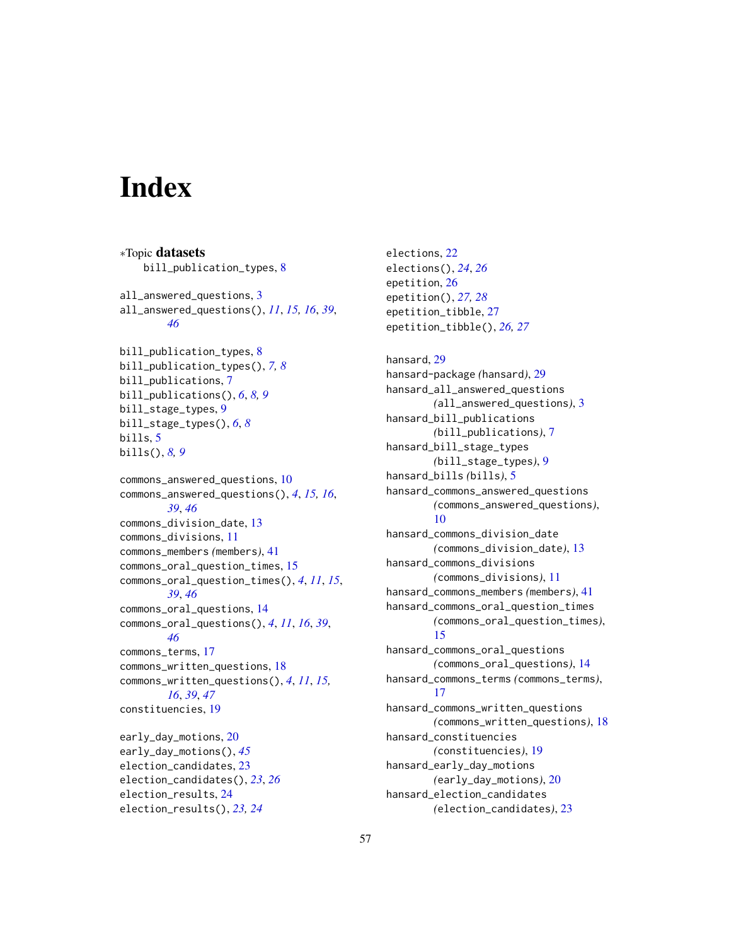# <span id="page-56-0"></span>**Index**

∗Topic datasets bill\_publication\_types, [8](#page-7-0) all\_answered\_questions, [3](#page-2-0) all\_answered\_questions(), *[11](#page-10-0)*, *[15,](#page-14-0) [16](#page-15-0)*, *[39](#page-38-0)*, *[46](#page-45-0)* bill\_publication\_types, [8](#page-7-0) bill\_publication\_types(), *[7,](#page-6-0) [8](#page-7-0)* bill\_publications, [7](#page-6-0) bill\_publications(), *[6](#page-5-0)*, *[8,](#page-7-0) [9](#page-8-0)* bill\_stage\_types, [9](#page-8-0) bill\_stage\_types(), *[6](#page-5-0)*, *[8](#page-7-0)* bills, [5](#page-4-0) bills(), *[8,](#page-7-0) [9](#page-8-0)* commons\_answered\_questions, [10](#page-9-0) commons\_answered\_questions(), *[4](#page-3-0)*, *[15,](#page-14-0) [16](#page-15-0)*, *[39](#page-38-0)*, *[46](#page-45-0)* commons\_division\_date, [13](#page-12-0) commons\_divisions, [11](#page-10-0) commons\_members *(*members*)*, [41](#page-40-0) commons\_oral\_question\_times, [15](#page-14-0) commons\_oral\_question\_times(), *[4](#page-3-0)*, *[11](#page-10-0)*, *[15](#page-14-0)*, *[39](#page-38-0)*, *[46](#page-45-0)* commons\_oral\_questions, [14](#page-13-0) commons\_oral\_questions(), *[4](#page-3-0)*, *[11](#page-10-0)*, *[16](#page-15-0)*, *[39](#page-38-0)*, *[46](#page-45-0)* commons\_terms, [17](#page-16-0) commons\_written\_questions, [18](#page-17-0) commons\_written\_questions(), *[4](#page-3-0)*, *[11](#page-10-0)*, *[15,](#page-14-0) [16](#page-15-0)*, *[39](#page-38-0)*, *[47](#page-46-0)* constituencies, [19](#page-18-0) early\_day\_motions, [20](#page-19-0) early\_day\_motions(), *[45](#page-44-0)* election\_candidates, [23](#page-22-0) election\_candidates(), *[23](#page-22-0)*, *[26](#page-25-0)* election\_results, [24](#page-23-0) election\_results(), *[23,](#page-22-0) [24](#page-23-0)*

elections, [22](#page-21-0) elections(), *[24](#page-23-0)*, *[26](#page-25-0)* epetition, [26](#page-25-0) epetition(), *[27,](#page-26-0) [28](#page-27-0)* epetition\_tibble, [27](#page-26-0) epetition\_tibble(), *[26,](#page-25-0) [27](#page-26-0)*

hansard, [29](#page-28-0) hansard-package *(*hansard*)*, [29](#page-28-0) hansard\_all\_answered\_questions *(*all\_answered\_questions*)*, [3](#page-2-0) hansard\_bill\_publications *(*bill\_publications*)*, [7](#page-6-0) hansard\_bill\_stage\_types *(*bill\_stage\_types*)*, [9](#page-8-0) hansard\_bills *(*bills*)*, [5](#page-4-0) hansard\_commons\_answered\_questions *(*commons\_answered\_questions*)*, [10](#page-9-0) hansard\_commons\_division\_date *(*commons\_division\_date*)*, [13](#page-12-0) hansard\_commons\_divisions *(*commons\_divisions*)*, [11](#page-10-0) hansard\_commons\_members *(*members*)*, [41](#page-40-0) hansard\_commons\_oral\_question\_times *(*commons\_oral\_question\_times*)*, [15](#page-14-0) hansard\_commons\_oral\_questions *(*commons\_oral\_questions*)*, [14](#page-13-0) hansard\_commons\_terms *(*commons\_terms*)*, [17](#page-16-0) hansard\_commons\_written\_questions *(*commons\_written\_questions*)*, [18](#page-17-0) hansard\_constituencies *(*constituencies*)*, [19](#page-18-0) hansard\_early\_day\_motions *(*early\_day\_motions*)*, [20](#page-19-0) hansard\_election\_candidates *(*election\_candidates*)*, [23](#page-22-0)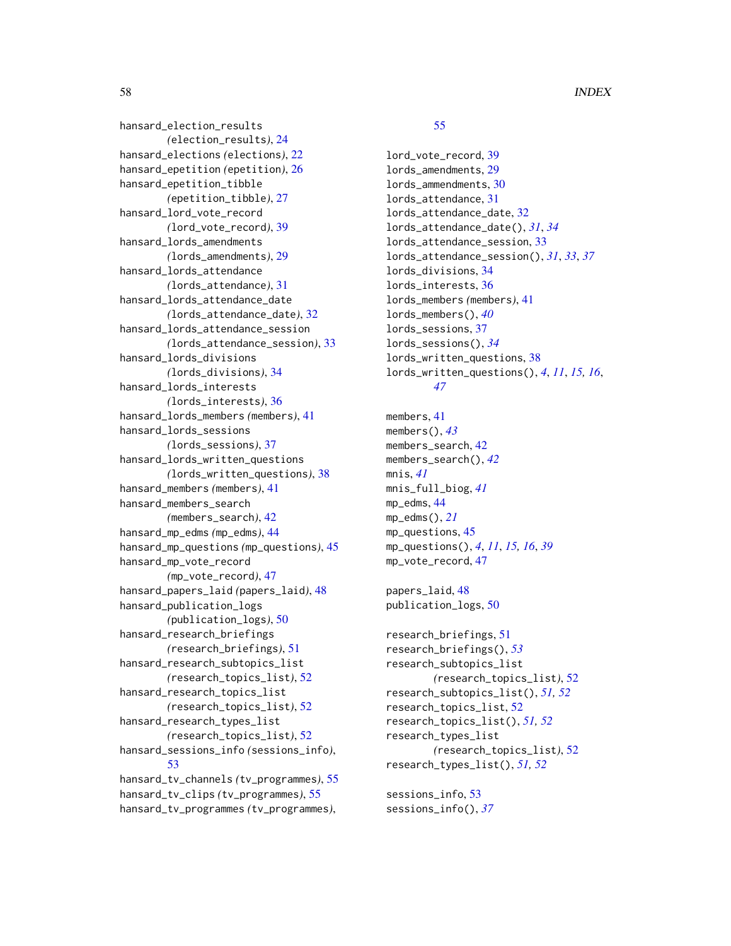hansard\_election\_results *(*election\_results*)*, [24](#page-23-0) hansard\_elections *(*elections*)*, [22](#page-21-0) hansard\_epetition *(*epetition*)*, [26](#page-25-0) hansard\_epetition\_tibble *(*epetition\_tibble*)*, [27](#page-26-0) hansard\_lord\_vote\_record *(*lord\_vote\_record*)*, [39](#page-38-0) hansard\_lords\_amendments *(*lords\_amendments*)*, [29](#page-28-0) hansard\_lords\_attendance *(*lords\_attendance*)*, [31](#page-30-0) hansard\_lords\_attendance\_date *(*lords\_attendance\_date*)*, [32](#page-31-0) hansard\_lords\_attendance\_session *(*lords\_attendance\_session*)*, [33](#page-32-0) hansard\_lords\_divisions *(*lords\_divisions*)*, [34](#page-33-0) hansard\_lords\_interests *(*lords\_interests*)*, [36](#page-35-0) hansard\_lords\_members *(*members*)*, [41](#page-40-0) hansard\_lords\_sessions *(*lords\_sessions*)*, [37](#page-36-0) hansard\_lords\_written\_questions *(*lords\_written\_questions*)*, [38](#page-37-0) hansard\_members *(*members*)*, [41](#page-40-0) hansard\_members\_search *(*members\_search*)*, [42](#page-41-0) hansard\_mp\_edms *(*mp\_edms*)*, [44](#page-43-0) hansard\_mp\_questions *(*mp\_questions*)*, [45](#page-44-0) hansard\_mp\_vote\_record *(*mp\_vote\_record*)*, [47](#page-46-0) hansard\_papers\_laid *(*papers\_laid*)*, [48](#page-47-0) hansard\_publication\_logs *(*publication\_logs*)*, [50](#page-49-0) hansard\_research\_briefings *(*research\_briefings*)*, [51](#page-50-0) hansard\_research\_subtopics\_list *(*research\_topics\_list*)*, [52](#page-51-0) hansard\_research\_topics\_list *(*research\_topics\_list*)*, [52](#page-51-0) hansard\_research\_types\_list *(*research\_topics\_list*)*, [52](#page-51-0) hansard\_sessions\_info *(*sessions\_info*)*, [53](#page-52-0) hansard\_tv\_channels *(*tv\_programmes*)*, [55](#page-54-0) hansard\_tv\_clips *(*tv\_programmes*)*, [55](#page-54-0) hansard\_tv\_programmes *(*tv\_programmes*)*,

# [55](#page-54-0)

lord\_vote\_record, [39](#page-38-0) lords\_amendments, [29](#page-28-0) lords\_ammendments, [30](#page-29-0) lords\_attendance, [31](#page-30-0) lords\_attendance\_date, [32](#page-31-0) lords\_attendance\_date(), *[31](#page-30-0)*, *[34](#page-33-0)* lords\_attendance\_session, [33](#page-32-0) lords\_attendance\_session(), *[31](#page-30-0)*, *[33](#page-32-0)*, *[37](#page-36-0)* lords\_divisions, [34](#page-33-0) lords\_interests, [36](#page-35-0) lords\_members *(*members*)*, [41](#page-40-0) lords\_members(), *[40](#page-39-0)* lords\_sessions, [37](#page-36-0) lords\_sessions(), *[34](#page-33-0)* lords\_written\_questions, [38](#page-37-0) lords\_written\_questions(), *[4](#page-3-0)*, *[11](#page-10-0)*, *[15,](#page-14-0) [16](#page-15-0)*, *[47](#page-46-0)*

```
members, 41
members(), 43
members_search, 42
members_search(), 42
mnis, 41
mnis_full_biog, 41
mp_edms, 44
mp_edms(), 21
mp_questions, 45
mp_questions(), 4, 11, 15, 16, 39
mp_vote_record, 47
```
papers\_laid, [48](#page-47-0) publication\_logs, [50](#page-49-0)

```
research_briefings, 51
research_briefings(), 53
research_subtopics_list
        (research_topics_list), 52
research_subtopics_list(), 51, 52
research_topics_list, 52
research_topics_list(), 51, 52
research_types_list
        (research_topics_list), 52
research_types_list(), 51, 52
```
sessions\_info, [53](#page-52-0) sessions\_info(), *[37](#page-36-0)*